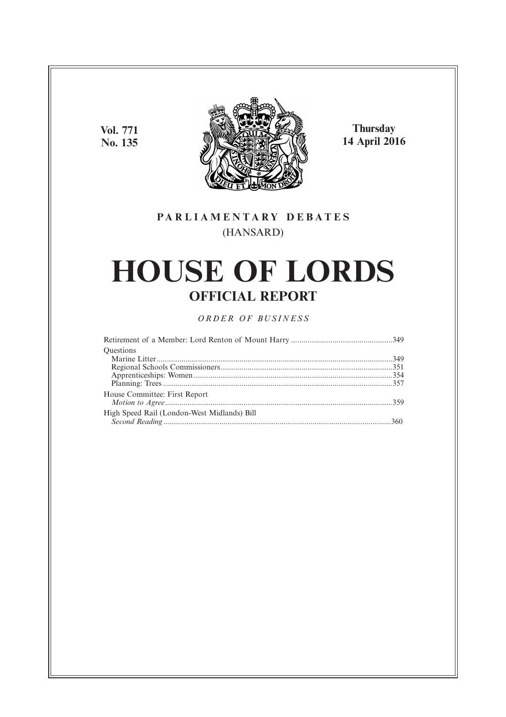**Vol. 771 No. 135**



**Thursday 14 April 2016**

# **P A R L I A M E N T A R Y D E B A T E S** (HANSARD)

# **HOUSE OF LORDS OFFICIAL REPORT**

*O R D E R O F BU S I N E S S*

| <b>Ouestions</b>                            |  |
|---------------------------------------------|--|
|                                             |  |
|                                             |  |
|                                             |  |
|                                             |  |
| House Committee: First Report               |  |
|                                             |  |
| High Speed Rail (London-West Midlands) Bill |  |
|                                             |  |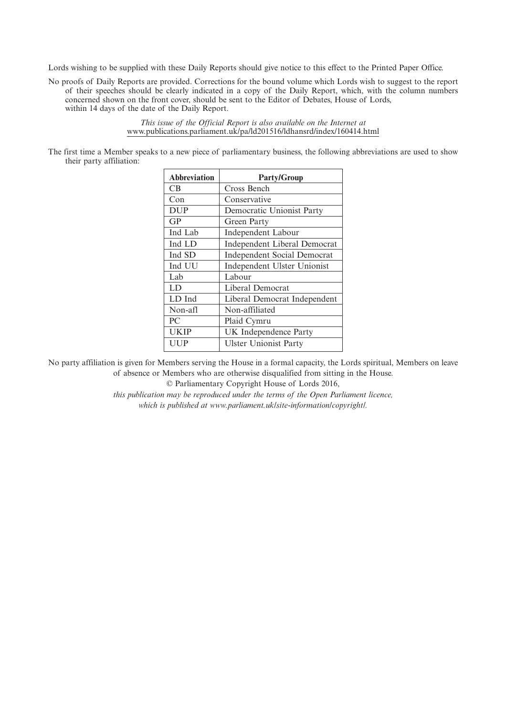Lords wishing to be supplied with these Daily Reports should give notice to this effect to the Printed Paper Office.

No proofs of Daily Reports are provided. Corrections for the bound volume which Lords wish to suggest to the report of their speeches should be clearly indicated in a copy of the Daily Report, which, with the column numbers concerned shown on the front cover, should be sent to the Editor of Debates, House of Lords, within 14 days of the date of the Daily Report.

> *This issue of the Official Report is also available on the Internet at* www.publications.parliament.uk/pa/ld201516/ldhansrd/index/160414.html

The first time a Member speaks to a new piece of parliamentary business, the following abbreviations are used to show their party affiliation:

| <b>Abbreviation</b> | <b>Party/Group</b>                 |
|---------------------|------------------------------------|
| СB                  | Cross Bench                        |
| Con                 | Conservative                       |
| <b>DUP</b>          | Democratic Unionist Party          |
| GP                  | Green Party                        |
| Ind Lab             | <b>Independent Labour</b>          |
| Ind LD              | Independent Liberal Democrat       |
| Ind SD              | <b>Independent Social Democrat</b> |
| Ind UU              | Independent Ulster Unionist        |
| Lab                 | Labour                             |
| LD                  | Liberal Democrat                   |
| LD Ind              | Liberal Democrat Independent       |
| Non-afl             | Non-affiliated                     |
| PC                  | Plaid Cymru                        |
| <b>UKIP</b>         | UK Independence Party              |
| UUP                 | <b>Ulster Unionist Party</b>       |

No party affiliation is given for Members serving the House in a formal capacity, the Lords spiritual, Members on leave of absence or Members who are otherwise disqualified from sitting in the House.

© Parliamentary Copyright House of Lords 2016,

*this publication may be reproduced under the terms of the Open Parliament licence, which is published at www.parliament.uk/site-information/copyright/.*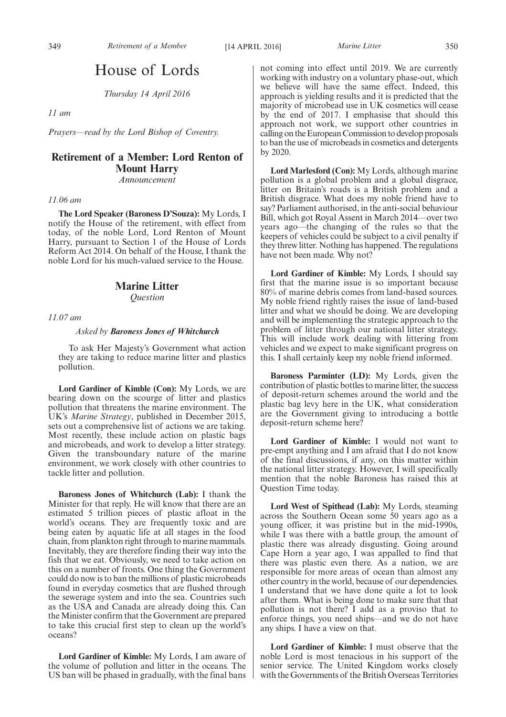# House of Lords

*Thursday 14 April 2016*

*11 am*

*Prayers—read by the Lord Bishop of Coventry.*

## **Retirement of a Member: Lord Renton of Mount Harry**

*Announcement*

#### *11.06 am*

**The Lord Speaker (Baroness D'Souza):** My Lords, I notify the House of the retirement, with effect from today, of the noble Lord, Lord Renton of Mount Harry, pursuant to Section 1 of the House of Lords Reform Act 2014. On behalf of the House, I thank the noble Lord for his much-valued service to the House.

### **Marine Litter**

*Question*

*11.07 am*

#### *Asked by Baroness Jones of Whitchurch*

To ask Her Majesty's Government what action they are taking to reduce marine litter and plastics pollution.

**Lord Gardiner of Kimble (Con):** My Lords, we are bearing down on the scourge of litter and plastics pollution that threatens the marine environment. The UK's *Marine Strategy*, published in December 2015, sets out a comprehensive list of actions we are taking. Most recently, these include action on plastic bags and microbeads, and work to develop a litter strategy. Given the transboundary nature of the marine environment, we work closely with other countries to tackle litter and pollution.

**Baroness Jones of Whitchurch (Lab):** I thank the Minister for that reply. He will know that there are an estimated 5 trillion pieces of plastic afloat in the world's oceans. They are frequently toxic and are being eaten by aquatic life at all stages in the food chain, from plankton right through to marine mammals. Inevitably, they are therefore finding their way into the fish that we eat. Obviously, we need to take action on this on a number of fronts. One thing the Government could do now is to ban the millions of plastic microbeads found in everyday cosmetics that are flushed through the sewerage system and into the sea. Countries such as the USA and Canada are already doing this. Can the Minister confirm that the Government are prepared to take this crucial first step to clean up the world's oceans?

**Lord Gardiner of Kimble:** My Lords, I am aware of the volume of pollution and litter in the oceans. The US ban will be phased in gradually, with the final bans not coming into effect until 2019. We are currently working with industry on a voluntary phase-out, which we believe will have the same effect. Indeed, this approach is yielding results and it is predicted that the majority of microbead use in UK cosmetics will cease by the end of 2017. I emphasise that should this approach not work, we support other countries in calling on the European Commission to develop proposals to ban the use of microbeads in cosmetics and detergents by 2020.

**Lord Marlesford (Con):** My Lords, although marine pollution is a global problem and a global disgrace, litter on Britain's roads is a British problem and a British disgrace. What does my noble friend have to say? Parliament authorised, in the anti-social behaviour Bill, which got Royal Assent in March 2014—over two years ago—the changing of the rules so that the keepers of vehicles could be subject to a civil penalty if they threw litter. Nothing has happened. The regulations have not been made. Why not?

**Lord Gardiner of Kimble:** My Lords, I should say first that the marine issue is so important because 80% of marine debris comes from land-based sources. My noble friend rightly raises the issue of land-based litter and what we should be doing. We are developing and will be implementing the strategic approach to the problem of litter through our national litter strategy. This will include work dealing with littering from vehicles and we expect to make significant progress on this. I shall certainly keep my noble friend informed.

**Baroness Parminter (LD):** My Lords, given the contribution of plastic bottles to marine litter, the success of deposit-return schemes around the world and the plastic bag levy here in the UK, what consideration are the Government giving to introducing a bottle deposit-return scheme here?

**Lord Gardiner of Kimble:** I would not want to pre-empt anything and I am afraid that I do not know of the final discussions, if any, on this matter within the national litter strategy. However, I will specifically mention that the noble Baroness has raised this at Question Time today.

**Lord West of Spithead (Lab):** My Lords, steaming across the Southern Ocean some 50 years ago as a young officer, it was pristine but in the mid-1990s, while I was there with a battle group, the amount of plastic there was already disgusting. Going around Cape Horn a year ago, I was appalled to find that there was plastic even there. As a nation, we are responsible for more areas of ocean than almost any other country in the world, because of our dependencies. I understand that we have done quite a lot to look after them. What is being done to make sure that that pollution is not there? I add as a proviso that to enforce things, you need ships—and we do not have any ships. I have a view on that.

**Lord Gardiner of Kimble:** I must observe that the noble Lord is most tenacious in his support of the senior service. The United Kingdom works closely with the Governments of the British Overseas Territories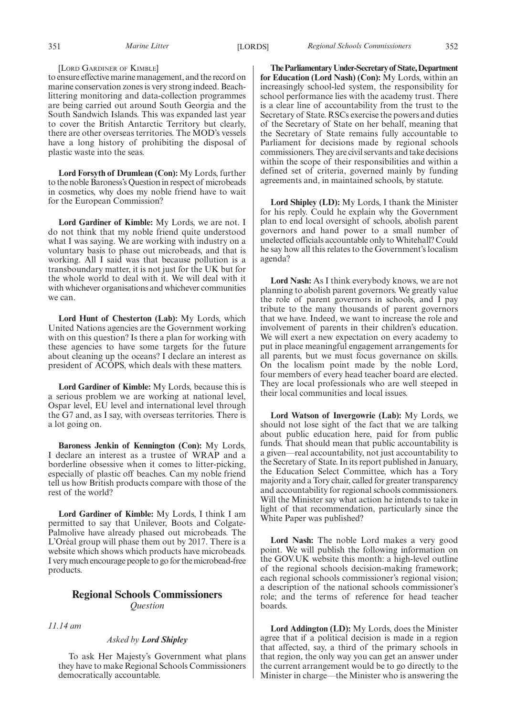#### [LORD GARDINER OF KIMBLE]

to ensure effective marine management, and the record on marine conservation zones is very strong indeed. Beachlittering monitoring and data-collection programmes are being carried out around South Georgia and the South Sandwich Islands. This was expanded last year to cover the British Antarctic Territory but clearly, there are other overseas territories. The MOD's vessels have a long history of prohibiting the disposal of plastic waste into the seas.

**Lord Forsyth of Drumlean (Con):** My Lords, further to the noble Baroness's Question in respect of microbeads in cosmetics, why does my noble friend have to wait for the European Commission?

**Lord Gardiner of Kimble:** My Lords, we are not. I do not think that my noble friend quite understood what I was saying. We are working with industry on a voluntary basis to phase out microbeads, and that is working. All I said was that because pollution is a transboundary matter, it is not just for the UK but for the whole world to deal with it. We will deal with it with whichever organisations and whichever communities we can.

**Lord Hunt of Chesterton (Lab):** My Lords, which United Nations agencies are the Government working with on this question? Is there a plan for working with these agencies to have some targets for the future about cleaning up the oceans? I declare an interest as president of ACOPS, which deals with these matters.

**Lord Gardiner of Kimble:** My Lords, because this is a serious problem we are working at national level, Ospar level, EU level and international level through the G7 and, as I say, with overseas territories. There is a lot going on.

**Baroness Jenkin of Kennington (Con):** My Lords, I declare an interest as a trustee of WRAP and a borderline obsessive when it comes to litter-picking, especially of plastic off beaches. Can my noble friend tell us how British products compare with those of the rest of the world?

**Lord Gardiner of Kimble:** My Lords, I think I am permitted to say that Unilever, Boots and Colgate-Palmolive have already phased out microbeads. The L'Oréal group will phase them out by 2017. There is a website which shows which products have microbeads. I very much encourage people to go for the microbead-free products.

### **Regional Schools Commissioners** *Question*

*11.14 am*

#### *Asked by Lord Shipley*

To ask Her Majesty's Government what plans they have to make Regional Schools Commissioners democratically accountable.

**TheParliamentaryUnder-Secretaryof State,Department for Education (Lord Nash) (Con):** My Lords, within an increasingly school-led system, the responsibility for school performance lies with the academy trust. There is a clear line of accountability from the trust to the Secretary of State. RSCs exercise the powers and duties of the Secretary of State on her behalf, meaning that the Secretary of State remains fully accountable to Parliament for decisions made by regional schools commissioners. They are civil servants and take decisions within the scope of their responsibilities and within a defined set of criteria, governed mainly by funding agreements and, in maintained schools, by statute.

**Lord Shipley (LD):** My Lords, I thank the Minister for his reply. Could he explain why the Government plan to end local oversight of schools, abolish parent governors and hand power to a small number of unelected officials accountable only to Whitehall? Could he say how all this relates to the Government's localism agenda?

**Lord Nash:** As I think everybody knows, we are not planning to abolish parent governors. We greatly value the role of parent governors in schools, and I pay tribute to the many thousands of parent governors that we have. Indeed, we want to increase the role and involvement of parents in their children's education. We will exert a new expectation on every academy to put in place meaningful engagement arrangements for all parents, but we must focus governance on skills. On the localism point made by the noble Lord, four members of every head teacher board are elected. They are local professionals who are well steeped in their local communities and local issues.

**Lord Watson of Invergowrie (Lab):** My Lords, we should not lose sight of the fact that we are talking about public education here, paid for from public funds. That should mean that public accountability is a given—real accountability, not just accountability to the Secretary of State. In its report published in January, the Education Select Committee, which has a Tory majority and a Tory chair, called for greater transparency and accountability for regional schools commissioners. Will the Minister say what action he intends to take in light of that recommendation, particularly since the White Paper was published?

**Lord Nash:** The noble Lord makes a very good point. We will publish the following information on the GOV.UK website this month: a high-level outline of the regional schools decision-making framework; each regional schools commissioner's regional vision; a description of the national schools commissioner's role; and the terms of reference for head teacher boards.

**Lord Addington (LD):** My Lords, does the Minister agree that if a political decision is made in a region that affected, say, a third of the primary schools in that region, the only way you can get an answer under the current arrangement would be to go directly to the Minister in charge—the Minister who is answering the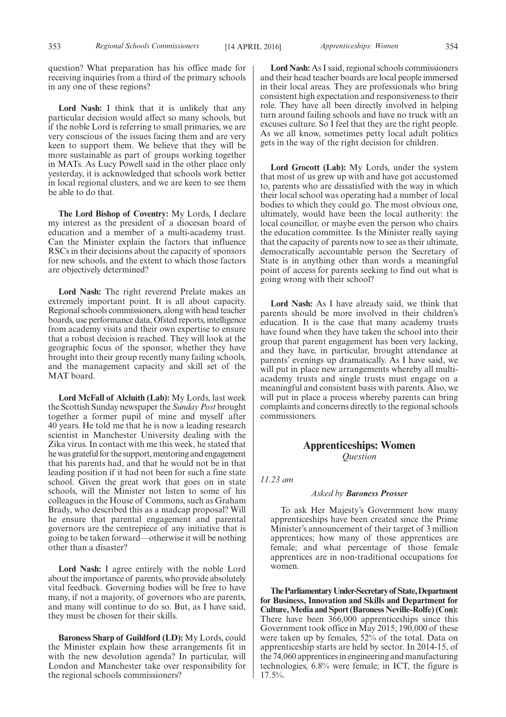question? What preparation has his office made for receiving inquiries from a third of the primary schools in any one of these regions?

**Lord Nash:** I think that it is unlikely that any particular decision would affect so many schools, but if the noble Lord is referring to small primaries, we are very conscious of the issues facing them and are very keen to support them. We believe that they will be more sustainable as part of groups working together in MATs. As Lucy Powell said in the other place only yesterday, it is acknowledged that schools work better in local regional clusters, and we are keen to see them be able to do that.

**The Lord Bishop of Coventry:** My Lords, I declare my interest as the president of a diocesan board of education and a member of a multi-academy trust. Can the Minister explain the factors that influence RSCs in their decisions about the capacity of sponsors for new schools, and the extent to which those factors are objectively determined?

**Lord Nash:** The right reverend Prelate makes an extremely important point. It is all about capacity. Regional schools commissioners, along with head teacher boards, use performance data, Ofsted reports, intelligence from academy visits and their own expertise to ensure that a robust decision is reached. They will look at the geographic focus of the sponsor, whether they have brought into their group recently many failing schools, and the management capacity and skill set of the MAT board.

**Lord McFall of Alcluith (Lab):** My Lords, last week the Scottish Sunday newspaper the *Sunday Post* brought together a former pupil of mine and myself after 40 years. He told me that he is now a leading research scientist in Manchester University dealing with the Zika virus. In contact with me this week, he stated that he was grateful for the support, mentoring and engagement that his parents had, and that he would not be in that leading position if it had not been for such a fine state school. Given the great work that goes on in state schools, will the Minister not listen to some of his colleagues in the House of Commons, such as Graham Brady, who described this as a madcap proposal? Will he ensure that parental engagement and parental governors are the centrepiece of any initiative that is going to be taken forward—otherwise it will be nothing other than a disaster?

**Lord Nash:** I agree entirely with the noble Lord about the importance of parents, who provide absolutely vital feedback. Governing bodies will be free to have many, if not a majority, of governors who are parents, and many will continue to do so. But, as I have said, they must be chosen for their skills.

**Baroness Sharp of Guildford (LD):** My Lords, could the Minister explain how these arrangements fit in with the new devolution agenda? In particular, will London and Manchester take over responsibility for the regional schools commissioners?

**Lord Nash:** As I said, regional schools commissioners and their head teacher boards are local people immersed in their local areas. They are professionals who bring consistent high expectation and responsiveness to their role. They have all been directly involved in helping turn around failing schools and have no truck with an excuses culture. So I feel that they are the right people. As we all know, sometimes petty local adult politics gets in the way of the right decision for children.

**Lord Grocott (Lab):** My Lords, under the system that most of us grew up with and have got accustomed to, parents who are dissatisfied with the way in which their local school was operating had a number of local bodies to which they could go. The most obvious one, ultimately, would have been the local authority: the local councillor, or maybe even the person who chairs the education committee. Is the Minister really saying that the capacity of parents now to see as their ultimate, democratically accountable person the Secretary of State is in anything other than words a meaningful point of access for parents seeking to find out what is going wrong with their school?

**Lord Nash:** As I have already said, we think that parents should be more involved in their children's education. It is the case that many academy trusts have found when they have taken the school into their group that parent engagement has been very lacking, and they have, in particular, brought attendance at parents' evenings up dramatically. As I have said, we will put in place new arrangements whereby all multiacademy trusts and single trusts must engage on a meaningful and consistent basis with parents. Also, we will put in place a process whereby parents can bring complaints and concerns directly to the regional schools commissioners.

### **Apprenticeships: Women** *Question*

*11.23 am*

#### *Asked by Baroness Prosser*

To ask Her Majesty's Government how many apprenticeships have been created since the Prime Minister's announcement of their target of 3 million apprentices; how many of those apprentices are female; and what percentage of those female apprentices are in non-traditional occupations for women.

**TheParliamentaryUnder-Secretaryof State,Department for Business, Innovation and Skills and Department for Culture, Media and Sport (Baroness Neville-Rolfe) (Con):** There have been 366,000 apprenticeships since this Government took office in May 2015; 190,000 of these were taken up by females, 52% of the total. Data on apprenticeship starts are held by sector. In 2014-15, of the 74,060 apprentices in engineering and manufacturing technologies, 6.8% were female; in ICT, the figure is 17.5%.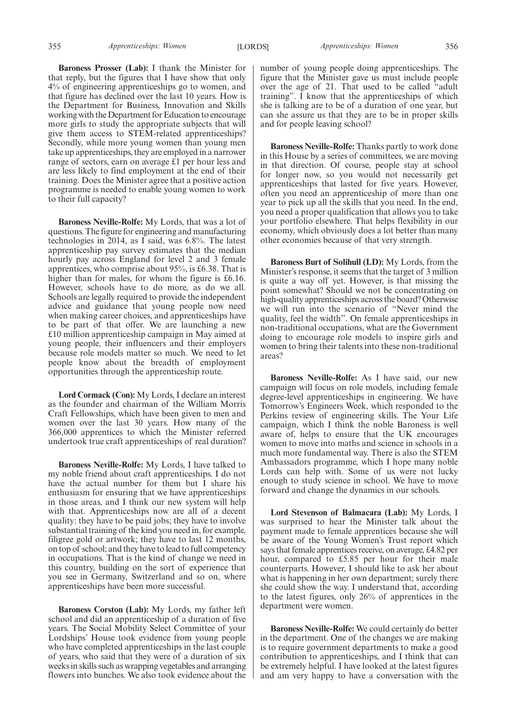**Baroness Prosser (Lab):** I thank the Minister for that reply, but the figures that I have show that only 4% of engineering apprenticeships go to women, and that figure has declined over the last 10 years. How is the Department for Business, Innovation and Skills working with the Department for Education to encourage more girls to study the appropriate subjects that will give them access to STEM-related apprenticeships? Secondly, while more young women than young men take up apprenticeships, they are employed in a narrower range of sectors, earn on average £1 per hour less and are less likely to find employment at the end of their training. Does the Minister agree that a positive action programme is needed to enable young women to work to their full capacity?

**Baroness Neville-Rolfe:** My Lords, that was a lot of questions. The figure for engineering and manufacturing technologies in 2014, as I said, was 6.8%. The latest apprenticeship pay survey estimates that the median hourly pay across England for level 2 and 3 female apprentices, who comprise about 95%, is £6.38. That is higher than for males, for whom the figure is £6.16. However, schools have to do more, as do we all. Schools are legally required to provide the independent advice and guidance that young people now need when making career choices, and apprenticeships have to be part of that offer. We are launching a new £10 million apprenticeship campaign in May aimed at young people, their influencers and their employers because role models matter so much. We need to let people know about the breadth of employment opportunities through the apprenticeship route.

**Lord Cormack (Con):** My Lords, I declare an interest as the founder and chairman of the William Morris Craft Fellowships, which have been given to men and women over the last 30 years. How many of the 366,000 apprentices to which the Minister referred undertook true craft apprenticeships of real duration?

**Baroness Neville-Rolfe:** My Lords, I have talked to my noble friend about craft apprenticeships. I do not have the actual number for them but I share his enthusiasm for ensuring that we have apprenticeships in those areas, and I think our new system will help with that. Apprenticeships now are all of a decent quality: they have to be paid jobs; they have to involve substantial training of the kind you need in, for example, filigree gold or artwork; they have to last 12 months, on top of school; and they have to lead to full competency in occupations. That is the kind of change we need in this country, building on the sort of experience that you see in Germany, Switzerland and so on, where apprenticeships have been more successful.

**Baroness Corston (Lab):** My Lords, my father left school and did an apprenticeship of a duration of five years. The Social Mobility Select Committee of your Lordships' House took evidence from young people who have completed apprenticeships in the last couple of years, who said that they were of a duration of six weeks in skills such as wrapping vegetables and arranging flowers into bunches. We also took evidence about the number of young people doing apprenticeships. The figure that the Minister gave us must include people over the age of 21. That used to be called "adult training". I know that the apprenticeships of which she is talking are to be of a duration of one year, but can she assure us that they are to be in proper skills and for people leaving school?

**Baroness Neville-Rolfe:** Thanks partly to work done in this House by a series of committees, we are moving in that direction. Of course, people stay at school for longer now, so you would not necessarily get apprenticeships that lasted for five years. However, often you need an apprenticeship of more than one year to pick up all the skills that you need. In the end, you need a proper qualification that allows you to take your portfolio elsewhere. That helps flexibility in our economy, which obviously does a lot better than many other economies because of that very strength.

**Baroness Burt of Solihull (LD):** My Lords, from the Minister's response, it seems that the target of 3 million is quite a way off yet. However, is that missing the point somewhat? Should we not be concentrating on high-quality apprenticeships across the board? Otherwise we will run into the scenario of "Never mind the quality, feel the width". On female apprenticeships in non-traditional occupations, what are the Government doing to encourage role models to inspire girls and women to bring their talents into these non-traditional areas?

**Baroness Neville-Rolfe:** As I have said, our new campaign will focus on role models, including female degree-level apprenticeships in engineering. We have Tomorrow's Engineers Week, which responded to the Perkins review of engineering skills. The Your Life campaign, which I think the noble Baroness is well aware of, helps to ensure that the UK encourages women to move into maths and science in schools in a much more fundamental way. There is also the STEM Ambassadors programme, which I hope many noble Lords can help with. Some of us were not lucky enough to study science in school. We have to move forward and change the dynamics in our schools.

**Lord Stevenson of Balmacara (Lab):** My Lords, I was surprised to hear the Minister talk about the payment made to female apprentices because she will be aware of the Young Women's Trust report which says that female apprentices receive, on average, £4.82 per hour, compared to £5.85 per hour for their male counterparts. However, I should like to ask her about what is happening in her own department; surely there she could show the way. I understand that, according to the latest figures, only 26% of apprentices in the department were women.

**Baroness Neville-Rolfe:** We could certainly do better in the department. One of the changes we are making is to require government departments to make a good contribution to apprenticeships, and I think that can be extremely helpful. I have looked at the latest figures and am very happy to have a conversation with the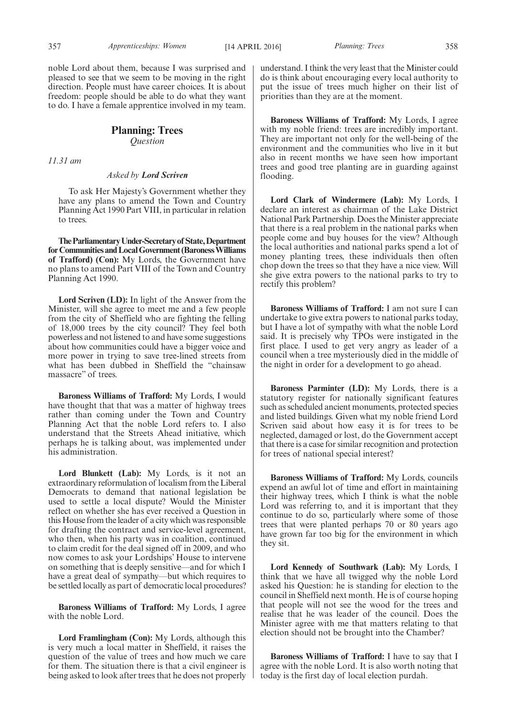noble Lord about them, because I was surprised and pleased to see that we seem to be moving in the right direction. People must have career choices. It is about freedom: people should be able to do what they want to do. I have a female apprentice involved in my team.

#### **Planning: Trees** *Question*

*11.31 am*

#### *Asked by Lord Scriven*

To ask Her Majesty's Government whether they have any plans to amend the Town and Country Planning Act 1990 Part VIII, in particular in relation to trees.

**TheParliamentaryUnder-Secretaryof State,Department forCommunitiesandLocalGovernment(BaronessWilliams of Trafford) (Con):** My Lords, the Government have no plans to amend Part VIII of the Town and Country Planning Act 1990.

**Lord Scriven (LD):** In light of the Answer from the Minister, will she agree to meet me and a few people from the city of Sheffield who are fighting the felling of 18,000 trees by the city council? They feel both powerless and not listened to and have some suggestions about how communities could have a bigger voice and more power in trying to save tree-lined streets from what has been dubbed in Sheffield the "chainsaw massacre" of trees.

**Baroness Williams of Trafford:** My Lords, I would have thought that that was a matter of highway trees rather than coming under the Town and Country Planning Act that the noble Lord refers to. I also understand that the Streets Ahead initiative, which perhaps he is talking about, was implemented under his administration.

**Lord Blunkett (Lab):** My Lords, is it not an extraordinary reformulation of localism from the Liberal Democrats to demand that national legislation be used to settle a local dispute? Would the Minister reflect on whether she has ever received a Question in this House from the leader of a city which was responsible for drafting the contract and service-level agreement, who then, when his party was in coalition, continued to claim credit for the deal signed off in 2009, and who now comes to ask your Lordships' House to intervene on something that is deeply sensitive—and for which I have a great deal of sympathy—but which requires to be settled locally as part of democratic local procedures?

**Baroness Williams of Trafford:** My Lords, I agree with the noble Lord.

**Lord Framlingham (Con):** My Lords, although this is very much a local matter in Sheffield, it raises the question of the value of trees and how much we care for them. The situation there is that a civil engineer is being asked to look after trees that he does not properly understand. I think the very least that the Minister could do is think about encouraging every local authority to put the issue of trees much higher on their list of priorities than they are at the moment.

**Baroness Williams of Trafford:** My Lords, I agree with my noble friend: trees are incredibly important. They are important not only for the well-being of the environment and the communities who live in it but also in recent months we have seen how important trees and good tree planting are in guarding against flooding.

**Lord Clark of Windermere (Lab):** My Lords, I declare an interest as chairman of the Lake District National Park Partnership. Does the Minister appreciate that there is a real problem in the national parks when people come and buy houses for the view? Although the local authorities and national parks spend a lot of money planting trees, these individuals then often chop down the trees so that they have a nice view. Will she give extra powers to the national parks to try to rectify this problem?

**Baroness Williams of Trafford:** I am not sure I can undertake to give extra powers to national parks today, but I have a lot of sympathy with what the noble Lord said. It is precisely why TPOs were instigated in the first place. I used to get very angry as leader of a council when a tree mysteriously died in the middle of the night in order for a development to go ahead.

**Baroness Parminter (LD):** My Lords, there is a statutory register for nationally significant features such as scheduled ancient monuments, protected species and listed buildings. Given what my noble friend Lord Scriven said about how easy it is for trees to be neglected, damaged or lost, do the Government accept that there is a case for similar recognition and protection for trees of national special interest?

**Baroness Williams of Trafford:** My Lords, councils expend an awful lot of time and effort in maintaining their highway trees, which I think is what the noble Lord was referring to, and it is important that they continue to do so, particularly where some of those trees that were planted perhaps 70 or 80 years ago have grown far too big for the environment in which they sit.

**Lord Kennedy of Southwark (Lab):** My Lords, I think that we have all twigged why the noble Lord asked his Question: he is standing for election to the council in Sheffield next month. He is of course hoping that people will not see the wood for the trees and realise that he was leader of the council. Does the Minister agree with me that matters relating to that election should not be brought into the Chamber?

**Baroness Williams of Trafford:** I have to say that I agree with the noble Lord. It is also worth noting that today is the first day of local election purdah.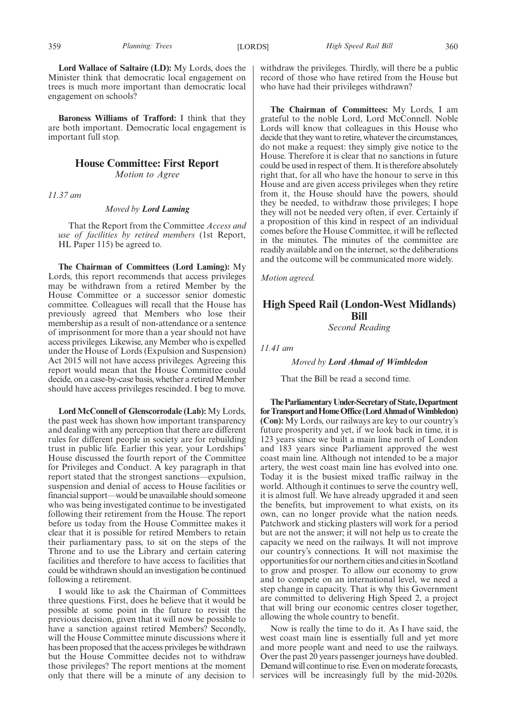**Lord Wallace of Saltaire (LD):** My Lords, does the Minister think that democratic local engagement on trees is much more important than democratic local engagement on schools?

**Baroness Williams of Trafford:** I think that they are both important. Democratic local engagement is important full stop.

#### **House Committee: First Report** *Motion to Agree*

*11.37 am*

*Moved by Lord Laming*

That the Report from the Committee *Access and use of facilities by retired members* (1st Report, HL Paper 115) be agreed to.

**The Chairman of Committees (Lord Laming):** My Lords, this report recommends that access privileges may be withdrawn from a retired Member by the House Committee or a successor senior domestic committee. Colleagues will recall that the House has previously agreed that Members who lose their membership as a result of non-attendance or a sentence of imprisonment for more than a year should not have access privileges. Likewise, any Member who is expelled under the House of Lords (Expulsion and Suspension) Act 2015 will not have access privileges. Agreeing this report would mean that the House Committee could decide, on a case-by-case basis, whether a retired Member should have access privileges rescinded. I beg to move.

**Lord McConnell of Glenscorrodale (Lab):** My Lords, the past week has shown how important transparency and dealing with any perception that there are different rules for different people in society are for rebuilding trust in public life. Earlier this year, your Lordships' House discussed the fourth report of the Committee for Privileges and Conduct. A key paragraph in that report stated that the strongest sanctions—expulsion, suspension and denial of access to House facilities or financial support—would be unavailable should someone who was being investigated continue to be investigated following their retirement from the House. The report before us today from the House Committee makes it clear that it is possible for retired Members to retain their parliamentary pass, to sit on the steps of the Throne and to use the Library and certain catering facilities and therefore to have access to facilities that could be withdrawn should an investigation be continued following a retirement.

I would like to ask the Chairman of Committees three questions. First, does he believe that it would be possible at some point in the future to revisit the previous decision, given that it will now be possible to have a sanction against retired Members? Secondly, will the House Committee minute discussions where it has been proposed that the access privileges be withdrawn but the House Committee decides not to withdraw those privileges? The report mentions at the moment only that there will be a minute of any decision to withdraw the privileges. Thirdly, will there be a public record of those who have retired from the House but who have had their privileges withdrawn?

**The Chairman of Committees:** My Lords, I am grateful to the noble Lord, Lord McConnell. Noble Lords will know that colleagues in this House who decide that they want to retire, whatever the circumstances, do not make a request: they simply give notice to the House. Therefore it is clear that no sanctions in future could be used in respect of them. It is therefore absolutely right that, for all who have the honour to serve in this House and are given access privileges when they retire from it, the House should have the powers, should they be needed, to withdraw those privileges; I hope they will not be needed very often, if ever. Certainly if a proposition of this kind in respect of an individual comes before the House Committee, it will be reflected in the minutes. The minutes of the committee are readily available and on the internet, so the deliberations and the outcome will be communicated more widely.

*Motion agreed.*

### **High Speed Rail (London-West Midlands) Bill** *Second Reading*

*11.41 am*

*Moved by Lord Ahmad of Wimbledon*

That the Bill be read a second time.

**TheParliamentaryUnder-Secretaryof State,Department forTransportandHomeOffice(LordAhmadof Wimbledon) (Con):** My Lords, our railways are key to our country's future prosperity and yet, if we look back in time, it is 123 years since we built a main line north of London and 183 years since Parliament approved the west coast main line. Although not intended to be a major artery, the west coast main line has evolved into one. Today it is the busiest mixed traffic railway in the world. Although it continues to serve the country well, it is almost full. We have already upgraded it and seen the benefits, but improvement to what exists, on its own, can no longer provide what the nation needs. Patchwork and sticking plasters will work for a period but are not the answer; it will not help us to create the capacity we need on the railways. It will not improve our country's connections. It will not maximise the opportunities for our northern cities and cities in Scotland to grow and prosper. To allow our economy to grow and to compete on an international level, we need a step change in capacity. That is why this Government are committed to delivering High Speed 2, a project that will bring our economic centres closer together, allowing the whole country to benefit.

Now is really the time to do it. As I have said, the west coast main line is essentially full and yet more and more people want and need to use the railways. Over the past 20 years passenger journeys have doubled. Demand will continue to rise. Even on moderate forecasts, services will be increasingly full by the mid-2020s.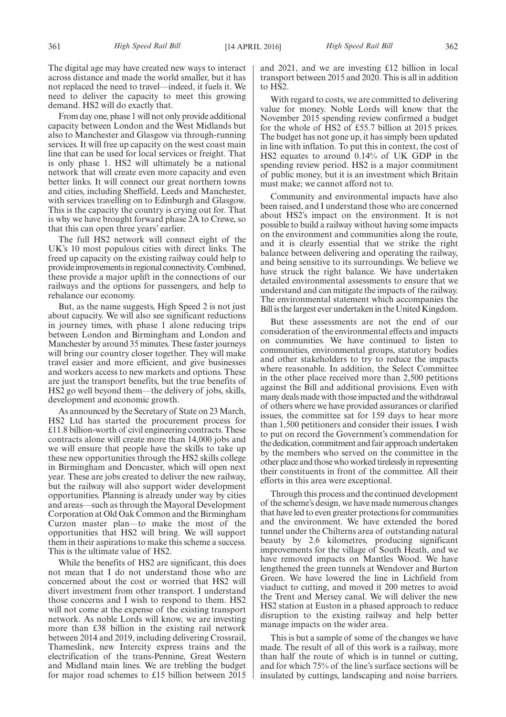The digital age may have created new ways to interact across distance and made the world smaller, but it has not replaced the need to travel—indeed, it fuels it. We need to deliver the capacity to meet this growing demand. HS2 will do exactly that.

From day one, phase 1 will not only provide additional capacity between London and the West Midlands but also to Manchester and Glasgow via through-running services. It will free up capacity on the west coast main line that can be used for local services or freight. That is only phase 1. HS2 will ultimately be a national network that will create even more capacity and even better links. It will connect our great northern towns and cities, including Sheffield, Leeds and Manchester, with services travelling on to Edinburgh and Glasgow. This is the capacity the country is crying out for. That is why we have brought forward phase 2A to Crewe, so that this can open three years' earlier.

The full HS2 network will connect eight of the UK's 10 most populous cities with direct links. The freed up capacity on the existing railway could help to provide improvements in regional connectivity. Combined, these provide a major uplift in the connections of our railways and the options for passengers, and help to rebalance our economy.

But, as the name suggests, High Speed 2 is not just about capacity. We will also see significant reductions in journey times, with phase 1 alone reducing trips between London and Birmingham and London and Manchester by around 35 minutes. These faster journeys will bring our country closer together. They will make travel easier and more efficient, and give businesses and workers access to new markets and options. These are just the transport benefits, but the true benefits of HS2 go well beyond them—the delivery of jobs, skills, development and economic growth.

As announced by the Secretary of State on 23 March, HS2 Ltd has started the procurement process for £11.8 billion-worth of civil engineering contracts. These contracts alone will create more than 14,000 jobs and we will ensure that people have the skills to take up these new opportunities through the HS2 skills college in Birmingham and Doncaster, which will open next year. These are jobs created to deliver the new railway, but the railway will also support wider development opportunities. Planning is already under way by cities and areas—such as through the Mayoral Development Corporation at Old Oak Common and the Birmingham Curzon master plan—to make the most of the opportunities that HS2 will bring. We will support them in their aspirations to make this scheme a success. This is the ultimate value of HS2.

While the benefits of HS2 are significant, this does not mean that I do not understand those who are concerned about the cost or worried that HS2 will divert investment from other transport. I understand those concerns and I wish to respond to them. HS2 will not come at the expense of the existing transport network. As noble Lords will know, we are investing more than £38 billion in the existing rail network between 2014 and 2019, including delivering Crossrail, Thameslink, new Intercity express trains and the electrification of the trans-Pennine, Great Western and Midland main lines. We are trebling the budget for major road schemes to £15 billion between 2015

and 2021, and we are investing £12 billion in local transport between 2015 and 2020. This is all in addition to HS2.

With regard to costs, we are committed to delivering value for money. Noble Lords will know that the November 2015 spending review confirmed a budget for the whole of HS2 of £55.7 billion at 2015 prices. The budget has not gone up, it has simply been updated in line with inflation. To put this in context, the cost of HS2 equates to around 0.14% of UK GDP in the spending review period. HS2 is a major commitment of public money, but it is an investment which Britain must make; we cannot afford not to.

Community and environmental impacts have also been raised, and I understand those who are concerned about HS2's impact on the environment. It is not possible to build a railway without having some impacts on the environment and communities along the route, and it is clearly essential that we strike the right balance between delivering and operating the railway, and being sensitive to its surroundings. We believe we have struck the right balance. We have undertaken detailed environmental assessments to ensure that we understand and can mitigate the impacts of the railway. The environmental statement which accompanies the Bill is the largest ever undertaken in the United Kingdom.

But these assessments are not the end of our consideration of the environmental effects and impacts on communities. We have continued to listen to communities, environmental groups, statutory bodies and other stakeholders to try to reduce the impacts where reasonable. In addition, the Select Committee in the other place received more than 2,500 petitions against the Bill and additional provisions. Even with many deals made with those impacted and the withdrawal of others where we have provided assurances or clarified issues, the committee sat for 159 days to hear more than 1,500 petitioners and consider their issues. I wish to put on record the Government's commendation for the dedication, commitment and fair approach undertaken by the members who served on the committee in the other place and those who worked tirelessly in representing their constituents in front of the committee. All their efforts in this area were exceptional.

Through this process and the continued development of the scheme's design, we have made numerous changes that have led to even greater protections for communities and the environment. We have extended the bored tunnel under the Chilterns area of outstanding natural beauty by 2.6 kilometres, producing significant improvements for the village of South Heath, and we have removed impacts on Mantles Wood. We have lengthened the green tunnels at Wendover and Burton Green. We have lowered the line in Lichfield from viaduct to cutting, and moved it 200 metres to avoid the Trent and Mersey canal. We will deliver the new HS2 station at Euston in a phased approach to reduce disruption to the existing railway and help better manage impacts on the wider area.

This is but a sample of some of the changes we have made. The result of all of this work is a railway, more than half the route of which is in tunnel or cutting, and for which 75% of the line's surface sections will be insulated by cuttings, landscaping and noise barriers.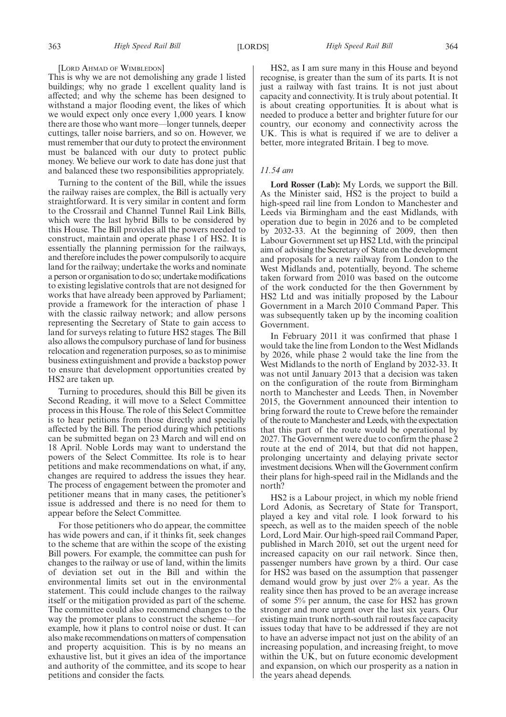#### [LORD AHMAD OF WIMBLEDON]

This is why we are not demolishing any grade 1 listed buildings; why no grade 1 excellent quality land is affected; and why the scheme has been designed to withstand a major flooding event, the likes of which we would expect only once every 1,000 years. I know there are those who want more—longer tunnels, deeper cuttings, taller noise barriers, and so on. However, we must remember that our duty to protect the environment must be balanced with our duty to protect public money. We believe our work to date has done just that and balanced these two responsibilities appropriately.

Turning to the content of the Bill, while the issues the railway raises are complex, the Bill is actually very straightforward. It is very similar in content and form to the Crossrail and Channel Tunnel Rail Link Bills, which were the last hybrid Bills to be considered by this House. The Bill provides all the powers needed to construct, maintain and operate phase 1 of HS2. It is essentially the planning permission for the railways, and therefore includes the power compulsorily to acquire land for the railway; undertake the works and nominate a person or organisation to do so; undertake modifications to existing legislative controls that are not designed for works that have already been approved by Parliament; provide a framework for the interaction of phase 1 with the classic railway network; and allow persons representing the Secretary of State to gain access to land for surveys relating to future HS2 stages. The Bill also allows the compulsory purchase of land for business relocation and regeneration purposes, so as to minimise business extinguishment and provide a backstop power to ensure that development opportunities created by HS2 are taken up.

Turning to procedures, should this Bill be given its Second Reading, it will move to a Select Committee process in this House. The role of this Select Committee is to hear petitions from those directly and specially affected by the Bill. The period during which petitions can be submitted began on 23 March and will end on 18 April. Noble Lords may want to understand the powers of the Select Committee. Its role is to hear petitions and make recommendations on what, if any, changes are required to address the issues they hear. The process of engagement between the promoter and petitioner means that in many cases, the petitioner's issue is addressed and there is no need for them to appear before the Select Committee.

For those petitioners who do appear, the committee has wide powers and can, if it thinks fit, seek changes to the scheme that are within the scope of the existing Bill powers. For example, the committee can push for changes to the railway or use of land, within the limits of deviation set out in the Bill and within the environmental limits set out in the environmental statement. This could include changes to the railway itself or the mitigation provided as part of the scheme. The committee could also recommend changes to the way the promoter plans to construct the scheme—for example, how it plans to control noise or dust. It can also make recommendations on matters of compensation and property acquisition. This is by no means an exhaustive list, but it gives an idea of the importance and authority of the committee, and its scope to hear petitions and consider the facts.

HS2, as I am sure many in this House and beyond recognise, is greater than the sum of its parts. It is not just a railway with fast trains. It is not just about capacity and connectivity. It is truly about potential. It is about creating opportunities. It is about what is needed to produce a better and brighter future for our country, our economy and connectivity across the UK. This is what is required if we are to deliver a better, more integrated Britain. I beg to move.

#### *11.54 am*

**Lord Rosser (Lab):** My Lords, we support the Bill. As the Minister said, HS2 is the project to build a high-speed rail line from London to Manchester and Leeds via Birmingham and the east Midlands, with operation due to begin in 2026 and to be completed by 2032-33. At the beginning of 2009, then then Labour Government set up HS2 Ltd, with the principal aim of advising the Secretary of State on the development and proposals for a new railway from London to the West Midlands and, potentially, beyond. The scheme taken forward from 2010 was based on the outcome of the work conducted for the then Government by HS2 Ltd and was initially proposed by the Labour Government in a March 2010 Command Paper. This was subsequently taken up by the incoming coalition Government.

In February 2011 it was confirmed that phase 1 would take the line from London to the West Midlands by 2026, while phase 2 would take the line from the West Midlands to the north of England by 2032-33. It was not until January 2013 that a decision was taken on the configuration of the route from Birmingham north to Manchester and Leeds. Then, in November 2015, the Government announced their intention to bring forward the route to Crewe before the remainder of the route to Manchester and Leeds, with the expectation that this part of the route would be operational by 2027. The Government were due to confirm the phase 2 route at the end of 2014, but that did not happen, prolonging uncertainty and delaying private sector investment decisions. When will the Government confirm their plans for high-speed rail in the Midlands and the north?

HS2 is a Labour project, in which my noble friend Lord Adonis, as Secretary of State for Transport, played a key and vital role. I look forward to his speech, as well as to the maiden speech of the noble Lord, Lord Mair. Our high-speed rail Command Paper, published in March 2010, set out the urgent need for increased capacity on our rail network. Since then, passenger numbers have grown by a third. Our case for HS2 was based on the assumption that passenger demand would grow by just over 2% a year. As the reality since then has proved to be an average increase of some 5% per annum, the case for HS2 has grown stronger and more urgent over the last six years. Our existing main trunk north-south rail routes face capacity issues today that have to be addressed if they are not to have an adverse impact not just on the ability of an increasing population, and increasing freight, to move within the UK, but on future economic development and expansion, on which our prosperity as a nation in the years ahead depends.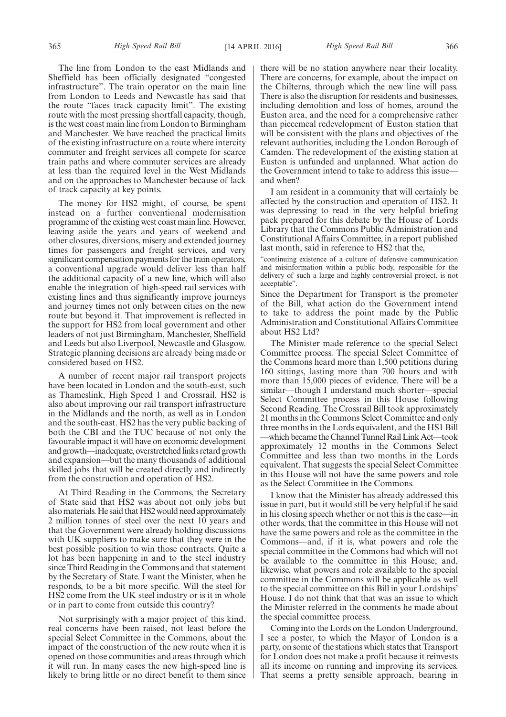The line from London to the east Midlands and Sheffield has been officially designated "congested infrastructure". The train operator on the main line from London to Leeds and Newcastle has said that the route "faces track capacity limit". The existing route with the most pressing shortfall capacity, though, is the west coast main line from London to Birmingham and Manchester. We have reached the practical limits of the existing infrastructure on a route where intercity commuter and freight services all compete for scarce train paths and where commuter services are already at less than the required level in the West Midlands and on the approaches to Manchester because of lack of track capacity at key points.

The money for HS2 might, of course, be spent instead on a further conventional modernisation programme of the existing west coast main line. However, leaving aside the years and years of weekend and other closures, diversions, misery and extended journey times for passengers and freight services, and very significant compensation payments for the train operators, a conventional upgrade would deliver less than half the additional capacity of a new line, which will also enable the integration of high-speed rail services with existing lines and thus significantly improve journeys and journey times not only between cities on the new route but beyond it. That improvement is reflected in the support for HS2 from local government and other leaders of not just Birmingham, Manchester, Sheffield and Leeds but also Liverpool, Newcastle and Glasgow. Strategic planning decisions are already being made or considered based on HS2.

A number of recent major rail transport projects have been located in London and the south-east, such as Thameslink, High Speed 1 and Crossrail. HS2 is also about improving our rail transport infrastructure in the Midlands and the north, as well as in London and the south-east. HS2 has the very public backing of both the CBI and the TUC because of not only the favourable impact it will have on economic development and growth—inadequate, overstretched links retard growth and expansion—but the many thousands of additional skilled jobs that will be created directly and indirectly from the construction and operation of HS2.

At Third Reading in the Commons, the Secretary of State said that HS2 was about not only jobs but also materials. He said that HS2 would need approximately 2 million tonnes of steel over the next 10 years and that the Government were already holding discussions with UK suppliers to make sure that they were in the best possible position to win those contracts. Quite a lot has been happening in and to the steel industry since Third Reading in the Commons and that statement by the Secretary of State. I want the Minister, when he responds, to be a bit more specific. Will the steel for HS2 come from the UK steel industry or is it in whole or in part to come from outside this country?

Not surprisingly with a major project of this kind, real concerns have been raised, not least before the special Select Committee in the Commons, about the impact of the construction of the new route when it is opened on those communities and areas through which it will run. In many cases the new high-speed line is likely to bring little or no direct benefit to them since there will be no station anywhere near their locality. There are concerns, for example, about the impact on the Chilterns, through which the new line will pass. There is also the disruption for residents and businesses, including demolition and loss of homes, around the Euston area, and the need for a comprehensive rather than piecemeal redevelopment of Euston station that will be consistent with the plans and objectives of the relevant authorities, including the London Borough of Camden. The redevelopment of the existing station at Euston is unfunded and unplanned. What action do the Government intend to take to address this issue and when?

I am resident in a community that will certainly be affected by the construction and operation of HS2. It was depressing to read in the very helpful briefing pack prepared for this debate by the House of Lords Library that the Commons Public Administration and Constitutional Affairs Committee, in a report published last month, said in reference to HS2 that the,

"continuing existence of a culture of defensive communication and misinformation within a public body, responsible for the delivery of such a large and highly controversial project, is not acceptable".

Since the Department for Transport is the promoter of the Bill, what action do the Government intend to take to address the point made by the Public Administration and Constitutional Affairs Committee about HS2 Ltd?

The Minister made reference to the special Select Committee process. The special Select Committee of the Commons heard more than 1,500 petitions during 160 sittings, lasting more than 700 hours and with more than 15,000 pieces of evidence. There will be a similar—though I understand much shorter—special Select Committee process in this House following Second Reading. The Crossrail Bill took approximately 21 months in the Commons Select Committee and only three months in the Lords equivalent, and the HS1 Bill —which became the Channel Tunnel Rail Link Act—took approximately 12 months in the Commons Select Committee and less than two months in the Lords equivalent. That suggests the special Select Committee in this House will not have the same powers and role as the Select Committee in the Commons.

I know that the Minister has already addressed this issue in part, but it would still be very helpful if he said in his closing speech whether or not this is the case—in other words, that the committee in this House will not have the same powers and role as the committee in the Commons—and, if it is, what powers and role the special committee in the Commons had which will not be available to the committee in this House; and, likewise, what powers and role available to the special committee in the Commons will be applicable as well to the special committee on this Bill in your Lordships' House. I do not think that that was an issue to which the Minister referred in the comments he made about the special committee process.

Coming into the Lords on the London Underground, I see a poster, to which the Mayor of London is a party, on some of the stations which states that Transport for London does not make a profit because it reinvests all its income on running and improving its services. That seems a pretty sensible approach, bearing in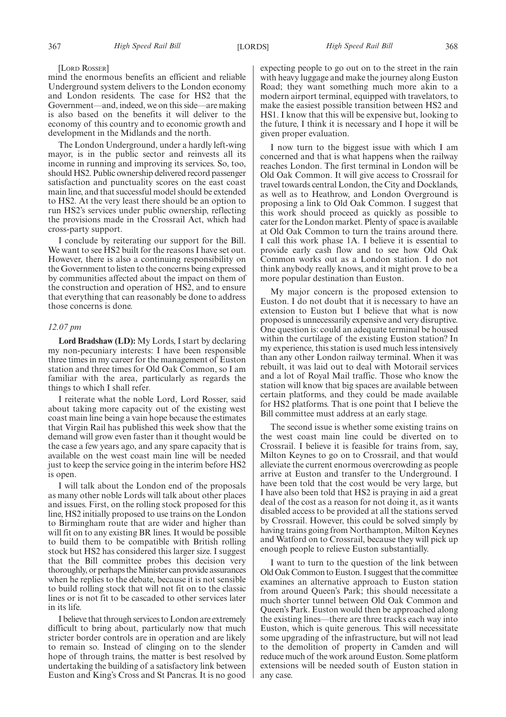#### [LORD ROSSER]

mind the enormous benefits an efficient and reliable Underground system delivers to the London economy and London residents. The case for HS2 that the Government—and, indeed, we on this side—are making is also based on the benefits it will deliver to the economy of this country and to economic growth and development in the Midlands and the north.

The London Underground, under a hardly left-wing mayor, is in the public sector and reinvests all its income in running and improving its services. So, too, should HS2. Public ownership delivered record passenger satisfaction and punctuality scores on the east coast main line, and that successful model should be extended to HS2. At the very least there should be an option to run HS2's services under public ownership, reflecting the provisions made in the Crossrail Act, which had cross-party support.

I conclude by reiterating our support for the Bill. We want to see HS2 built for the reasons I have set out. However, there is also a continuing responsibility on the Government to listen to the concerns being expressed by communities affected about the impact on them of the construction and operation of HS2, and to ensure that everything that can reasonably be done to address those concerns is done.

#### *12.07 pm*

**Lord Bradshaw (LD):** My Lords, I start by declaring my non-pecuniary interests: I have been responsible three times in my career for the management of Euston station and three times for Old Oak Common, so I am familiar with the area, particularly as regards the things to which I shall refer.

I reiterate what the noble Lord, Lord Rosser, said about taking more capacity out of the existing west coast main line being a vain hope because the estimates that Virgin Rail has published this week show that the demand will grow even faster than it thought would be the case a few years ago, and any spare capacity that is available on the west coast main line will be needed just to keep the service going in the interim before HS2 is open.

I will talk about the London end of the proposals as many other noble Lords will talk about other places and issues. First, on the rolling stock proposed for this line, HS2 initially proposed to use trains on the London to Birmingham route that are wider and higher than will fit on to any existing BR lines. It would be possible to build them to be compatible with British rolling stock but HS2 has considered this larger size. I suggest that the Bill committee probes this decision very thoroughly, or perhaps the Minister can provide assurances when he replies to the debate, because it is not sensible to build rolling stock that will not fit on to the classic lines or is not fit to be cascaded to other services later in its life.

I believe that through services to London are extremely difficult to bring about, particularly now that much stricter border controls are in operation and are likely to remain so. Instead of clinging on to the slender hope of through trains, the matter is best resolved by undertaking the building of a satisfactory link between Euston and King's Cross and St Pancras. It is no good expecting people to go out on to the street in the rain with heavy luggage and make the journey along Euston Road; they want something much more akin to a modern airport terminal, equipped with travelators, to make the easiest possible transition between HS2 and HS1. I know that this will be expensive but, looking to the future, I think it is necessary and I hope it will be given proper evaluation.

I now turn to the biggest issue with which I am concerned and that is what happens when the railway reaches London. The first terminal in London will be Old Oak Common. It will give access to Crossrail for travel towards central London, the City and Docklands, as well as to Heathrow, and London Overground is proposing a link to Old Oak Common. I suggest that this work should proceed as quickly as possible to cater for the London market. Plenty of space is available at Old Oak Common to turn the trains around there. I call this work phase 1A. I believe it is essential to provide early cash flow and to see how Old Oak Common works out as a London station. I do not think anybody really knows, and it might prove to be a more popular destination than Euston.

My major concern is the proposed extension to Euston. I do not doubt that it is necessary to have an extension to Euston but I believe that what is now proposed is unnecessarily expensive and very disruptive. One question is: could an adequate terminal be housed within the curtilage of the existing Euston station? In my experience, this station is used much less intensively than any other London railway terminal. When it was rebuilt, it was laid out to deal with Motorail services and a lot of Royal Mail traffic. Those who know the station will know that big spaces are available between certain platforms, and they could be made available for HS2 platforms. That is one point that I believe the Bill committee must address at an early stage.

The second issue is whether some existing trains on the west coast main line could be diverted on to Crossrail. I believe it is feasible for trains from, say, Milton Keynes to go on to Crossrail, and that would alleviate the current enormous overcrowding as people arrive at Euston and transfer to the Underground. I have been told that the cost would be very large, but I have also been told that HS2 is praying in aid a great deal of the cost as a reason for not doing it, as it wants disabled access to be provided at all the stations served by Crossrail. However, this could be solved simply by having trains going from Northampton, Milton Keynes and Watford on to Crossrail, because they will pick up enough people to relieve Euston substantially.

I want to turn to the question of the link between Old Oak Common to Euston. I suggest that the committee examines an alternative approach to Euston station from around Queen's Park; this should necessitate a much shorter tunnel between Old Oak Common and Queen's Park. Euston would then be approached along the existing lines—there are three tracks each way into Euston, which is quite generous. This will necessitate some upgrading of the infrastructure, but will not lead to the demolition of property in Camden and will reduce much of the work around Euston. Some platform extensions will be needed south of Euston station in any case.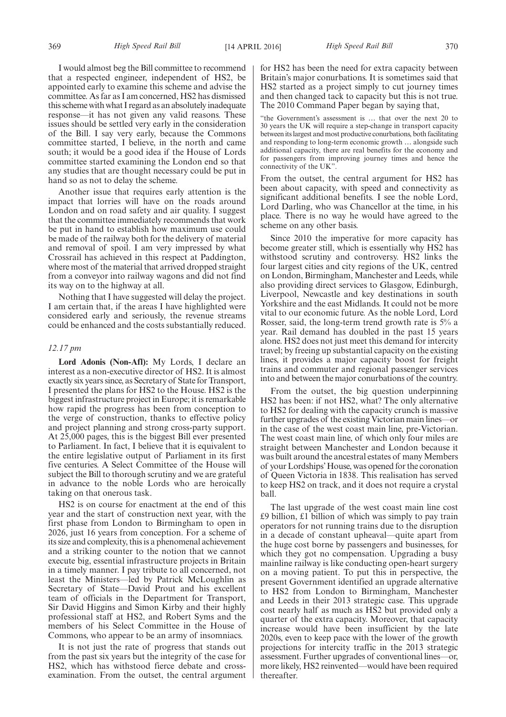I would almost beg the Bill committee to recommend that a respected engineer, independent of HS2, be appointed early to examine this scheme and advise the committee. As far as I am concerned, HS2 has dismissed this scheme with what I regard as an absolutely inadequate response—it has not given any valid reasons. These issues should be settled very early in the consideration of the Bill. I say very early, because the Commons committee started, I believe, in the north and came south; it would be a good idea if the House of Lords committee started examining the London end so that any studies that are thought necessary could be put in hand so as not to delay the scheme.

Another issue that requires early attention is the impact that lorries will have on the roads around London and on road safety and air quality. I suggest that the committee immediately recommends that work be put in hand to establish how maximum use could be made of the railway both for the delivery of material and removal of spoil. I am very impressed by what Crossrail has achieved in this respect at Paddington, where most of the material that arrived dropped straight from a conveyor into railway wagons and did not find its way on to the highway at all.

Nothing that I have suggested will delay the project. I am certain that, if the areas I have highlighted were considered early and seriously, the revenue streams could be enhanced and the costs substantially reduced.

#### *12.17 pm*

**Lord Adonis (Non-Afl):** My Lords, I declare an interest as a non-executive director of HS2. It is almost exactly six years since, as Secretary of State for Transport, I presented the plans for HS2 to the House. HS2 is the biggest infrastructure project in Europe; it is remarkable how rapid the progress has been from conception to the verge of construction, thanks to effective policy and project planning and strong cross-party support. At 25,000 pages, this is the biggest Bill ever presented to Parliament. In fact, I believe that it is equivalent to the entire legislative output of Parliament in its first five centuries. A Select Committee of the House will subject the Bill to thorough scrutiny and we are grateful in advance to the noble Lords who are heroically taking on that onerous task.

HS2 is on course for enactment at the end of this year and the start of construction next year, with the first phase from London to Birmingham to open in 2026, just 16 years from conception. For a scheme of its size and complexity, this is a phenomenal achievement and a striking counter to the notion that we cannot execute big, essential infrastructure projects in Britain in a timely manner. I pay tribute to all concerned, not least the Ministers—led by Patrick McLoughlin as Secretary of State—David Prout and his excellent team of officials in the Department for Transport, Sir David Higgins and Simon Kirby and their highly professional staff at HS2, and Robert Syms and the members of his Select Committee in the House of Commons, who appear to be an army of insomniacs.

It is not just the rate of progress that stands out from the past six years but the integrity of the case for HS2, which has withstood fierce debate and crossexamination. From the outset, the central argument for HS2 has been the need for extra capacity between Britain's major conurbations. It is sometimes said that HS2 started as a project simply to cut journey times and then changed tack to capacity but this is not true. The 2010 Command Paper began by saying that,

"the Government's assessment is … that over the next 20 to 30 years the UK will require a step-change in transport capacity between its largest and most productive conurbations, both facilitating and responding to long-term economic growth … alongside such additional capacity, there are real benefits for the economy and for passengers from improving journey times and hence the connectivity of the UK".

From the outset, the central argument for HS2 has been about capacity, with speed and connectivity as significant additional benefits. I see the noble Lord, Lord Darling, who was Chancellor at the time, in his place. There is no way he would have agreed to the scheme on any other basis.

Since 2010 the imperative for more capacity has become greater still, which is essentially why HS2 has withstood scrutiny and controversy. HS2 links the four largest cities and city regions of the UK, centred on London, Birmingham, Manchester and Leeds, while also providing direct services to Glasgow, Edinburgh, Liverpool, Newcastle and key destinations in south Yorkshire and the east Midlands. It could not be more vital to our economic future. As the noble Lord, Lord Rosser, said, the long-term trend growth rate is 5% a year. Rail demand has doubled in the past 15 years alone. HS2 does not just meet this demand for intercity travel; by freeing up substantial capacity on the existing lines, it provides a major capacity boost for freight trains and commuter and regional passenger services into and between the major conurbations of the country.

From the outset, the big question underpinning HS2 has been: if not HS2, what? The only alternative to HS2 for dealing with the capacity crunch is massive further upgrades of the existing Victorian main lines—or in the case of the west coast main line, pre-Victorian. The west coast main line, of which only four miles are straight between Manchester and London because it was built around the ancestral estates of many Members of your Lordships'House, was opened for the coronation of Queen Victoria in 1838. This realisation has served to keep HS2 on track, and it does not require a crystal ball.

The last upgrade of the west coast main line cost £9 billion, £1 billion of which was simply to pay train operators for not running trains due to the disruption in a decade of constant upheaval—quite apart from the huge cost borne by passengers and businesses, for which they got no compensation. Upgrading a busy mainline railway is like conducting open-heart surgery on a moving patient. To put this in perspective, the present Government identified an upgrade alternative to HS2 from London to Birmingham, Manchester and Leeds in their 2013 strategic case. This upgrade cost nearly half as much as HS2 but provided only a quarter of the extra capacity. Moreover, that capacity increase would have been insufficient by the late 2020s, even to keep pace with the lower of the growth projections for intercity traffic in the 2013 strategic assessment. Further upgrades of conventional lines—or, more likely, HS2 reinvented—would have been required thereafter.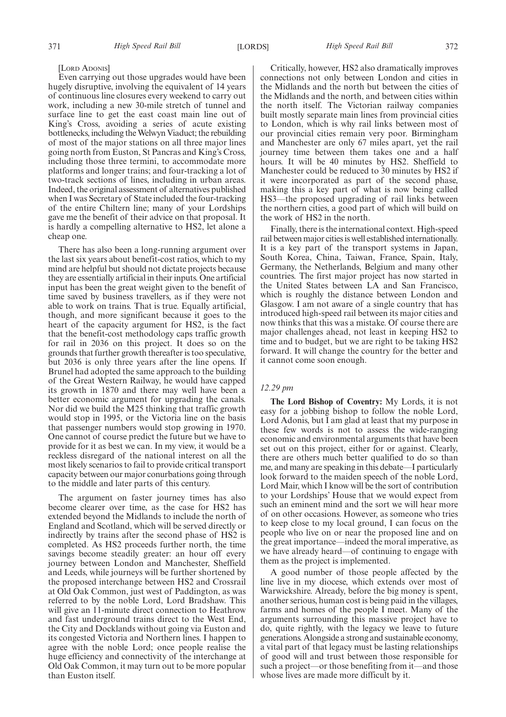#### [LORD ADONIS]

Even carrying out those upgrades would have been hugely disruptive, involving the equivalent of 14 years of continuous line closures every weekend to carry out work, including a new 30-mile stretch of tunnel and surface line to get the east coast main line out of King's Cross, avoiding a series of acute existing bottlenecks, including the Welwyn Viaduct; the rebuilding of most of the major stations on all three major lines going north from Euston, St Pancras and King's Cross, including those three termini, to accommodate more platforms and longer trains; and four-tracking a lot of two-track sections of lines, including in urban areas. Indeed, the original assessment of alternatives published when I was Secretary of State included the four-tracking of the entire Chiltern line; many of your Lordships gave me the benefit of their advice on that proposal. It is hardly a compelling alternative to HS2, let alone a cheap one.

There has also been a long-running argument over the last six years about benefit-cost ratios, which to my mind are helpful but should not dictate projects because they are essentially artificial in their inputs. One artificial input has been the great weight given to the benefit of time saved by business travellers, as if they were not able to work on trains. That is true. Equally artificial, though, and more significant because it goes to the heart of the capacity argument for HS2, is the fact that the benefit-cost methodology caps traffic growth for rail in 2036 on this project. It does so on the grounds that further growth thereafter is too speculative, but 2036 is only three years after the line opens. If Brunel had adopted the same approach to the building of the Great Western Railway, he would have capped its growth in 1870 and there may well have been a better economic argument for upgrading the canals. Nor did we build the M25 thinking that traffic growth would stop in 1995, or the Victoria line on the basis that passenger numbers would stop growing in 1970. One cannot of course predict the future but we have to provide for it as best we can. In my view, it would be a reckless disregard of the national interest on all the most likely scenarios to fail to provide critical transport capacity between our major conurbations going through to the middle and later parts of this century.

The argument on faster journey times has also become clearer over time, as the case for HS2 has extended beyond the Midlands to include the north of England and Scotland, which will be served directly or indirectly by trains after the second phase of HS2 is completed. As HS2 proceeds further north, the time savings become steadily greater: an hour off every journey between London and Manchester, Sheffield and Leeds, while journeys will be further shortened by the proposed interchange between HS2 and Crossrail at Old Oak Common, just west of Paddington, as was referred to by the noble Lord, Lord Bradshaw. This will give an 11-minute direct connection to Heathrow and fast underground trains direct to the West End, the City and Docklands without going via Euston and its congested Victoria and Northern lines. I happen to agree with the noble Lord; once people realise the huge efficiency and connectivity of the interchange at Old Oak Common, it may turn out to be more popular than Euston itself.

Critically, however, HS2 also dramatically improves connections not only between London and cities in the Midlands and the north but between the cities of the Midlands and the north, and between cities within the north itself. The Victorian railway companies built mostly separate main lines from provincial cities to London, which is why rail links between most of our provincial cities remain very poor. Birmingham and Manchester are only 67 miles apart, yet the rail journey time between them takes one and a half hours. It will be 40 minutes by HS2. Sheffield to Manchester could be reduced to 30 minutes by HS2 if it were incorporated as part of the second phase, making this a key part of what is now being called HS3—the proposed upgrading of rail links between the northern cities, a good part of which will build on the work of HS2 in the north.

Finally, there is the international context. High-speed rail between major cities is well established internationally. It is a key part of the transport systems in Japan, South Korea, China, Taiwan, France, Spain, Italy, Germany, the Netherlands, Belgium and many other countries. The first major project has now started in the United States between LA and San Francisco, which is roughly the distance between London and Glasgow. I am not aware of a single country that has introduced high-speed rail between its major cities and now thinks that this was a mistake. Of course there are major challenges ahead, not least in keeping HS2 to time and to budget, but we are right to be taking HS2 forward. It will change the country for the better and it cannot come soon enough.

#### *12.29 pm*

**The Lord Bishop of Coventry:** My Lords, it is not easy for a jobbing bishop to follow the noble Lord, Lord Adonis, but I am glad at least that my purpose in these few words is not to assess the wide-ranging economic and environmental arguments that have been set out on this project, either for or against. Clearly, there are others much better qualified to do so than me, and many are speaking in this debate—I particularly look forward to the maiden speech of the noble Lord, Lord Mair, which I know will be the sort of contribution to your Lordships' House that we would expect from such an eminent mind and the sort we will hear more of on other occasions. However, as someone who tries to keep close to my local ground, I can focus on the people who live on or near the proposed line and on the great importance—indeed the moral imperative, as we have already heard—of continuing to engage with them as the project is implemented.

A good number of those people affected by the line live in my diocese, which extends over most of Warwickshire. Already, before the big money is spent, another serious, human cost is being paid in the villages, farms and homes of the people I meet. Many of the arguments surrounding this massive project have to do, quite rightly, with the legacy we leave to future generations. Alongside a strong and sustainable economy, a vital part of that legacy must be lasting relationships of good will and trust between those responsible for such a project—or those benefiting from it—and those whose lives are made more difficult by it.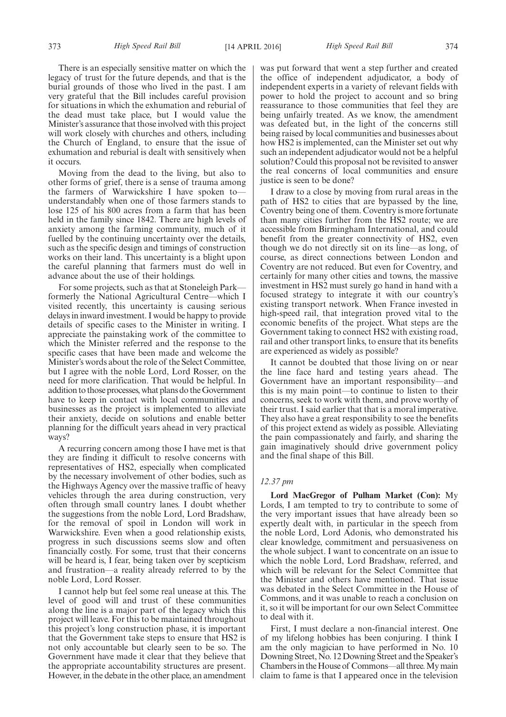There is an especially sensitive matter on which the legacy of trust for the future depends, and that is the burial grounds of those who lived in the past. I am very grateful that the Bill includes careful provision for situations in which the exhumation and reburial of the dead must take place, but I would value the Minister's assurance that those involved with this project will work closely with churches and others, including the Church of England, to ensure that the issue of exhumation and reburial is dealt with sensitively when it occurs.

Moving from the dead to the living, but also to other forms of grief, there is a sense of trauma among the farmers of Warwickshire I have spoken to understandably when one of those farmers stands to lose 125 of his 800 acres from a farm that has been held in the family since 1842. There are high levels of anxiety among the farming community, much of it fuelled by the continuing uncertainty over the details, such as the specific design and timings of construction works on their land. This uncertainty is a blight upon the careful planning that farmers must do well in advance about the use of their holdings.

For some projects, such as that at Stoneleigh Park formerly the National Agricultural Centre—which I visited recently, this uncertainty is causing serious delays in inward investment. I would be happy to provide details of specific cases to the Minister in writing. I appreciate the painstaking work of the committee to which the Minister referred and the response to the specific cases that have been made and welcome the Minister's words about the role of the Select Committee, but I agree with the noble Lord, Lord Rosser, on the need for more clarification. That would be helpful. In addition to those processes, what plans do the Government have to keep in contact with local communities and businesses as the project is implemented to alleviate their anxiety, decide on solutions and enable better planning for the difficult years ahead in very practical ways?

A recurring concern among those I have met is that they are finding it difficult to resolve concerns with representatives of HS2, especially when complicated by the necessary involvement of other bodies, such as the Highways Agency over the massive traffic of heavy vehicles through the area during construction, very often through small country lanes. I doubt whether the suggestions from the noble Lord, Lord Bradshaw, for the removal of spoil in London will work in Warwickshire. Even when a good relationship exists, progress in such discussions seems slow and often financially costly. For some, trust that their concerns will be heard is, I fear, being taken over by scepticism and frustration—a reality already referred to by the noble Lord, Lord Rosser.

I cannot help but feel some real unease at this. The level of good will and trust of these communities along the line is a major part of the legacy which this project will leave. For this to be maintained throughout this project's long construction phase, it is important that the Government take steps to ensure that HS2 is not only accountable but clearly seen to be so. The Government have made it clear that they believe that the appropriate accountability structures are present. However, in the debate in the other place, an amendment was put forward that went a step further and created the office of independent adjudicator, a body of independent experts in a variety of relevant fields with power to hold the project to account and so bring reassurance to those communities that feel they are being unfairly treated. As we know, the amendment was defeated but, in the light of the concerns still being raised by local communities and businesses about how HS2 is implemented, can the Minister set out why such an independent adjudicator would not be a helpful solution? Could this proposal not be revisited to answer the real concerns of local communities and ensure justice is seen to be done?

I draw to a close by moving from rural areas in the path of HS2 to cities that are bypassed by the line, Coventry being one of them. Coventry is more fortunate than many cities further from the HS2 route; we are accessible from Birmingham International, and could benefit from the greater connectivity of HS2, even though we do not directly sit on its line—as long, of course, as direct connections between London and Coventry are not reduced. But even for Coventry, and certainly for many other cities and towns, the massive investment in HS2 must surely go hand in hand with a focused strategy to integrate it with our country's existing transport network. When France invested in high-speed rail, that integration proved vital to the economic benefits of the project. What steps are the Government taking to connect HS2 with existing road, rail and other transport links, to ensure that its benefits are experienced as widely as possible?

It cannot be doubted that those living on or near the line face hard and testing years ahead. The Government have an important responsibility—and this is my main point—to continue to listen to their concerns, seek to work with them, and prove worthy of their trust. I said earlier that that is a moral imperative. They also have a great responsibility to see the benefits of this project extend as widely as possible. Alleviating the pain compassionately and fairly, and sharing the gain imaginatively should drive government policy and the final shape of this Bill.

#### *12.37 pm*

**Lord MacGregor of Pulham Market (Con):** My Lords, I am tempted to try to contribute to some of the very important issues that have already been so expertly dealt with, in particular in the speech from the noble Lord, Lord Adonis, who demonstrated his clear knowledge, commitment and persuasiveness on the whole subject. I want to concentrate on an issue to which the noble Lord, Lord Bradshaw, referred, and which will be relevant for the Select Committee that the Minister and others have mentioned. That issue was debated in the Select Committee in the House of Commons, and it was unable to reach a conclusion on it, so it will be important for our own Select Committee to deal with it.

First, I must declare a non-financial interest. One of my lifelong hobbies has been conjuring. I think I am the only magician to have performed in No. 10 Downing Street, No. 12 Downing Street and the Speaker's Chambers in the House of Commons—all three. My main claim to fame is that I appeared once in the television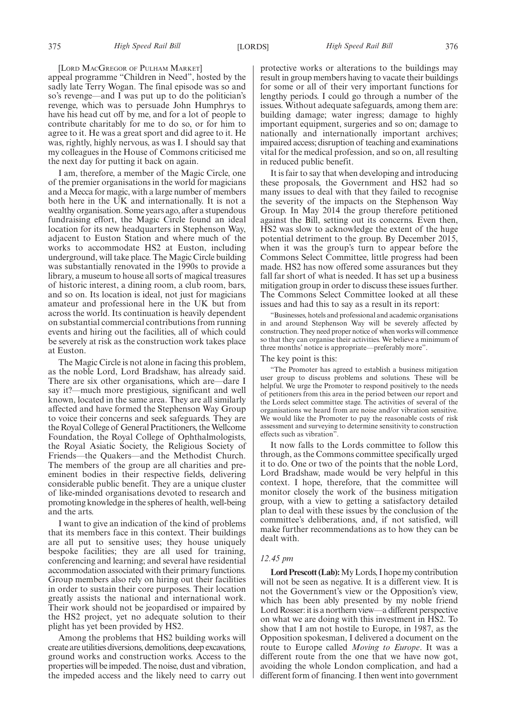[LORD MACGREGOR OF PULHAM MARKET]

appeal programme "Children in Need", hosted by the sadly late Terry Wogan. The final episode was so and so's revenge—and I was put up to do the politician's revenge, which was to persuade John Humphrys to have his head cut off by me, and for a lot of people to contribute charitably for me to do so, or for him to agree to it. He was a great sport and did agree to it. He was, rightly, highly nervous, as was I. I should say that my colleagues in the House of Commons criticised me the next day for putting it back on again.

I am, therefore, a member of the Magic Circle, one of the premier organisations in the world for magicians and a Mecca for magic, with a large number of members both here in the UK and internationally. It is not a wealthy organisation. Some years ago, after a stupendous fundraising effort, the Magic Circle found an ideal location for its new headquarters in Stephenson Way, adjacent to Euston Station and where much of the works to accommodate HS2 at Euston, including underground, will take place. The Magic Circle building was substantially renovated in the 1990s to provide a library, a museum to house all sorts of magical treasures of historic interest, a dining room, a club room, bars, and so on. Its location is ideal, not just for magicians amateur and professional here in the UK but from across the world. Its continuation is heavily dependent on substantial commercial contributions from running events and hiring out the facilities, all of which could be severely at risk as the construction work takes place at Euston.

The Magic Circle is not alone in facing this problem, as the noble Lord, Lord Bradshaw, has already said. There are six other organisations, which are—dare I say it?—much more prestigious, significant and well known, located in the same area. They are all similarly affected and have formed the Stephenson Way Group to voice their concerns and seek safeguards. They are the Royal College of General Practitioners, the Wellcome Foundation, the Royal College of Ophthalmologists, the Royal Asiatic Society, the Religious Society of Friends—the Quakers—and the Methodist Church. The members of the group are all charities and preeminent bodies in their respective fields, delivering considerable public benefit. They are a unique cluster of like-minded organisations devoted to research and promoting knowledge in the spheres of health, well-being and the arts.

I want to give an indication of the kind of problems that its members face in this context. Their buildings are all put to sensitive uses; they house uniquely bespoke facilities; they are all used for training, conferencing and learning; and several have residential accommodation associated with their primary functions. Group members also rely on hiring out their facilities in order to sustain their core purposes. Their location greatly assists the national and international work. Their work should not be jeopardised or impaired by the HS2 project, yet no adequate solution to their plight has yet been provided by HS2.

Among the problems that HS2 building works will create are utilities diversions, demolitions, deep excavations, ground works and construction works. Access to the properties will be impeded. The noise, dust and vibration, the impeded access and the likely need to carry out protective works or alterations to the buildings may result in group members having to vacate their buildings for some or all of their very important functions for lengthy periods. I could go through a number of the issues. Without adequate safeguards, among them are: building damage; water ingress; damage to highly important equipment, surgeries and so on; damage to nationally and internationally important archives; impaired access; disruption of teaching and examinations vital for the medical profession, and so on, all resulting in reduced public benefit.

It is fair to say that when developing and introducing these proposals, the Government and HS2 had so many issues to deal with that they failed to recognise the severity of the impacts on the Stephenson Way Group. In May 2014 the group therefore petitioned against the Bill, setting out its concerns. Even then, HS2 was slow to acknowledge the extent of the huge potential detriment to the group. By December 2015, when it was the group's turn to appear before the Commons Select Committee, little progress had been made. HS2 has now offered some assurances but they fall far short of what is needed. It has set up a business mitigation group in order to discuss these issues further. The Commons Select Committee looked at all these issues and had this to say as a result in its report:

"Businesses, hotels and professional and academic organisations in and around Stephenson Way will be severely affected by construction. They need proper notice of when works will commence so that they can organise their activities. We believe a minimum of three months' notice is appropriate—preferably more".

#### The key point is this:

"The Promoter has agreed to establish a business mitigation user group to discuss problems and solutions. These will be helpful. We urge the Promoter to respond positively to the needs of petitioners from this area in the period between our report and the Lords select committee stage. The activities of several of the organisations we heard from are noise and/or vibration sensitive. We would like the Promoter to pay the reasonable costs of risk assessment and surveying to determine sensitivity to construction effects such as vibration".

It now falls to the Lords committee to follow this through, as the Commons committee specifically urged it to do. One or two of the points that the noble Lord, Lord Bradshaw, made would be very helpful in this context. I hope, therefore, that the committee will monitor closely the work of the business mitigation group, with a view to getting a satisfactory detailed plan to deal with these issues by the conclusion of the committee's deliberations, and, if not satisfied, will make further recommendations as to how they can be dealt with.

#### *12.45 pm*

**Lord Prescott (Lab):**My Lords, I hope my contribution will not be seen as negative. It is a different view. It is not the Government's view or the Opposition's view, which has been ably presented by my noble friend Lord Rosser: it is a northern view—a different perspective on what we are doing with this investment in HS2. To show that I am not hostile to Europe, in 1987, as the Opposition spokesman, I delivered a document on the route to Europe called *Moving to Europe*. It was a different route from the one that we have now got, avoiding the whole London complication, and had a different form of financing. I then went into government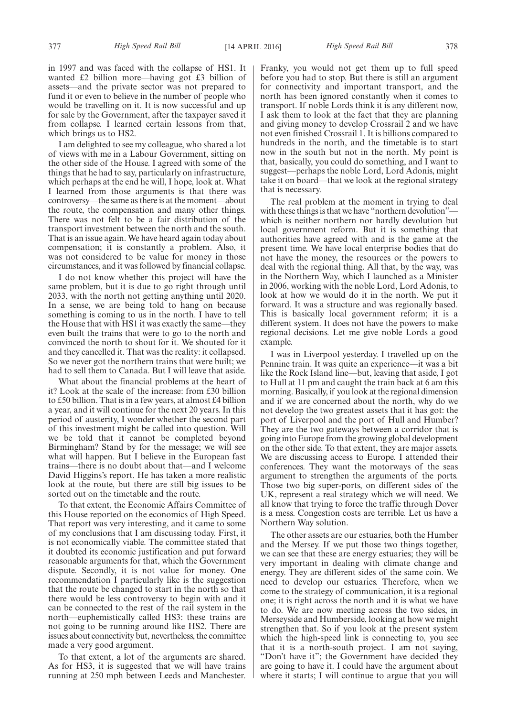in 1997 and was faced with the collapse of HS1. It wanted £2 billion more—having got £3 billion of assets—and the private sector was not prepared to fund it or even to believe in the number of people who would be travelling on it. It is now successful and up for sale by the Government, after the taxpayer saved it from collapse. I learned certain lessons from that, which brings us to HS2.

I am delighted to see my colleague, who shared a lot of views with me in a Labour Government, sitting on the other side of the House. I agreed with some of the things that he had to say, particularly on infrastructure, which perhaps at the end he will, I hope, look at. What I learned from those arguments is that there was controversy—the same as there is at the moment—about the route, the compensation and many other things. There was not felt to be a fair distribution of the transport investment between the north and the south. That is an issue again. We have heard again today about compensation; it is constantly a problem. Also, it was not considered to be value for money in those circumstances, and it was followed by financial collapse.

I do not know whether this project will have the same problem, but it is due to go right through until 2033, with the north not getting anything until 2020. In a sense, we are being told to hang on because something is coming to us in the north. I have to tell the House that with HS1 it was exactly the same—they even built the trains that were to go to the north and convinced the north to shout for it. We shouted for it and they cancelled it. That was the reality: it collapsed. So we never got the northern trains that were built; we had to sell them to Canada. But I will leave that aside.

What about the financial problems at the heart of it? Look at the scale of the increase: from £30 billion to £50 billion. That is in a few years, at almost £4 billion a year, and it will continue for the next 20 years. In this period of austerity, I wonder whether the second part of this investment might be called into question. Will we be told that it cannot be completed beyond Birmingham? Stand by for the message; we will see what will happen. But I believe in the European fast trains—there is no doubt about that—and I welcome David Higgins's report. He has taken a more realistic look at the route, but there are still big issues to be sorted out on the timetable and the route.

To that extent, the Economic Affairs Committee of this House reported on the economics of High Speed. That report was very interesting, and it came to some of my conclusions that I am discussing today. First, it is not economically viable. The committee stated that it doubted its economic justification and put forward reasonable arguments for that, which the Government dispute. Secondly, it is not value for money. One recommendation I particularly like is the suggestion that the route be changed to start in the north so that there would be less controversy to begin with and it can be connected to the rest of the rail system in the north—euphemistically called HS3: these trains are not going to be running around like HS2. There are issues about connectivity but, nevertheless, the committee made a very good argument.

To that extent, a lot of the arguments are shared. As for HS3, it is suggested that we will have trains running at 250 mph between Leeds and Manchester. Franky, you would not get them up to full speed before you had to stop. But there is still an argument for connectivity and important transport, and the north has been ignored constantly when it comes to transport. If noble Lords think it is any different now, I ask them to look at the fact that they are planning and giving money to develop Crossrail 2 and we have not even finished Crossrail 1. It is billions compared to hundreds in the north, and the timetable is to start now in the south but not in the north. My point is that, basically, you could do something, and I want to suggest—perhaps the noble Lord, Lord Adonis, might take it on board—that we look at the regional strategy that is necessary.

The real problem at the moment in trying to deal with these things is that we have "northern devolution"which is neither northern nor hardly devolution but local government reform. But it is something that authorities have agreed with and is the game at the present time. We have local enterprise bodies that do not have the money, the resources or the powers to deal with the regional thing. All that, by the way, was in the Northern Way, which I launched as a Minister in 2006, working with the noble Lord, Lord Adonis, to look at how we would do it in the north. We put it forward. It was a structure and was regionally based. This is basically local government reform; it is a different system. It does not have the powers to make regional decisions. Let me give noble Lords a good example.

I was in Liverpool yesterday. I travelled up on the Pennine train. It was quite an experience—it was a bit like the Rock Island line—but, leaving that aside, I got to Hull at 11 pm and caught the train back at 6 am this morning. Basically, if you look at the regional dimension and if we are concerned about the north, why do we not develop the two greatest assets that it has got: the port of Liverpool and the port of Hull and Humber? They are the two gateways between a corridor that is going into Europe from the growing global development on the other side. To that extent, they are major assets. We are discussing access to Europe. I attended their conferences. They want the motorways of the seas argument to strengthen the arguments of the ports. Those two big super-ports, on different sides of the UK, represent a real strategy which we will need. We all know that trying to force the traffic through Dover is a mess. Congestion costs are terrible. Let us have a Northern Way solution.

The other assets are our estuaries, both the Humber and the Mersey. If we put those two things together, we can see that these are energy estuaries; they will be very important in dealing with climate change and energy. They are different sides of the same coin. We need to develop our estuaries. Therefore, when we come to the strategy of communication, it is a regional one; it is right across the north and it is what we have to do. We are now meeting across the two sides, in Merseyside and Humberside, looking at how we might strengthen that. So if you look at the present system which the high-speed link is connecting to, you see that it is a north-south project. I am not saying, "Don't have it"; the Government have decided they are going to have it. I could have the argument about where it starts; I will continue to argue that you will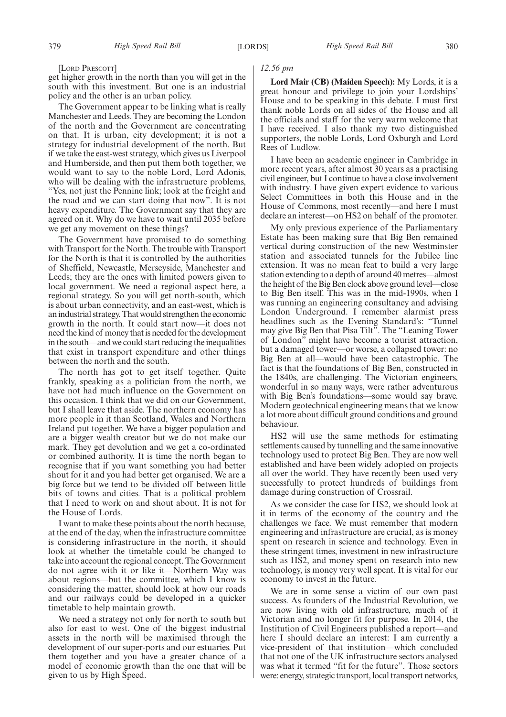[LORD PRESCOTT]

get higher growth in the north than you will get in the south with this investment. But one is an industrial policy and the other is an urban policy.

The Government appear to be linking what is really Manchester and Leeds. They are becoming the London of the north and the Government are concentrating on that. It is urban, city development; it is not a strategy for industrial development of the north. But if we take the east-west strategy, which gives us Liverpool and Humberside, and then put them both together, we would want to say to the noble Lord, Lord Adonis, who will be dealing with the infrastructure problems, "Yes, not just the Pennine link; look at the freight and the road and we can start doing that now". It is not heavy expenditure. The Government say that they are agreed on it. Why do we have to wait until 2035 before we get any movement on these things?

The Government have promised to do something with Transport for the North. The trouble with Transport for the North is that it is controlled by the authorities of Sheffield, Newcastle, Merseyside, Manchester and Leeds; they are the ones with limited powers given to local government. We need a regional aspect here, a regional strategy. So you will get north-south, which is about urban connectivity, and an east-west, which is an industrial strategy. That would strengthen the economic growth in the north. It could start now—it does not need the kind of money that is needed for the development in the south—and we could start reducing the inequalities that exist in transport expenditure and other things between the north and the south.

The north has got to get itself together. Quite frankly, speaking as a politician from the north, we have not had much influence on the Government on this occasion. I think that we did on our Government, but I shall leave that aside. The northern economy has more people in it than Scotland, Wales and Northern Ireland put together. We have a bigger population and are a bigger wealth creator but we do not make our mark. They get devolution and we get a co-ordinated or combined authority. It is time the north began to recognise that if you want something you had better shout for it and you had better get organised. We are a big force but we tend to be divided off between little bits of towns and cities. That is a political problem that I need to work on and shout about. It is not for the House of Lords.

I want to make these points about the north because, at the end of the day, when the infrastructure committee is considering infrastructure in the north, it should look at whether the timetable could be changed to take into account the regional concept. The Government do not agree with it or like it—Northern Way was about regions—but the committee, which I know is considering the matter, should look at how our roads and our railways could be developed in a quicker timetable to help maintain growth.

We need a strategy not only for north to south but also for east to west. One of the biggest industrial assets in the north will be maximised through the development of our super-ports and our estuaries. Put them together and you have a greater chance of a model of economic growth than the one that will be given to us by High Speed.

#### *12.56 pm*

**Lord Mair (CB) (Maiden Speech):** My Lords, it is a great honour and privilege to join your Lordships' House and to be speaking in this debate. I must first thank noble Lords on all sides of the House and all the officials and staff for the very warm welcome that I have received. I also thank my two distinguished supporters, the noble Lords, Lord Oxburgh and Lord Rees of Ludlow.

I have been an academic engineer in Cambridge in more recent years, after almost 30 years as a practising civil engineer, but I continue to have a close involvement with industry. I have given expert evidence to various Select Committees in both this House and in the House of Commons, most recently—and here I must declare an interest—on HS2 on behalf of the promoter.

My only previous experience of the Parliamentary Estate has been making sure that Big Ben remained vertical during construction of the new Westminster station and associated tunnels for the Jubilee line extension. It was no mean feat to build a very large station extending to a depth of around 40 metres—almost the height of the Big Ben clock above ground level—close to Big Ben itself. This was in the mid-1990s, when I was running an engineering consultancy and advising London Underground. I remember alarmist press headlines such as the Evening Standard's: "Tunnel may give Big Ben that Pisa Tilt". The "Leaning Tower of London" might have become a tourist attraction, but a damaged tower—or worse, a collapsed tower: no Big Ben at all—would have been catastrophic. The fact is that the foundations of Big Ben, constructed in the 1840s, are challenging. The Victorian engineers, wonderful in so many ways, were rather adventurous with Big Ben's foundations—some would say brave. Modern geotechnical engineering means that we know a lot more about difficult ground conditions and ground behaviour.

HS2 will use the same methods for estimating settlements caused by tunnelling and the same innovative technology used to protect Big Ben. They are now well established and have been widely adopted on projects all over the world. They have recently been used very successfully to protect hundreds of buildings from damage during construction of Crossrail.

As we consider the case for HS2, we should look at it in terms of the economy of the country and the challenges we face. We must remember that modern engineering and infrastructure are crucial, as is money spent on research in science and technology. Even in these stringent times, investment in new infrastructure such as HS2, and money spent on research into new technology, is money very well spent. It is vital for our economy to invest in the future.

We are in some sense a victim of our own past success. As founders of the Industrial Revolution, we are now living with old infrastructure, much of it Victorian and no longer fit for purpose. In 2014, the Institution of Civil Engineers published a report—and here I should declare an interest: I am currently a vice-president of that institution—which concluded that not one of the UK infrastructure sectors analysed was what it termed "fit for the future". Those sectors were: energy, strategic transport, local transport networks,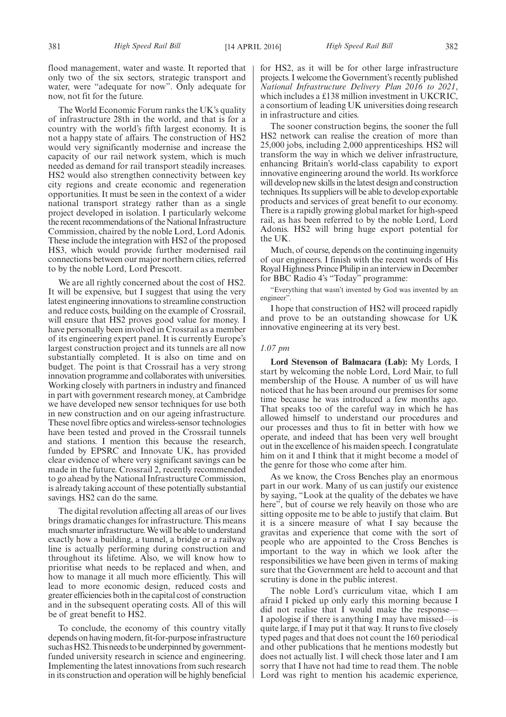flood management, water and waste. It reported that only two of the six sectors, strategic transport and water, were "adequate for now". Only adequate for now, not fit for the future.

The World Economic Forum ranks the UK's quality of infrastructure 28th in the world, and that is for a country with the world's fifth largest economy. It is not a happy state of affairs. The construction of HS2 would very significantly modernise and increase the capacity of our rail network system, which is much needed as demand for rail transport steadily increases. HS2 would also strengthen connectivity between key city regions and create economic and regeneration opportunities. It must be seen in the context of a wider national transport strategy rather than as a single project developed in isolation. I particularly welcome the recent recommendations of the National Infrastructure Commission, chaired by the noble Lord, Lord Adonis. These include the integration with HS2 of the proposed HS3, which would provide further modernised rail connections between our major northern cities, referred to by the noble Lord, Lord Prescott.

We are all rightly concerned about the cost of HS2. It will be expensive, but I suggest that using the very latest engineering innovations to streamline construction and reduce costs, building on the example of Crossrail, will ensure that HS2 proves good value for money. I have personally been involved in Crossrail as a member of its engineering expert panel. It is currently Europe's largest construction project and its tunnels are all now substantially completed. It is also on time and on budget. The point is that Crossrail has a very strong innovation programme and collaborates with universities. Working closely with partners in industry and financed in part with government research money, at Cambridge we have developed new sensor techniques for use both in new construction and on our ageing infrastructure. These novel fibre optics and wireless-sensor technologies have been tested and proved in the Crossrail tunnels and stations. I mention this because the research, funded by EPSRC and Innovate UK, has provided clear evidence of where very significant savings can be made in the future. Crossrail 2, recently recommended to go ahead by the National Infrastructure Commission, is already taking account of these potentially substantial savings. HS2 can do the same.

The digital revolution affecting all areas of our lives brings dramatic changes for infrastructure. This means much smarter infrastructure. We will be able to understand exactly how a building, a tunnel, a bridge or a railway line is actually performing during construction and throughout its lifetime. Also, we will know how to prioritise what needs to be replaced and when, and how to manage it all much more efficiently. This will lead to more economic design, reduced costs and greater efficiencies both in the capital cost of construction and in the subsequent operating costs. All of this will be of great benefit to HS2.

To conclude, the economy of this country vitally depends on having modern, fit-for-purpose infrastructure such as HS2. This needs to be underpinned by governmentfunded university research in science and engineering. Implementing the latest innovations from such research in its construction and operation will be highly beneficial for HS2, as it will be for other large infrastructure projects. I welcome the Government's recently published *National Infrastructure Delivery Plan 2016 to 2021*, which includes a £138 million investment in UKCRIC, a consortium of leading UK universities doing research in infrastructure and cities.

The sooner construction begins, the sooner the full HS2 network can realise the creation of more than 25,000 jobs, including 2,000 apprenticeships. HS2 will transform the way in which we deliver infrastructure, enhancing Britain's world-class capability to export innovative engineering around the world. Its workforce will develop new skills in the latest design and construction techniques. Its suppliers will be able to develop exportable products and services of great benefit to our economy. There is a rapidly growing global market for high-speed rail, as has been referred to by the noble Lord, Lord Adonis. HS2 will bring huge export potential for the UK.

Much, of course, depends on the continuing ingenuity of our engineers. I finish with the recent words of His Royal Highness Prince Philip in an interview in December for BBC Radio 4's "Today" programme:

"Everything that wasn't invented by God was invented by an engineer".

I hope that construction of HS2 will proceed rapidly and prove to be an outstanding showcase for UK innovative engineering at its very best.

#### *1.07 pm*

**Lord Stevenson of Balmacara (Lab):** My Lords, I start by welcoming the noble Lord, Lord Mair, to full membership of the House. A number of us will have noticed that he has been around our premises for some time because he was introduced a few months ago. That speaks too of the careful way in which he has allowed himself to understand our procedures and our processes and thus to fit in better with how we operate, and indeed that has been very well brought out in the excellence of his maiden speech. I congratulate him on it and I think that it might become a model of the genre for those who come after him.

As we know, the Cross Benches play an enormous part in our work. Many of us can justify our existence by saying, "Look at the quality of the debates we have here", but of course we rely heavily on those who are sitting opposite me to be able to justify that claim. But it is a sincere measure of what I say because the gravitas and experience that come with the sort of people who are appointed to the Cross Benches is important to the way in which we look after the responsibilities we have been given in terms of making sure that the Government are held to account and that scrutiny is done in the public interest.

The noble Lord's curriculum vitae, which I am afraid I picked up only early this morning because I did not realise that I would make the response— I apologise if there is anything I may have missed—is quite large, if I may put it that way. It runs to five closely typed pages and that does not count the 160 periodical and other publications that he mentions modestly but does not actually list. I will check those later and I am sorry that I have not had time to read them. The noble Lord was right to mention his academic experience,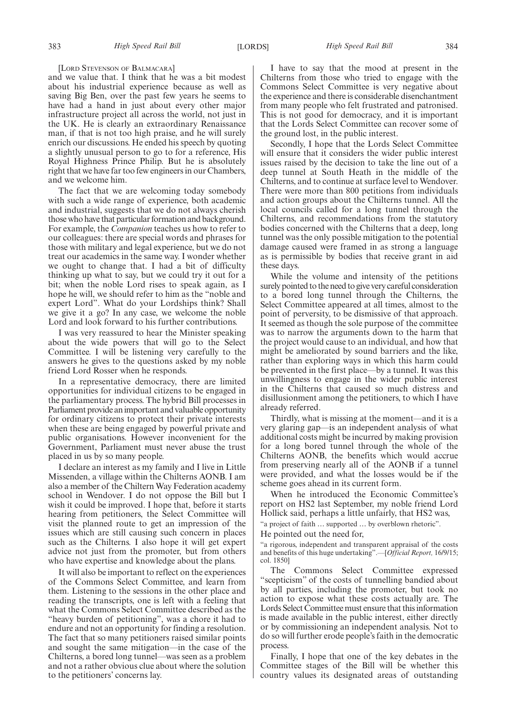#### [LORD STEVENSON OF BALMACARA]

and we value that. I think that he was a bit modest about his industrial experience because as well as saving Big Ben, over the past few years he seems to have had a hand in just about every other major infrastructure project all across the world, not just in the UK. He is clearly an extraordinary Renaissance man, if that is not too high praise, and he will surely enrich our discussions. He ended his speech by quoting a slightly unusual person to go to for a reference, His Royal Highness Prince Philip. But he is absolutely right that we have far too few engineers in our Chambers, and we welcome him.

The fact that we are welcoming today somebody with such a wide range of experience, both academic and industrial, suggests that we do not always cherish those who have that particular formation and background. For example, the *Companion* teaches us how to refer to our colleagues: there are special words and phrases for those with military and legal experience, but we do not treat our academics in the same way. I wonder whether we ought to change that. I had a bit of difficulty thinking up what to say, but we could try it out for a bit; when the noble Lord rises to speak again, as I hope he will, we should refer to him as the "noble and expert Lord". What do your Lordships think? Shall we give it a go? In any case, we welcome the noble Lord and look forward to his further contributions.

I was very reassured to hear the Minister speaking about the wide powers that will go to the Select Committee. I will be listening very carefully to the answers he gives to the questions asked by my noble friend Lord Rosser when he responds.

In a representative democracy, there are limited opportunities for individual citizens to be engaged in the parliamentary process. The hybrid Bill processes in Parliament provide an important and valuable opportunity for ordinary citizens to protect their private interests when these are being engaged by powerful private and public organisations. However inconvenient for the Government, Parliament must never abuse the trust placed in us by so many people.

I declare an interest as my family and I live in Little Missenden, a village within the Chilterns AONB. I am also a member of the Chiltern Way Federation academy school in Wendover. I do not oppose the Bill but I wish it could be improved. I hope that, before it starts hearing from petitioners, the Select Committee will visit the planned route to get an impression of the issues which are still causing such concern in places such as the Chilterns. I also hope it will get expert advice not just from the promoter, but from others who have expertise and knowledge about the plans.

It will also be important to reflect on the experiences of the Commons Select Committee, and learn from them. Listening to the sessions in the other place and reading the transcripts, one is left with a feeling that what the Commons Select Committee described as the "heavy burden of petitioning", was a chore it had to endure and not an opportunity for finding a resolution. The fact that so many petitioners raised similar points and sought the same mitigation—in the case of the Chilterns, a bored long tunnel—was seen as a problem and not a rather obvious clue about where the solution to the petitioners' concerns lay.

I have to say that the mood at present in the Chilterns from those who tried to engage with the Commons Select Committee is very negative about the experience and there is considerable disenchantment from many people who felt frustrated and patronised. This is not good for democracy, and it is important that the Lords Select Committee can recover some of the ground lost, in the public interest.

Secondly, I hope that the Lords Select Committee will ensure that it considers the wider public interest issues raised by the decision to take the line out of a deep tunnel at South Heath in the middle of the Chilterns, and to continue at surface level to Wendover. There were more than 800 petitions from individuals and action groups about the Chilterns tunnel. All the local councils called for a long tunnel through the Chilterns, and recommendations from the statutory bodies concerned with the Chilterns that a deep, long tunnel was the only possible mitigation to the potential damage caused were framed in as strong a language as is permissible by bodies that receive grant in aid these days.

While the volume and intensity of the petitions surely pointed to the need to give very careful consideration to a bored long tunnel through the Chilterns, the Select Committee appeared at all times, almost to the point of perversity, to be dismissive of that approach. It seemed as though the sole purpose of the committee was to narrow the arguments down to the harm that the project would cause to an individual, and how that might be ameliorated by sound barriers and the like, rather than exploring ways in which this harm could be prevented in the first place—by a tunnel. It was this unwillingness to engage in the wider public interest in the Chilterns that caused so much distress and disillusionment among the petitioners, to which I have already referred.

Thirdly, what is missing at the moment—and it is a very glaring gap—is an independent analysis of what additional costs might be incurred by making provision for a long bored tunnel through the whole of the Chilterns AONB, the benefits which would accrue from preserving nearly all of the AONB if a tunnel were provided, and what the losses would be if the scheme goes ahead in its current form.

When he introduced the Economic Committee's report on HS2 last September, my noble friend Lord Hollick said, perhaps a little unfairly, that HS2 was,

"a project of faith … supported … by overblown rhetoric".

He pointed out the need for,

"a rigorous, independent and transparent appraisal of the costs and benefits of this huge undertaking".—[*Official Report,* 16/9/15; col. 1850]

The Commons Select Committee expressed "scepticism" of the costs of tunnelling bandied about by all parties, including the promoter, but took no action to expose what these costs actually are. The Lords Select Committee must ensure that this information is made available in the public interest, either directly or by commissioning an independent analysis. Not to do so will further erode people's faith in the democratic process.

Finally, I hope that one of the key debates in the Committee stages of the Bill will be whether this country values its designated areas of outstanding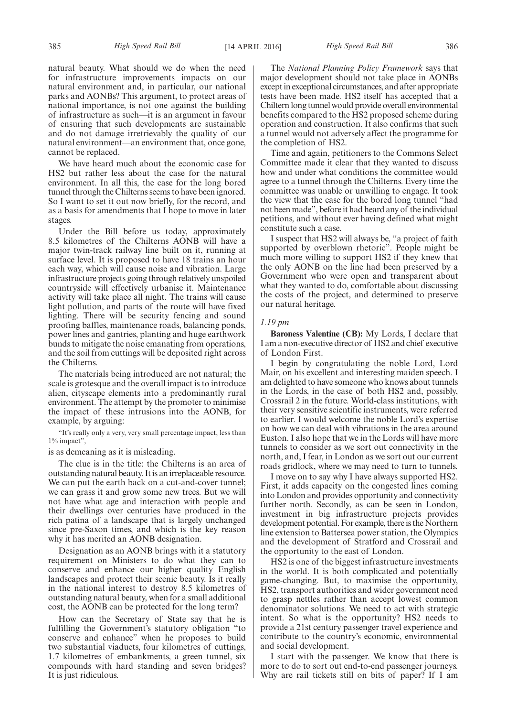natural beauty. What should we do when the need for infrastructure improvements impacts on our natural environment and, in particular, our national parks and AONBs? This argument, to protect areas of national importance, is not one against the building of infrastructure as such—it is an argument in favour of ensuring that such developments are sustainable and do not damage irretrievably the quality of our natural environment—an environment that, once gone, cannot be replaced.

We have heard much about the economic case for HS2 but rather less about the case for the natural environment. In all this, the case for the long bored tunnel through the Chilterns seems to have been ignored. So I want to set it out now briefly, for the record, and as a basis for amendments that I hope to move in later stages.

Under the Bill before us today, approximately 8.5 kilometres of the Chilterns AONB will have a major twin-track railway line built on it, running at surface level. It is proposed to have 18 trains an hour each way, which will cause noise and vibration. Large infrastructure projects going through relatively unspoiled countryside will effectively urbanise it. Maintenance activity will take place all night. The trains will cause light pollution, and parts of the route will have fixed lighting. There will be security fencing and sound proofing baffles, maintenance roads, balancing ponds, power lines and gantries, planting and huge earthwork bunds to mitigate the noise emanating from operations, and the soil from cuttings will be deposited right across the Chilterns.

The materials being introduced are not natural; the scale is grotesque and the overall impact is to introduce alien, cityscape elements into a predominantly rural environment. The attempt by the promoter to minimise the impact of these intrusions into the AONB, for example, by arguing:

"It's really only a very, very small percentage impact, less than 1% impact",

is as demeaning as it is misleading.

The clue is in the title: the Chilterns is an area of outstanding natural beauty. It is an irreplaceable resource. We can put the earth back on a cut-and-cover tunnel; we can grass it and grow some new trees. But we will not have what age and interaction with people and their dwellings over centuries have produced in the rich patina of a landscape that is largely unchanged since pre-Saxon times, and which is the key reason why it has merited an AONB designation.

Designation as an AONB brings with it a statutory requirement on Ministers to do what they can to conserve and enhance our higher quality English landscapes and protect their scenic beauty. Is it really in the national interest to destroy 8.5 kilometres of outstanding natural beauty, when for a small additional cost, the AONB can be protected for the long term?

How can the Secretary of State say that he is fulfilling the Government's statutory obligation "to conserve and enhance" when he proposes to build two substantial viaducts, four kilometres of cuttings, 1.7 kilometres of embankments, a green tunnel, six compounds with hard standing and seven bridges? It is just ridiculous.

The *National Planning Policy Framework* says that major development should not take place in AONBs except in exceptional circumstances, and after appropriate tests have been made. HS2 itself has accepted that a Chiltern long tunnel would provide overall environmental benefits compared to the HS2 proposed scheme during operation and construction. It also confirms that such a tunnel would not adversely affect the programme for the completion of HS2.

Time and again, petitioners to the Commons Select Committee made it clear that they wanted to discuss how and under what conditions the committee would agree to a tunnel through the Chilterns. Every time the committee was unable or unwilling to engage. It took the view that the case for the bored long tunnel "had not been made", before it had heard any of the individual petitions, and without ever having defined what might constitute such a case.

I suspect that HS2 will always be, "a project of faith supported by overblown rhetoric". People might be much more willing to support HS2 if they knew that the only AONB on the line had been preserved by a Government who were open and transparent about what they wanted to do, comfortable about discussing the costs of the project, and determined to preserve our natural heritage.

#### *1.19 pm*

**Baroness Valentine (CB):** My Lords, I declare that I am a non-executive director of HS2 and chief executive of London First.

I begin by congratulating the noble Lord, Lord Mair, on his excellent and interesting maiden speech. I am delighted to have someone who knows about tunnels in the Lords, in the case of both HS2 and, possibly, Crossrail 2 in the future. World-class institutions, with their very sensitive scientific instruments, were referred to earlier. I would welcome the noble Lord's expertise on how we can deal with vibrations in the area around Euston. I also hope that we in the Lords will have more tunnels to consider as we sort out connectivity in the north, and, I fear, in London as we sort out our current roads gridlock, where we may need to turn to tunnels.

I move on to say why I have always supported HS2. First, it adds capacity on the congested lines coming into London and provides opportunity and connectivity further north. Secondly, as can be seen in London, investment in big infrastructure projects provides development potential. For example, there is the Northern line extension to Battersea power station, the Olympics and the development of Stratford and Crossrail and the opportunity to the east of London.

HS2 is one of the biggest infrastructure investments in the world. It is both complicated and potentially game-changing. But, to maximise the opportunity, HS2, transport authorities and wider government need to grasp nettles rather than accept lowest common denominator solutions. We need to act with strategic intent. So what is the opportunity? HS2 needs to provide a 21st century passenger travel experience and contribute to the country's economic, environmental and social development.

I start with the passenger. We know that there is more to do to sort out end-to-end passenger journeys. Why are rail tickets still on bits of paper? If I am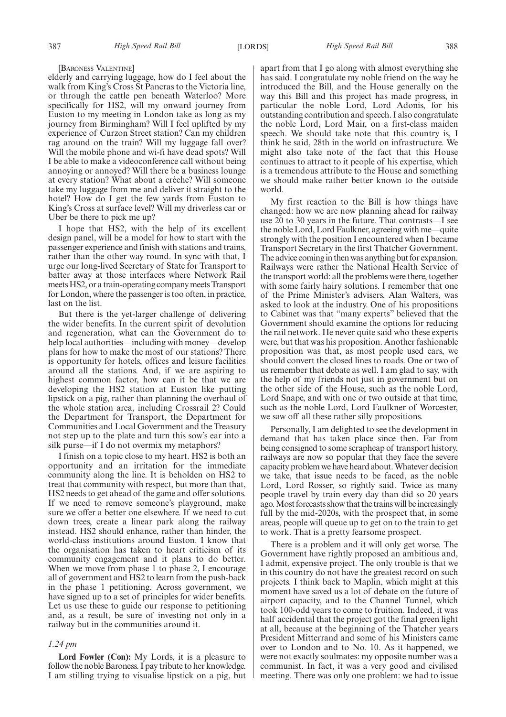[BARONESS VALENTINE]

elderly and carrying luggage, how do I feel about the walk from King's Cross St Pancras to the Victoria line, or through the cattle pen beneath Waterloo? More specifically for HS2, will my onward journey from Euston to my meeting in London take as long as my journey from Birmingham? Will I feel uplifted by my experience of Curzon Street station? Can my children rag around on the train? Will my luggage fall over? Will the mobile phone and wi-fi have dead spots? Will I be able to make a videoconference call without being annoying or annoyed? Will there be a business lounge at every station? What about a crèche? Will someone take my luggage from me and deliver it straight to the hotel? How do I get the few yards from Euston to King's Cross at surface level? Will my driverless car or Uber be there to pick me up?

I hope that HS2, with the help of its excellent design panel, will be a model for how to start with the passenger experience and finish with stations and trains, rather than the other way round. In sync with that, I urge our long-lived Secretary of State for Transport to batter away at those interfaces where Network Rail meets HS2, or a train-operating company meets Transport for London, where the passenger is too often, in practice, last on the list.

But there is the yet-larger challenge of delivering the wider benefits. In the current spirit of devolution and regeneration, what can the Government do to help local authorities—including with money—develop plans for how to make the most of our stations? There is opportunity for hotels, offices and leisure facilities around all the stations. And, if we are aspiring to highest common factor, how can it be that we are developing the HS2 station at Euston like putting lipstick on a pig, rather than planning the overhaul of the whole station area, including Crossrail 2? Could the Department for Transport, the Department for Communities and Local Government and the Treasury not step up to the plate and turn this sow's ear into a silk purse—if I do not overmix my metaphors?

I finish on a topic close to my heart. HS2 is both an opportunity and an irritation for the immediate community along the line. It is beholden on HS2 to treat that community with respect, but more than that, HS2 needs to get ahead of the game and offer solutions. If we need to remove someone's playground, make sure we offer a better one elsewhere. If we need to cut down trees, create a linear park along the railway instead. HS2 should enhance, rather than hinder, the world-class institutions around Euston. I know that the organisation has taken to heart criticism of its community engagement and it plans to do better. When we move from phase 1 to phase 2, I encourage all of government and HS2 to learn from the push-back in the phase 1 petitioning. Across government, we have signed up to a set of principles for wider benefits. Let us use these to guide our response to petitioning and, as a result, be sure of investing not only in a railway but in the communities around it.

#### *1.24 pm*

**Lord Fowler (Con):** My Lords, it is a pleasure to follow the noble Baroness. I pay tribute to her knowledge. I am stilling trying to visualise lipstick on a pig, but apart from that I go along with almost everything she has said. I congratulate my noble friend on the way he introduced the Bill, and the House generally on the way this Bill and this project has made progress, in particular the noble Lord, Lord Adonis, for his outstanding contribution and speech. I also congratulate the noble Lord, Lord Mair, on a first-class maiden speech. We should take note that this country is, I think he said, 28th in the world on infrastructure. We might also take note of the fact that this House continues to attract to it people of his expertise, which is a tremendous attribute to the House and something we should make rather better known to the outside world.

My first reaction to the Bill is how things have changed: how we are now planning ahead for railway use 20 to 30 years in the future. That contrasts—I see the noble Lord, Lord Faulkner, agreeing with me—quite strongly with the position I encountered when I became Transport Secretary in the first Thatcher Government. The advice coming in then was anything but for expansion. Railways were rather the National Health Service of the transport world: all the problems were there, together with some fairly hairy solutions. I remember that one of the Prime Minister's advisers, Alan Walters, was asked to look at the industry. One of his propositions to Cabinet was that "many experts" believed that the Government should examine the options for reducing the rail network. He never quite said who these experts were, but that was his proposition. Another fashionable proposition was that, as most people used cars, we should convert the closed lines to roads. One or two of us remember that debate as well. I am glad to say, with the help of my friends not just in government but on the other side of the House, such as the noble Lord, Lord Snape, and with one or two outside at that time, such as the noble Lord, Lord Faulkner of Worcester, we saw off all these rather silly propositions.

Personally, I am delighted to see the development in demand that has taken place since then. Far from being consigned to some scrapheap of transport history, railways are now so popular that they face the severe capacity problem we have heard about. Whatever decision we take, that issue needs to be faced, as the noble Lord, Lord Rosser, so rightly said. Twice as many people travel by train every day than did so 20 years ago. Most forecasts show that the trains will be increasingly full by the mid-2020s, with the prospect that, in some areas, people will queue up to get on to the train to get to work. That is a pretty fearsome prospect.

There is a problem and it will only get worse. The Government have rightly proposed an ambitious and, I admit, expensive project. The only trouble is that we in this country do not have the greatest record on such projects. I think back to Maplin, which might at this moment have saved us a lot of debate on the future of airport capacity, and to the Channel Tunnel, which took 100-odd years to come to fruition. Indeed, it was half accidental that the project got the final green light at all, because at the beginning of the Thatcher years President Mitterrand and some of his Ministers came over to London and to No. 10. As it happened, we were not exactly soulmates: my opposite number was a communist. In fact, it was a very good and civilised meeting. There was only one problem: we had to issue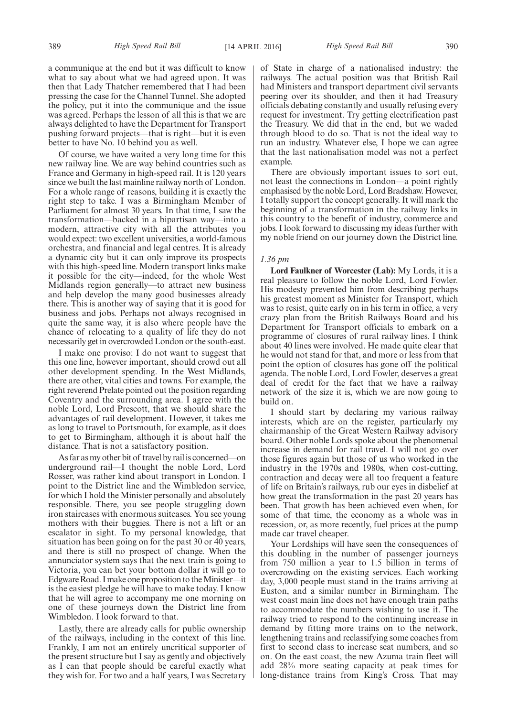a communique at the end but it was difficult to know what to say about what we had agreed upon. It was then that Lady Thatcher remembered that I had been pressing the case for the Channel Tunnel. She adopted the policy, put it into the communique and the issue was agreed. Perhaps the lesson of all this is that we are always delighted to have the Department for Transport pushing forward projects—that is right—but it is even better to have No. 10 behind you as well.

Of course, we have waited a very long time for this new railway line. We are way behind countries such as France and Germany in high-speed rail. It is 120 years since we built the last mainline railway north of London. For a whole range of reasons, building it is exactly the right step to take. I was a Birmingham Member of Parliament for almost 30 years. In that time, I saw the transformation—backed in a bipartisan way—into a modern, attractive city with all the attributes you would expect: two excellent universities, a world-famous orchestra, and financial and legal centres. It is already a dynamic city but it can only improve its prospects with this high-speed line. Modern transport links make it possible for the city—indeed, for the whole West Midlands region generally—to attract new business and help develop the many good businesses already there. This is another way of saying that it is good for business and jobs. Perhaps not always recognised in quite the same way, it is also where people have the chance of relocating to a quality of life they do not necessarily get in overcrowded London or the south-east.

I make one proviso: I do not want to suggest that this one line, however important, should crowd out all other development spending. In the West Midlands, there are other, vital cities and towns. For example, the right reverend Prelate pointed out the position regarding Coventry and the surrounding area. I agree with the noble Lord, Lord Prescott, that we should share the advantages of rail development. However, it takes me as long to travel to Portsmouth, for example, as it does to get to Birmingham, although it is about half the distance. That is not a satisfactory position.

As far as my other bit of travel by rail is concerned—on underground rail—I thought the noble Lord, Lord Rosser, was rather kind about transport in London. I point to the District line and the Wimbledon service, for which I hold the Minister personally and absolutely responsible. There, you see people struggling down iron staircases with enormous suitcases. You see young mothers with their buggies. There is not a lift or an escalator in sight. To my personal knowledge, that situation has been going on for the past 30 or 40 years, and there is still no prospect of change. When the annunciator system says that the next train is going to Victoria, you can bet your bottom dollar it will go to Edgware Road. I make one proposition to the Minister—it is the easiest pledge he will have to make today. I know that he will agree to accompany me one morning on one of these journeys down the District line from Wimbledon. I look forward to that.

Lastly, there are already calls for public ownership of the railways, including in the context of this line. Frankly, I am not an entirely uncritical supporter of the present structure but I say as gently and objectively as I can that people should be careful exactly what they wish for. For two and a half years, I was Secretary

of State in charge of a nationalised industry: the railways. The actual position was that British Rail had Ministers and transport department civil servants peering over its shoulder, and then it had Treasury officials debating constantly and usually refusing every request for investment. Try getting electrification past the Treasury. We did that in the end, but we waded through blood to do so. That is not the ideal way to run an industry. Whatever else, I hope we can agree that the last nationalisation model was not a perfect example.

There are obviously important issues to sort out, not least the connections in London—a point rightly emphasised by the noble Lord, Lord Bradshaw. However, I totally support the concept generally. It will mark the beginning of a transformation in the railway links in this country to the benefit of industry, commerce and jobs. I look forward to discussing my ideas further with my noble friend on our journey down the District line.

#### *1.36 pm*

**Lord Faulkner of Worcester (Lab):** My Lords, it is a real pleasure to follow the noble Lord, Lord Fowler. His modesty prevented him from describing perhaps his greatest moment as Minister for Transport, which was to resist, quite early on in his term in office, a very crazy plan from the British Railways Board and his Department for Transport officials to embark on a programme of closures of rural railway lines. I think about 40 lines were involved. He made quite clear that he would not stand for that, and more or less from that point the option of closures has gone off the political agenda. The noble Lord, Lord Fowler, deserves a great deal of credit for the fact that we have a railway network of the size it is, which we are now going to build on.

I should start by declaring my various railway interests, which are on the register, particularly my chairmanship of the Great Western Railway advisory board. Other noble Lords spoke about the phenomenal increase in demand for rail travel. I will not go over those figures again but those of us who worked in the industry in the 1970s and 1980s, when cost-cutting, contraction and decay were all too frequent a feature of life on Britain's railways, rub our eyes in disbelief at how great the transformation in the past 20 years has been. That growth has been achieved even when, for some of that time, the economy as a whole was in recession, or, as more recently, fuel prices at the pump made car travel cheaper.

Your Lordships will have seen the consequences of this doubling in the number of passenger journeys from 750 million a year to 1.5 billion in terms of overcrowding on the existing services. Each working day, 3,000 people must stand in the trains arriving at Euston, and a similar number in Birmingham. The west coast main line does not have enough train paths to accommodate the numbers wishing to use it. The railway tried to respond to the continuing increase in demand by fitting more trains on to the network, lengthening trains and reclassifying some coaches from first to second class to increase seat numbers, and so on. On the east coast, the new Azuma train fleet will add 28% more seating capacity at peak times for long-distance trains from King's Cross. That may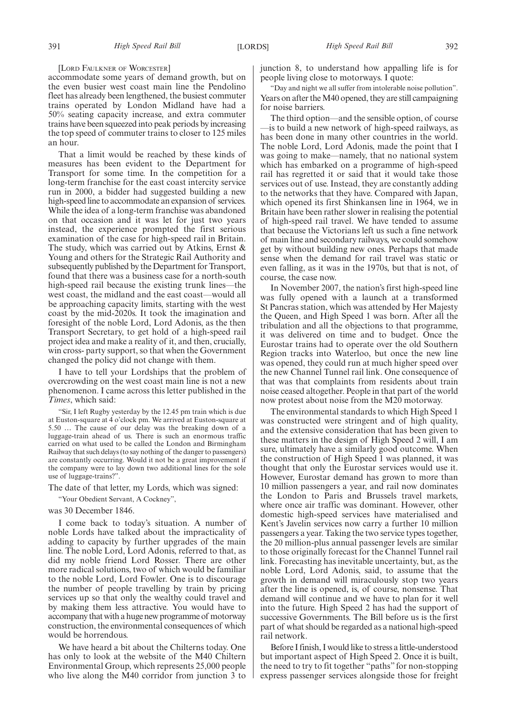[LORD FAULKNER OF WORCESTER]

accommodate some years of demand growth, but on the even busier west coast main line the Pendolino fleet has already been lengthened, the busiest commuter trains operated by London Midland have had a 50% seating capacity increase, and extra commuter trains have been squeezed into peak periods by increasing the top speed of commuter trains to closer to 125 miles an hour.

That a limit would be reached by these kinds of measures has been evident to the Department for Transport for some time. In the competition for a long-term franchise for the east coast intercity service run in 2000, a bidder had suggested building a new high-speed line to accommodate an expansion of services. While the idea of a long-term franchise was abandoned on that occasion and it was let for just two years instead, the experience prompted the first serious examination of the case for high-speed rail in Britain. The study, which was carried out by Atkins, Ernst & Young and others for the Strategic Rail Authority and subsequently published by the Department for Transport, found that there was a business case for a north-south high-speed rail because the existing trunk lines—the west coast, the midland and the east coast—would all be approaching capacity limits, starting with the west coast by the mid-2020s. It took the imagination and foresight of the noble Lord, Lord Adonis, as the then Transport Secretary, to get hold of a high-speed rail project idea and make a reality of it, and then, crucially, win cross- party support, so that when the Government changed the policy did not change with them.

I have to tell your Lordships that the problem of overcrowding on the west coast main line is not a new phenomenon. I came across this letter published in the *Times*, which said:

"Sir, I left Rugby yesterday by the 12.45 pm train which is due at Euston-square at 4 o'clock pm. We arrived at Euston-square at 5.50 … The cause of our delay was the breaking down of a luggage-train ahead of us. There is such an enormous traffic carried on what used to be called the London and Birmingham Railway that such delays (to say nothing of the danger to passengers) are constantly occurring. Would it not be a great improvement if the company were to lay down two additional lines for the sole use of luggage-trains?".

The date of that letter, my Lords, which was signed:

"Your Obedient Servant, A Cockney",

was 30 December 1846.

I come back to today's situation. A number of noble Lords have talked about the impracticality of adding to capacity by further upgrades of the main line. The noble Lord, Lord Adonis, referred to that, as did my noble friend Lord Rosser. There are other more radical solutions, two of which would be familiar to the noble Lord, Lord Fowler. One is to discourage the number of people travelling by train by pricing services up so that only the wealthy could travel and by making them less attractive. You would have to accompany that with a huge new programme of motorway construction, the environmental consequences of which would be horrendous.

We have heard a bit about the Chilterns today. One has only to look at the website of the M40 Chiltern Environmental Group, which represents 25,000 people who live along the M40 corridor from junction 3 to junction 8, to understand how appalling life is for people living close to motorways. I quote:

"Day and night we all suffer from intolerable noise pollution". Years on after the M40 opened, they are still campaigning for noise barriers.

The third option—and the sensible option, of course —is to build a new network of high-speed railways, as has been done in many other countries in the world. The noble Lord, Lord Adonis, made the point that I was going to make—namely, that no national system which has embarked on a programme of high-speed rail has regretted it or said that it would take those services out of use. Instead, they are constantly adding to the networks that they have. Compared with Japan, which opened its first Shinkansen line in 1964, we in Britain have been rather slower in realising the potential of high-speed rail travel. We have tended to assume that because the Victorians left us such a fine network of main line and secondary railways, we could somehow get by without building new ones. Perhaps that made sense when the demand for rail travel was static or even falling, as it was in the 1970s, but that is not, of course, the case now.

In November 2007, the nation's first high-speed line was fully opened with a launch at a transformed St Pancras station, which was attended by Her Majesty the Queen, and High Speed 1 was born. After all the tribulation and all the objections to that programme, it was delivered on time and to budget. Once the Eurostar trains had to operate over the old Southern Region tracks into Waterloo, but once the new line was opened, they could run at much higher speed over the new Channel Tunnel rail link. One consequence of that was that complaints from residents about train noise ceased altogether. People in that part of the world now protest about noise from the M20 motorway.

The environmental standards to which High Speed 1 was constructed were stringent and of high quality, and the extensive consideration that has been given to these matters in the design of High Speed 2 will, I am sure, ultimately have a similarly good outcome. When the construction of High Speed 1 was planned, it was thought that only the Eurostar services would use it. However, Eurostar demand has grown to more than 10 million passengers a year, and rail now dominates the London to Paris and Brussels travel markets, where once air traffic was dominant. However, other domestic high-speed services have materialised and Kent's Javelin services now carry a further 10 million passengers a year. Taking the two service types together, the 20 million-plus annual passenger levels are similar to those originally forecast for the Channel Tunnel rail link. Forecasting has inevitable uncertainty, but, as the noble Lord, Lord Adonis, said, to assume that the growth in demand will miraculously stop two years after the line is opened, is, of course, nonsense. That demand will continue and we have to plan for it well into the future. High Speed 2 has had the support of successive Governments. The Bill before us is the first part of what should be regarded as a national high-speed rail network.

Before I finish, I would like to stress a little-understood but important aspect of High Speed 2. Once it is built, the need to try to fit together "paths" for non-stopping express passenger services alongside those for freight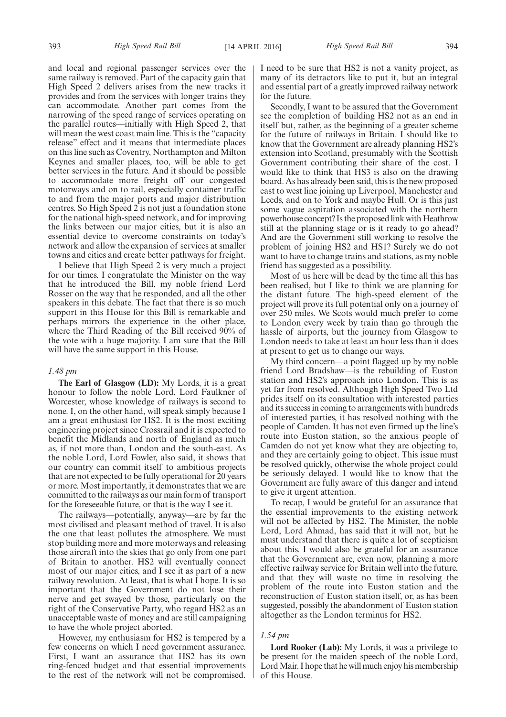and local and regional passenger services over the same railway is removed. Part of the capacity gain that High Speed 2 delivers arises from the new tracks it provides and from the services with longer trains they can accommodate. Another part comes from the narrowing of the speed range of services operating on the parallel routes—initially with High Speed 2, that will mean the west coast main line. This is the "capacity release" effect and it means that intermediate places on this line such as Coventry, Northampton and Milton Keynes and smaller places, too, will be able to get better services in the future. And it should be possible to accommodate more freight off our congested motorways and on to rail, especially container traffic to and from the major ports and major distribution centres. So High Speed 2 is not just a foundation stone for the national high-speed network, and for improving the links between our major cities, but it is also an essential device to overcome constraints on today's network and allow the expansion of services at smaller towns and cities and create better pathways for freight.

I believe that High Speed 2 is very much a project for our times. I congratulate the Minister on the way that he introduced the Bill, my noble friend Lord Rosser on the way that he responded, and all the other speakers in this debate. The fact that there is so much support in this House for this Bill is remarkable and perhaps mirrors the experience in the other place, where the Third Reading of the Bill received 90% of the vote with a huge majority. I am sure that the Bill will have the same support in this House.

#### *1.48 pm*

**The Earl of Glasgow (LD):** My Lords, it is a great honour to follow the noble Lord, Lord Faulkner of Worcester, whose knowledge of railways is second to none. I, on the other hand, will speak simply because I am a great enthusiast for HS2. It is the most exciting engineering project since Crossrail and it is expected to benefit the Midlands and north of England as much as, if not more than, London and the south-east. As the noble Lord, Lord Fowler, also said, it shows that our country can commit itself to ambitious projects that are not expected to be fully operational for 20 years or more. Most importantly, it demonstrates that we are committed to the railways as our main form of transport for the foreseeable future, or that is the way I see it.

The railways—potentially, anyway—are by far the most civilised and pleasant method of travel. It is also the one that least pollutes the atmosphere. We must stop building more and more motorways and releasing those aircraft into the skies that go only from one part of Britain to another. HS2 will eventually connect most of our major cities, and I see it as part of a new railway revolution. At least, that is what I hope. It is so important that the Government do not lose their nerve and get swayed by those, particularly on the right of the Conservative Party, who regard HS2 as an unacceptable waste of money and are still campaigning to have the whole project aborted.

However, my enthusiasm for HS2 is tempered by a few concerns on which I need government assurance. First, I want an assurance that HS2 has its own ring-fenced budget and that essential improvements to the rest of the network will not be compromised. I need to be sure that HS2 is not a vanity project, as many of its detractors like to put it, but an integral and essential part of a greatly improved railway network for the future.

Secondly, I want to be assured that the Government see the completion of building HS2 not as an end in itself but, rather, as the beginning of a greater scheme for the future of railways in Britain. I should like to know that the Government are already planning HS2's extension into Scotland, presumably with the Scottish Government contributing their share of the cost. I would like to think that HS3 is also on the drawing board. As has already been said, this is the new proposed east to west line joining up Liverpool, Manchester and Leeds, and on to York and maybe Hull. Or is this just some vague aspiration associated with the northern powerhouse concept? Is the proposed link with Heathrow still at the planning stage or is it ready to go ahead? And are the Government still working to resolve the problem of joining HS2 and HS1? Surely we do not want to have to change trains and stations, as my noble friend has suggested as a possibility.

Most of us here will be dead by the time all this has been realised, but I like to think we are planning for the distant future. The high-speed element of the project will prove its full potential only on a journey of over 250 miles. We Scots would much prefer to come to London every week by train than go through the hassle of airports, but the journey from Glasgow to London needs to take at least an hour less than it does at present to get us to change our ways.

My third concern—a point flagged up by my noble friend Lord Bradshaw—is the rebuilding of Euston station and HS2's approach into London. This is as yet far from resolved. Although High Speed Two Ltd prides itself on its consultation with interested parties and its success in coming to arrangements with hundreds of interested parties, it has resolved nothing with the people of Camden. It has not even firmed up the line's route into Euston station, so the anxious people of Camden do not yet know what they are objecting to, and they are certainly going to object. This issue must be resolved quickly, otherwise the whole project could be seriously delayed. I would like to know that the Government are fully aware of this danger and intend to give it urgent attention.

To recap, I would be grateful for an assurance that the essential improvements to the existing network will not be affected by HS2. The Minister, the noble Lord, Lord Ahmad, has said that it will not, but he must understand that there is quite a lot of scepticism about this. I would also be grateful for an assurance that the Government are, even now, planning a more effective railway service for Britain well into the future, and that they will waste no time in resolving the problem of the route into Euston station and the reconstruction of Euston station itself, or, as has been suggested, possibly the abandonment of Euston station altogether as the London terminus for HS2.

#### *1.54 pm*

**Lord Rooker (Lab):** My Lords, it was a privilege to be present for the maiden speech of the noble Lord, Lord Mair. I hope that he will much enjoy his membership of this House.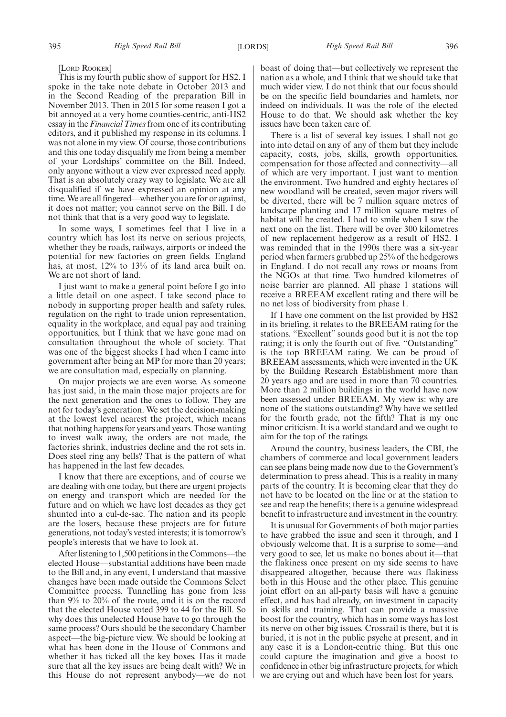[LORD ROOKER]

This is my fourth public show of support for HS2. I spoke in the take note debate in October 2013 and in the Second Reading of the preparation Bill in November 2013. Then in 2015 for some reason I got a bit annoyed at a very home counties-centric, anti-HS2 essay in the *Financial Times*from one of its contributing editors, and it published my response in its columns. I was not alone in my view. Of course, those contributions and this one today disqualify me from being a member of your Lordships' committee on the Bill. Indeed, only anyone without a view ever expressed need apply. That is an absolutely crazy way to legislate. We are all disqualified if we have expressed an opinion at any time. We are all fingered—whether you are for or against, it does not matter; you cannot serve on the Bill. I do not think that that is a very good way to legislate.

In some ways, I sometimes feel that I live in a country which has lost its nerve on serious projects, whether they be roads, railways, airports or indeed the potential for new factories on green fields. England has, at most,  $12\%$  to  $13\%$  of its land area built on. We are not short of land.

I just want to make a general point before I go into a little detail on one aspect. I take second place to nobody in supporting proper health and safety rules, regulation on the right to trade union representation, equality in the workplace, and equal pay and training opportunities, but I think that we have gone mad on consultation throughout the whole of society. That was one of the biggest shocks I had when I came into government after being an MP for more than 20 years; we are consultation mad, especially on planning.

On major projects we are even worse. As someone has just said, in the main those major projects are for the next generation and the ones to follow. They are not for today's generation. We set the decision-making at the lowest level nearest the project, which means that nothing happens for years and years. Those wanting to invest walk away, the orders are not made, the factories shrink, industries decline and the rot sets in. Does steel ring any bells? That is the pattern of what has happened in the last few decades.

I know that there are exceptions, and of course we are dealing with one today, but there are urgent projects on energy and transport which are needed for the future and on which we have lost decades as they get shunted into a cul-de-sac. The nation and its people are the losers, because these projects are for future generations, not today's vested interests; it is tomorrow's people's interests that we have to look at.

After listening to 1,500 petitions in the Commons—the elected House—substantial additions have been made to the Bill and, in any event, I understand that massive changes have been made outside the Commons Select Committee process. Tunnelling has gone from less than 9% to 20% of the route, and it is on the record that the elected House voted 399 to 44 for the Bill. So why does this unelected House have to go through the same process? Ours should be the secondary Chamber aspect—the big-picture view. We should be looking at what has been done in the House of Commons and whether it has ticked all the key boxes. Has it made sure that all the key issues are being dealt with? We in this House do not represent anybody—we do not boast of doing that—but collectively we represent the nation as a whole, and I think that we should take that much wider view. I do not think that our focus should be on the specific field boundaries and hamlets, nor indeed on individuals. It was the role of the elected House to do that. We should ask whether the key issues have been taken care of.

There is a list of several key issues. I shall not go into into detail on any of any of them but they include capacity, costs, jobs, skills, growth opportunities, compensation for those affected and connectivity—all of which are very important. I just want to mention the environment. Two hundred and eighty hectares of new woodland will be created, seven major rivers will be diverted, there will be 7 million square metres of landscape planting and 17 million square metres of habitat will be created. I had to smile when I saw the next one on the list. There will be over 300 kilometres of new replacement hedgerow as a result of HS2. I was reminded that in the 1990s there was a six-year period when farmers grubbed up 25% of the hedgerows in England. I do not recall any rows or moans from the NGOs at that time. Two hundred kilometres of noise barrier are planned. All phase 1 stations will receive a BREEAM excellent rating and there will be no net loss of biodiversity from phase 1.

If I have one comment on the list provided by HS2 in its briefing, it relates to the BREEAM rating for the stations. "Excellent" sounds good but it is not the top rating; it is only the fourth out of five. "Outstanding" is the top BREEAM rating. We can be proud of BREEAM assessments, which were invented in the UK by the Building Research Establishment more than 20 years ago and are used in more than 70 countries. More than 2 million buildings in the world have now been assessed under BREEAM. My view is: why are none of the stations outstanding? Why have we settled for the fourth grade, not the fifth? That is my one minor criticism. It is a world standard and we ought to aim for the top of the ratings.

Around the country, business leaders, the CBI, the chambers of commerce and local government leaders can see plans being made now due to the Government's determination to press ahead. This is a reality in many parts of the country. It is becoming clear that they do not have to be located on the line or at the station to see and reap the benefits; there is a genuine widespread benefit to infrastructure and investment in the country.

It is unusual for Governments of both major parties to have grabbed the issue and seen it through, and I obviously welcome that. It is a surprise to some—and very good to see, let us make no bones about it—that the flakiness once present on my side seems to have disappeared altogether, because there was flakiness both in this House and the other place. This genuine joint effort on an all-party basis will have a genuine effect, and has had already, on investment in capacity in skills and training. That can provide a massive boost for the country, which has in some ways has lost its nerve on other big issues. Crossrail is there, but it is buried, it is not in the public psyche at present, and in any case it is a London-centric thing. But this one could capture the imagination and give a boost to confidence in other big infrastructure projects, for which we are crying out and which have been lost for years.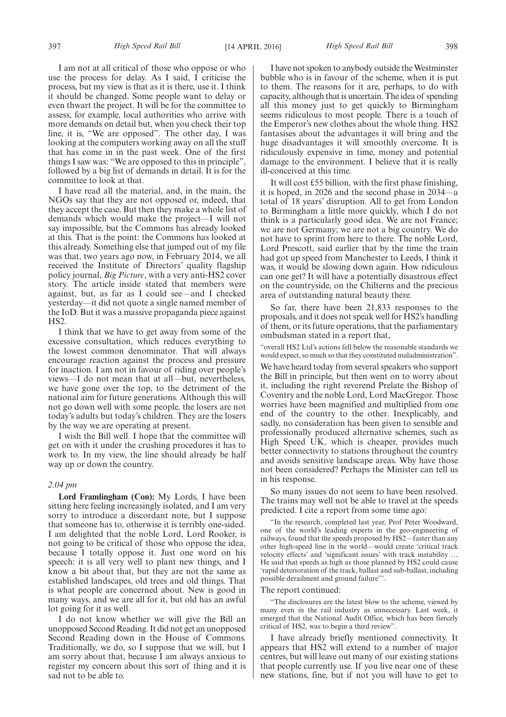I am not at all critical of those who oppose or who use the process for delay. As I said, I criticise the process, but my view is that as it is there, use it. I think it should be changed. Some people want to delay or even thwart the project. It will be for the committee to assess, for example, local authorities who arrive with more demands on detail but, when you check their top line, it is, "We are opposed". The other day, I was looking at the computers working away on all the stuff that has come in in the past week. One of the first things I saw was: "We are opposed to this in principle", followed by a big list of demands in detail. It is for the committee to look at that.

I have read all the material, and, in the main, the NGOs say that they are not opposed or, indeed, that they accept the case. But then they make a whole list of demands which would make the project—I will not say impossible, but the Commons has already looked at this. That is the point: the Commons has looked at this already. Something else that jumped out of my file was that, two years ago now, in February 2014, we all received the Institute of Directors' quality flagship policy journal, *Big Picture*, with a very anti-HS2 cover story. The article inside stated that members were against, but, as far as I could see—and I checked yesterday—it did not quote a single named member of the IoD. But it was a massive propaganda piece against HS2.

I think that we have to get away from some of the excessive consultation, which reduces everything to the lowest common denominator. That will always encourage reaction against the process and pressure for inaction. I am not in favour of riding over people's views—I do not mean that at all—but, nevertheless, we have gone over the top, to the detriment of the national aim for future generations. Although this will not go down well with some people, the losers are not today's adults but today's children. They are the losers by the way we are operating at present.

I wish the Bill well. I hope that the committee will get on with it under the crushing procedures it has to work to. In my view, the line should already be half way up or down the country.

#### *2.04 pm*

**Lord Framlingham (Con):** My Lords, I have been sitting here feeling increasingly isolated, and I am very sorry to introduce a discordant note, but I suppose that someone has to, otherwise it is terribly one-sided. I am delighted that the noble Lord, Lord Rooker, is not going to be critical of those who oppose the idea, because I totally oppose it. Just one word on his speech: it is all very well to plant new things, and I know a bit about that, but they are not the same as established landscapes, old trees and old things. That is what people are concerned about. New is good in many ways, and we are all for it, but old has an awful lot going for it as well.

I do not know whether we will give the Bill an unopposed Second Reading. It did not get an unopposed Second Reading down in the House of Commons. Traditionally, we do, so I suppose that we will, but I am sorry about that, because I am always anxious to register my concern about this sort of thing and it is sad not to be able to.

I have not spoken to anybody outside the Westminster bubble who is in favour of the scheme, when it is put to them. The reasons for it are, perhaps, to do with capacity, although that is uncertain. The idea of spending all this money just to get quickly to Birmingham seems ridiculous to most people. There is a touch of the Emperor's new clothes about the whole thing. HS2 fantasises about the advantages it will bring and the huge disadvantages it will smoothly overcome. It is ridiculously expensive in time, money and potential damage to the environment. I believe that it is really ill-conceived at this time.

It will cost £55 billion, with the first phase finishing, it is hoped, in 2026 and the second phase in 2034—a total of 18 years' disruption. All to get from London to Birmingham a little more quickly, which I do not think is a particularly good idea. We are not France; we are not Germany; we are not a big country. We do not have to sprint from here to there. The noble Lord, Lord Prescott, said earlier that by the time the train had got up speed from Manchester to Leeds, I think it was, it would be slowing down again. How ridiculous can one get? It will have a potentially disastrous effect on the countryside, on the Chilterns and the precious area of outstanding natural beauty there.

So far, there have been 21,833 responses to the proposals, and it does not speak well for HS2's handling of them, or its future operations, that the parliamentary ombudsman stated in a report that,

"overall HS2 Ltd's actions fell below the reasonable standards we would expect, so much so that they constituted maladministration".

We have heard today from several speakers who support the Bill in principle, but then went on to worry about it, including the right reverend Prelate the Bishop of Coventry and the noble Lord, Lord MacGregor. Those worries have been magnified and multiplied from one end of the country to the other. Inexplicably, and sadly, no consideration has been given to sensible and professionally produced alternative schemes, such as High Speed UK, which is cheaper, provides much better connectivity to stations throughout the country and avoids sensitive landscape areas. Why have those not been considered? Perhaps the Minister can tell us in his response.

So many issues do not seem to have been resolved. The trains may well not be able to travel at the speeds predicted. I cite a report from some time ago:

"In the research, completed last year, Prof Peter Woodward, one of the world's leading experts in the geo-engineering of railways, found that the speeds proposed by HS2—faster than any other high-speed line in the world—would create 'critical track velocity effects' and 'significant issues' with track instability … He said that speeds as high as those planned by HS2 could cause 'rapid deterioration of the track, ballast and sub-ballast, including possible derailment and ground failure'".

#### The report continued:

"The disclosures are the latest blow to the scheme, viewed by many even in the rail industry as unnecessary. Last week, it emerged that the National Audit Office, which has been fiercely critical of HS2, was to begin a third review".

I have already briefly mentioned connectivity. It appears that HS2 will extend to a number of major centres, but will leave out many of our existing stations that people currently use. If you live near one of these new stations, fine, but if not you will have to get to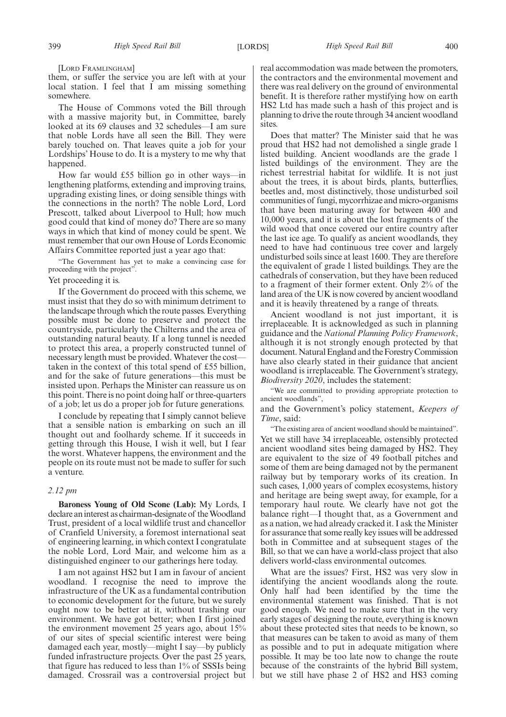[LORD FRAMLINGHAM]

them, or suffer the service you are left with at your local station. I feel that I am missing something somewhere.

The House of Commons voted the Bill through with a massive majority but, in Committee, barely looked at its 69 clauses and 32 schedules—I am sure that noble Lords have all seen the Bill. They were barely touched on. That leaves quite a job for your Lordships' House to do. It is a mystery to me why that happened.

How far would £55 billion go in other ways—in lengthening platforms, extending and improving trains, upgrading existing lines, or doing sensible things with the connections in the north? The noble Lord, Lord Prescott, talked about Liverpool to Hull; how much good could that kind of money do? There are so many ways in which that kind of money could be spent. We must remember that our own House of Lords Economic Affairs Committee reported just a year ago that:

"The Government has yet to make a convincing case for proceeding with the project".

#### Yet proceeding it is.

If the Government do proceed with this scheme, we must insist that they do so with minimum detriment to the landscape through which the route passes. Everything possible must be done to preserve and protect the countryside, particularly the Chilterns and the area of outstanding natural beauty. If a long tunnel is needed to protect this area, a properly constructed tunnel of necessary length must be provided. Whatever the cost taken in the context of this total spend of £55 billion, and for the sake of future generations—this must be insisted upon. Perhaps the Minister can reassure us on this point. There is no point doing half or three-quarters of a job; let us do a proper job for future generations.

I conclude by repeating that I simply cannot believe that a sensible nation is embarking on such an ill thought out and foolhardy scheme. If it succeeds in getting through this House, I wish it well, but I fear the worst. Whatever happens, the environment and the people on its route must not be made to suffer for such a venture.

#### *2.12 pm*

**Baroness Young of Old Scone (Lab):** My Lords, I declare an interest as chairman-designate of the Woodland Trust, president of a local wildlife trust and chancellor of Cranfield University, a foremost international seat of engineering learning, in which context I congratulate the noble Lord, Lord Mair, and welcome him as a distinguished engineer to our gatherings here today.

I am not against HS2 but I am in favour of ancient woodland. I recognise the need to improve the infrastructure of the UK as a fundamental contribution to economic development for the future, but we surely ought now to be better at it, without trashing our environment. We have got better; when I first joined the environment movement 25 years ago, about 15% of our sites of special scientific interest were being damaged each year, mostly—might I say—by publicly funded infrastructure projects. Over the past 25 years, that figure has reduced to less than 1% of SSSIs being damaged. Crossrail was a controversial project but real accommodation was made between the promoters, the contractors and the environmental movement and there was real delivery on the ground of environmental benefit. It is therefore rather mystifying how on earth HS2 Ltd has made such a hash of this project and is planning to drive the route through 34 ancient woodland sites.

Does that matter? The Minister said that he was proud that HS2 had not demolished a single grade 1 listed building. Ancient woodlands are the grade 1 listed buildings of the environment. They are the richest terrestrial habitat for wildlife. It is not just about the trees, it is about birds, plants, butterflies, beetles and, most distinctively, those undisturbed soil communities of fungi, mycorrhizae and micro-organisms that have been maturing away for between 400 and 10,000 years, and it is about the lost fragments of the wild wood that once covered our entire country after the last ice age. To qualify as ancient woodlands, they need to have had continuous tree cover and largely undisturbed soils since at least 1600. They are therefore the equivalent of grade 1 listed buildings. They are the cathedrals of conservation, but they have been reduced to a fragment of their former extent. Only 2% of the land area of the UK is now covered by ancient woodland and it is heavily threatened by a range of threats.

Ancient woodland is not just important, it is irreplaceable. It is acknowledged as such in planning guidance and the *National Planning Policy Framework*, although it is not strongly enough protected by that document. Natural England and the Forestry Commission have also clearly stated in their guidance that ancient woodland is irreplaceable. The Government's strategy, *Biodiversity 2020*, includes the statement:

"We are committed to providing appropriate protection to ancient woodlands",

and the Government's policy statement, *Keepers of Time*, said:

"The existing area of ancient woodland should be maintained". Yet we still have 34 irreplaceable, ostensibly protected ancient woodland sites being damaged by HS2. They are equivalent to the size of 49 football pitches and some of them are being damaged not by the permanent railway but by temporary works of its creation. In such cases, 1,000 years of complex ecosystems, history and heritage are being swept away, for example, for a temporary haul route. We clearly have not got the balance right—I thought that, as a Government and as a nation, we had already cracked it. I ask the Minister for assurance that some really key issues will be addressed both in Committee and at subsequent stages of the Bill, so that we can have a world-class project that also delivers world-class environmental outcomes.

What are the issues? First, HS2 was very slow in identifying the ancient woodlands along the route. Only half had been identified by the time the environmental statement was finished. That is not good enough. We need to make sure that in the very early stages of designing the route, everything is known about these protected sites that needs to be known, so that measures can be taken to avoid as many of them as possible and to put in adequate mitigation where possible. It may be too late now to change the route because of the constraints of the hybrid Bill system, but we still have phase 2 of HS2 and HS3 coming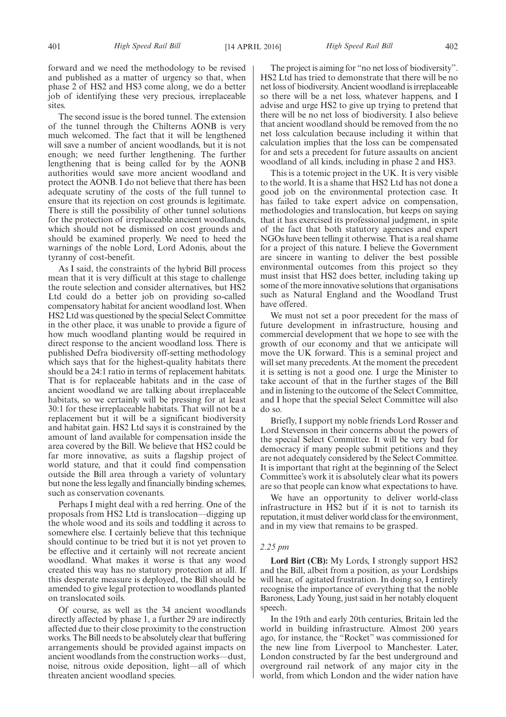forward and we need the methodology to be revised and published as a matter of urgency so that, when phase 2 of HS2 and HS3 come along, we do a better job of identifying these very precious, irreplaceable sites.

The second issue is the bored tunnel. The extension of the tunnel through the Chilterns AONB is very much welcomed. The fact that it will be lengthened will save a number of ancient woodlands, but it is not enough; we need further lengthening. The further lengthening that is being called for by the AONB authorities would save more ancient woodland and protect the AONB. I do not believe that there has been adequate scrutiny of the costs of the full tunnel to ensure that its rejection on cost grounds is legitimate. There is still the possibility of other tunnel solutions for the protection of irreplaceable ancient woodlands, which should not be dismissed on cost grounds and should be examined properly. We need to heed the warnings of the noble Lord, Lord Adonis, about the tyranny of cost-benefit.

As I said, the constraints of the hybrid Bill process mean that it is very difficult at this stage to challenge the route selection and consider alternatives, but HS2 Ltd could do a better job on providing so-called compensatory habitat for ancient woodland lost. When HS2 Ltd was questioned by the special Select Committee in the other place, it was unable to provide a figure of how much woodland planting would be required in direct response to the ancient woodland loss. There is published Defra biodiversity off-setting methodology which says that for the highest-quality habitats there should be a 24:1 ratio in terms of replacement habitats. That is for replaceable habitats and in the case of ancient woodland we are talking about irreplaceable habitats, so we certainly will be pressing for at least 30:1 for these irreplaceable habitats. That will not be a replacement but it will be a significant biodiversity and habitat gain. HS2 Ltd says it is constrained by the amount of land available for compensation inside the area covered by the Bill. We believe that HS2 could be far more innovative, as suits a flagship project of world stature, and that it could find compensation outside the Bill area through a variety of voluntary but none the less legally and financially binding schemes, such as conservation covenants.

Perhaps I might deal with a red herring. One of the proposals from HS2 Ltd is translocation—digging up the whole wood and its soils and toddling it across to somewhere else. I certainly believe that this technique should continue to be tried but it is not yet proven to be effective and it certainly will not recreate ancient woodland. What makes it worse is that any wood created this way has no statutory protection at all. If this desperate measure is deployed, the Bill should be amended to give legal protection to woodlands planted on translocated soils.

Of course, as well as the 34 ancient woodlands directly affected by phase 1, a further 29 are indirectly affected due to their close proximity to the construction works. The Bill needs to be absolutely clear that buffering arrangements should be provided against impacts on ancient woodlands from the construction works—dust, noise, nitrous oxide deposition, light—all of which threaten ancient woodland species.

The project is aiming for "no net loss of biodiversity". HS2 Ltd has tried to demonstrate that there will be no net loss of biodiversity. Ancient woodland is irreplaceable

so there will be a net loss, whatever happens, and I advise and urge HS2 to give up trying to pretend that there will be no net loss of biodiversity. I also believe that ancient woodland should be removed from the no net loss calculation because including it within that calculation implies that the loss can be compensated for and sets a precedent for future assaults on ancient woodland of all kinds, including in phase 2 and HS3.

This is a totemic project in the UK. It is very visible to the world. It is a shame that HS2 Ltd has not done a good job on the environmental protection case. It has failed to take expert advice on compensation, methodologies and translocation, but keeps on saying that it has exercised its professional judgment, in spite of the fact that both statutory agencies and expert NGOs have been telling it otherwise. That is a real shame for a project of this nature. I believe the Government are sincere in wanting to deliver the best possible environmental outcomes from this project so they must insist that HS2 does better, including taking up some of the more innovative solutions that organisations such as Natural England and the Woodland Trust have offered.

We must not set a poor precedent for the mass of future development in infrastructure, housing and commercial development that we hope to see with the growth of our economy and that we anticipate will move the UK forward. This is a seminal project and will set many precedents. At the moment the precedent it is setting is not a good one. I urge the Minister to take account of that in the further stages of the Bill and in listening to the outcome of the Select Committee, and I hope that the special Select Committee will also do so.

Briefly, I support my noble friends Lord Rosser and Lord Stevenson in their concerns about the powers of the special Select Committee. It will be very bad for democracy if many people submit petitions and they are not adequately considered by the Select Committee. It is important that right at the beginning of the Select Committee's work it is absolutely clear what its powers are so that people can know what expectations to have.

We have an opportunity to deliver world-class infrastructure in HS2 but if it is not to tarnish its reputation, it must deliver world class for the environment, and in my view that remains to be grasped.

#### *2.25 pm*

**Lord Birt (CB):** My Lords, I strongly support HS2 and the Bill, albeit from a position, as your Lordships will hear, of agitated frustration. In doing so, I entirely recognise the importance of everything that the noble Baroness, Lady Young, just said in her notably eloquent speech.

In the 19th and early 20th centuries, Britain led the world in building infrastructure. Almost 200 years ago, for instance, the "Rocket" was commissioned for the new line from Liverpool to Manchester. Later, London constructed by far the best underground and overground rail network of any major city in the world, from which London and the wider nation have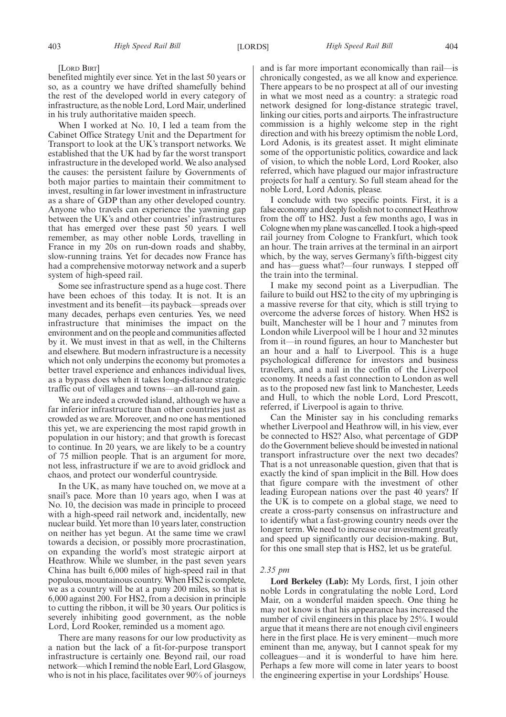#### [LORD BIRT]

benefited mightily ever since. Yet in the last 50 years or so, as a country we have drifted shamefully behind the rest of the developed world in every category of infrastructure, as the noble Lord, Lord Mair, underlined in his truly authoritative maiden speech.

When I worked at No. 10, I led a team from the Cabinet Office Strategy Unit and the Department for Transport to look at the UK's transport networks. We established that the UK had by far the worst transport infrastructure in the developed world. We also analysed the causes: the persistent failure by Governments of both major parties to maintain their commitment to invest, resulting in far lower investment in infrastructure as a share of GDP than any other developed country. Anyone who travels can experience the yawning gap between the UK's and other countries' infrastructures that has emerged over these past 50 years. I well remember, as may other noble Lords, travelling in France in my 20s on run-down roads and shabby, slow-running trains. Yet for decades now France has had a comprehensive motorway network and a superb system of high-speed rail.

Some see infrastructure spend as a huge cost. There have been echoes of this today. It is not. It is an investment and its benefit—its payback—spreads over many decades, perhaps even centuries. Yes, we need infrastructure that minimises the impact on the environment and on the people and communities affected by it. We must invest in that as well, in the Chilterns and elsewhere. But modern infrastructure is a necessity which not only underpins the economy but promotes a better travel experience and enhances individual lives, as a bypass does when it takes long-distance strategic traffic out of villages and towns—an all-round gain.

We are indeed a crowded island, although we have a far inferior infrastructure than other countries just as crowded as we are. Moreover, and no one has mentioned this yet, we are experiencing the most rapid growth in population in our history; and that growth is forecast to continue. In 20 years, we are likely to be a country of 75 million people. That is an argument for more, not less, infrastructure if we are to avoid gridlock and chaos, and protect our wonderful countryside.

In the UK, as many have touched on, we move at a snail's pace. More than 10 years ago, when I was at No. 10, the decision was made in principle to proceed with a high-speed rail network and, incidentally, new nuclear build. Yet more than 10 years later, construction on neither has yet begun. At the same time we crawl towards a decision, or possibly more procrastination, on expanding the world's most strategic airport at Heathrow. While we slumber, in the past seven years China has built 6,000 miles of high-speed rail in that populous, mountainous country. When HS2 is complete, we as a country will be at a puny 200 miles, so that is 6,000 against 200. For HS2, from a decision in principle to cutting the ribbon, it will be 30 years. Our politics is severely inhibiting good government, as the noble Lord, Lord Rooker, reminded us a moment ago.

There are many reasons for our low productivity as a nation but the lack of a fit-for-purpose transport infrastructure is certainly one. Beyond rail, our road network—which I remind the noble Earl, Lord Glasgow, who is not in his place, facilitates over 90% of journeys and is far more important economically than rail—is chronically congested, as we all know and experience. There appears to be no prospect at all of our investing in what we most need as a country: a strategic road network designed for long-distance strategic travel, linking our cities, ports and airports. The infrastructure commission is a highly welcome step in the right direction and with his breezy optimism the noble Lord, Lord Adonis, is its greatest asset. It might eliminate some of the opportunistic politics, cowardice and lack of vision, to which the noble Lord, Lord Rooker, also referred, which have plagued our major infrastructure projects for half a century. So full steam ahead for the noble Lord, Lord Adonis, please.

I conclude with two specific points. First, it is a false economy and deeply foolish not to connect Heathrow from the off to HS2. Just a few months ago, I was in Cologne when my plane was cancelled. I took a high-speed rail journey from Cologne to Frankfurt, which took an hour. The train arrives at the terminal in an airport which, by the way, serves Germany's fifth-biggest city and has—guess what?—four runways. I stepped off the train into the terminal.

I make my second point as a Liverpudlian. The failure to build out HS2 to the city of my upbringing is a massive reverse for that city, which is still trying to overcome the adverse forces of history. When HS2 is built, Manchester will be 1 hour and 7 minutes from London while Liverpool will be 1 hour and 32 minutes from it—in round figures, an hour to Manchester but an hour and a half to Liverpool. This is a huge psychological difference for investors and business travellers, and a nail in the coffin of the Liverpool economy. It needs a fast connection to London as well as to the proposed new fast link to Manchester, Leeds and Hull, to which the noble Lord, Lord Prescott, referred, if Liverpool is again to thrive.

Can the Minister say in his concluding remarks whether Liverpool and Heathrow will, in his view, ever be connected to HS2? Also, what percentage of GDP do the Government believe should be invested in national transport infrastructure over the next two decades? That is a not unreasonable question, given that that is exactly the kind of span implicit in the Bill. How does that figure compare with the investment of other leading European nations over the past 40 years? If the UK is to compete on a global stage, we need to create a cross-party consensus on infrastructure and to identify what a fast-growing country needs over the longer term. We need to increase our investment greatly and speed up significantly our decision-making. But, for this one small step that is HS2, let us be grateful.

#### *2.35 pm*

**Lord Berkeley (Lab):** My Lords, first, I join other noble Lords in congratulating the noble Lord, Lord Mair, on a wonderful maiden speech. One thing he may not know is that his appearance has increased the number of civil engineers in this place by 25%. I would argue that it means there are not enough civil engineers here in the first place. He is very eminent—much more eminent than me, anyway, but I cannot speak for my colleagues—and it is wonderful to have him here. Perhaps a few more will come in later years to boost the engineering expertise in your Lordships' House.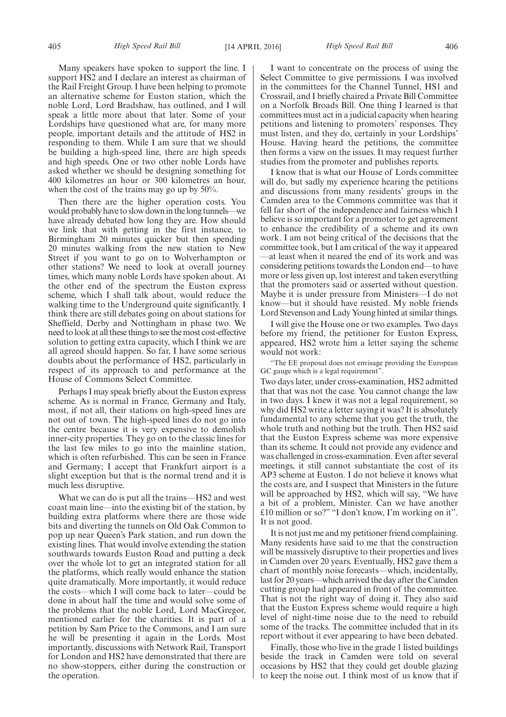Many speakers have spoken to support the line. I support HS2 and I declare an interest as chairman of the Rail Freight Group. I have been helping to promote an alternative scheme for Euston station, which the noble Lord, Lord Bradshaw, has outlined, and I will speak a little more about that later. Some of your Lordships have questioned what are, for many more people, important details and the attitude of HS2 in responding to them. While I am sure that we should be building a high-speed line, there are high speeds and high speeds. One or two other noble Lords have asked whether we should be designing something for 400 kilometres an hour or 300 kilometres an hour, when the cost of the trains may go up by 50%.

Then there are the higher operation costs. You would probably have to slow down in the long tunnels—we have already debated how long they are. How should we link that with getting in the first instance, to Birmingham 20 minutes quicker but then spending 20 minutes walking from the new station to New Street if you want to go on to Wolverhampton or other stations? We need to look at overall journey times, which many noble Lords have spoken about. At the other end of the spectrum the Euston express scheme, which I shall talk about, would reduce the walking time to the Underground quite significantly. I think there are still debates going on about stations for Sheffield, Derby and Nottingham in phase two. We need to look at all these things to see the most cost-effective solution to getting extra capacity, which I think we are all agreed should happen. So far, I have some serious doubts about the performance of HS2, particularly in respect of its approach to and performance at the House of Commons Select Committee.

Perhaps I may speak briefly about the Euston express scheme. As is normal in France, Germany and Italy, most, if not all, their stations on high-speed lines are not out of town. The high-speed lines do not go into the centre because it is very expensive to demolish inner-city properties. They go on to the classic lines for the last few miles to go into the mainline station, which is often refurbished. This can be seen in France and Germany; I accept that Frankfurt airport is a slight exception but that is the normal trend and it is much less disruptive.

What we can do is put all the trains—HS2 and west coast main line—into the existing bit of the station, by building extra platforms where there are those wide bits and diverting the tunnels on Old Oak Common to pop up near Queen's Park station, and run down the existing lines. That would involve extending the station southwards towards Euston Road and putting a deck over the whole lot to get an integrated station for all the platforms, which really would enhance the station quite dramatically. More importantly, it would reduce the costs—which I will come back to later—could be done in about half the time and would solve some of the problems that the noble Lord, Lord MacGregor, mentioned earlier for the charities. It is part of a petition by Sam Price to the Commons, and I am sure he will be presenting it again in the Lords. Most importantly, discussions with Network Rail, Transport for London and HS2 have demonstrated that there are no show-stoppers, either during the construction or the operation.

I want to concentrate on the process of using the Select Committee to give permissions. I was involved in the committees for the Channel Tunnel, HS1 and Crossrail, and I briefly chaired a Private Bill Committee on a Norfolk Broads Bill. One thing I learned is that committees must act in a judicial capacity when hearing petitions and listening to promoters' responses. They must listen, and they do, certainly in your Lordships' House. Having heard the petitions, the committee then forms a view on the issues. It may request further studies from the promoter and publishes reports.

I know that is what our House of Lords committee will do, but sadly my experience hearing the petitions and discussions from many residents' groups in the Camden area to the Commons committee was that it fell far short of the independence and fairness which I believe is so important for a promoter to get agreement to enhance the credibility of a scheme and its own work. I am not being critical of the decisions that the committee took, but I am critical of the way it appeared —at least when it neared the end of its work and was considering petitions towards the London end—to have more or less given up, lost interest and taken everything that the promoters said or asserted without question. Maybe it is under pressure from Ministers—I do not know—but it should have resisted. My noble friends Lord Stevenson and Lady Young hinted at similar things.

I will give the House one or two examples. Two days before my friend, the petitioner for Euston Express, appeared, HS2 wrote him a letter saying the scheme would not work:

"The EE proposal does not envisage providing the European GC gauge which is a legal requirement".

Two days later, under cross-examination, HS2 admitted that that was not the case. You cannot change the law in two days. I knew it was not a legal requirement, so why did HS2 write a letter saying it was? It is absolutely fundamental to any scheme that you get the truth, the whole truth and nothing but the truth. Then HS2 said that the Euston Express scheme was more expensive than its scheme. It could not provide any evidence and was challenged in cross-examination. Even after several meetings, it still cannot substantiate the cost of its AP3 scheme at Euston. I do not believe it knows what the costs are, and I suspect that Ministers in the future will be approached by HS2, which will say, "We have a bit of a problem, Minister. Can we have another £10 million or so?" "I don't know, I'm working on it". It is not good.

It is not just me and my petitioner friend complaining. Many residents have said to me that the construction will be massively disruptive to their properties and lives in Camden over 20 years. Eventually, HS2 gave them a chart of monthly noise forecasts—which, incidentally, last for 20 years—which arrived the day after the Camden cutting group had appeared in front of the committee. That is not the right way of doing it. They also said that the Euston Express scheme would require a high level of night-time noise due to the need to rebuild some of the tracks. The committee included that in its report without it ever appearing to have been debated.

Finally, those who live in the grade 1 listed buildings beside the track in Camden were told on several occasions by HS2 that they could get double glazing to keep the noise out. I think most of us know that if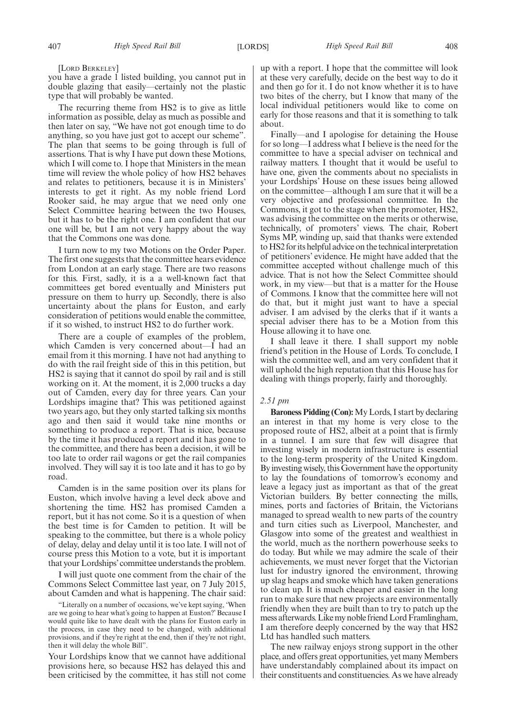[LORD BERKELEY]

you have a grade 1 listed building, you cannot put in double glazing that easily—certainly not the plastic type that will probably be wanted.

The recurring theme from HS2 is to give as little information as possible, delay as much as possible and then later on say, "We have not got enough time to do anything, so you have just got to accept our scheme". The plan that seems to be going through is full of assertions. That is why I have put down these Motions, which I will come to. I hope that Ministers in the mean time will review the whole policy of how HS2 behaves and relates to petitioners, because it is in Ministers' interests to get it right. As my noble friend Lord Rooker said, he may argue that we need only one Select Committee hearing between the two Houses, but it has to be the right one. I am confident that our one will be, but I am not very happy about the way that the Commons one was done.

I turn now to my two Motions on the Order Paper. The first one suggests that the committee hears evidence from London at an early stage. There are two reasons for this. First, sadly, it is a a well-known fact that committees get bored eventually and Ministers put pressure on them to hurry up. Secondly, there is also uncertainty about the plans for Euston, and early consideration of petitions would enable the committee, if it so wished, to instruct HS2 to do further work.

There are a couple of examples of the problem, which Camden is very concerned about—I had an email from it this morning. I have not had anything to do with the rail freight side of this in this petition, but HS2 is saying that it cannot do spoil by rail and is still working on it. At the moment, it is 2,000 trucks a day out of Camden, every day for three years. Can your Lordships imagine that? This was petitioned against two years ago, but they only started talking six months ago and then said it would take nine months or something to produce a report. That is nice, because by the time it has produced a report and it has gone to the committee, and there has been a decision, it will be too late to order rail wagons or get the rail companies involved. They will say it is too late and it has to go by road.

Camden is in the same position over its plans for Euston, which involve having a level deck above and shortening the time. HS2 has promised Camden a report, but it has not come. So it is a question of when the best time is for Camden to petition. It will be speaking to the committee, but there is a whole policy of delay, delay and delay until it is too late. I will not of course press this Motion to a vote, but it is important that your Lordships'committee understands the problem.

I will just quote one comment from the chair of the Commons Select Committee last year, on 7 July 2015, about Camden and what is happening. The chair said:

"Literally on a number of occasions, we've kept saying, 'When are we going to hear what's going to happen at Euston?' Because I would quite like to have dealt with the plans for Euston early in the process, in case they need to be changed, with additional provisions, and if they're right at the end, then if they're not right, then it will delay the whole Bill".

Your Lordships know that we cannot have additional provisions here, so because HS2 has delayed this and been criticised by the committee, it has still not come up with a report. I hope that the committee will look at these very carefully, decide on the best way to do it and then go for it. I do not know whether it is to have two bites of the cherry, but I know that many of the local individual petitioners would like to come on early for those reasons and that it is something to talk about.

Finally—and I apologise for detaining the House for so long—I address what I believe is the need for the committee to have a special adviser on technical and railway matters. I thought that it would be useful to have one, given the comments about no specialists in your Lordships' House on these issues being allowed on the committee—although I am sure that it will be a very objective and professional committee. In the Commons, it got to the stage when the promoter, HS2, was advising the committee on the merits or otherwise, technically, of promoters' views. The chair, Robert Syms MP, winding up, said that thanks were extended to HS2 for its helpful advice on the technical interpretation of petitioners' evidence. He might have added that the committee accepted without challenge much of this advice. That is not how the Select Committee should work, in my view—but that is a matter for the House of Commons. I know that the committee here will not do that, but it might just want to have a special adviser. I am advised by the clerks that if it wants a special adviser there has to be a Motion from this House allowing it to have one.

I shall leave it there. I shall support my noble friend's petition in the House of Lords. To conclude, I wish the committee well, and am very confident that it will uphold the high reputation that this House has for dealing with things properly, fairly and thoroughly.

#### *2.51 pm*

**Baroness Pidding (Con):**My Lords, I start by declaring an interest in that my home is very close to the proposed route of HS2, albeit at a point that is firmly in a tunnel. I am sure that few will disagree that investing wisely in modern infrastructure is essential to the long-term prosperity of the United Kingdom. By investing wisely, this Government have the opportunity to lay the foundations of tomorrow's economy and leave a legacy just as important as that of the great Victorian builders. By better connecting the mills, mines, ports and factories of Britain, the Victorians managed to spread wealth to new parts of the country and turn cities such as Liverpool, Manchester, and Glasgow into some of the greatest and wealthiest in the world, much as the northern powerhouse seeks to do today. But while we may admire the scale of their achievements, we must never forget that the Victorian lust for industry ignored the environment, throwing up slag heaps and smoke which have taken generations to clean up. It is much cheaper and easier in the long run to make sure that new projects are environmentally friendly when they are built than to try to patch up the mess afterwards. Like my noble friend Lord Framlingham, I am therefore deeply concerned by the way that HS2 Ltd has handled such matters.

The new railway enjoys strong support in the other place, and offers great opportunities, yet many Members have understandably complained about its impact on their constituents and constituencies. As we have already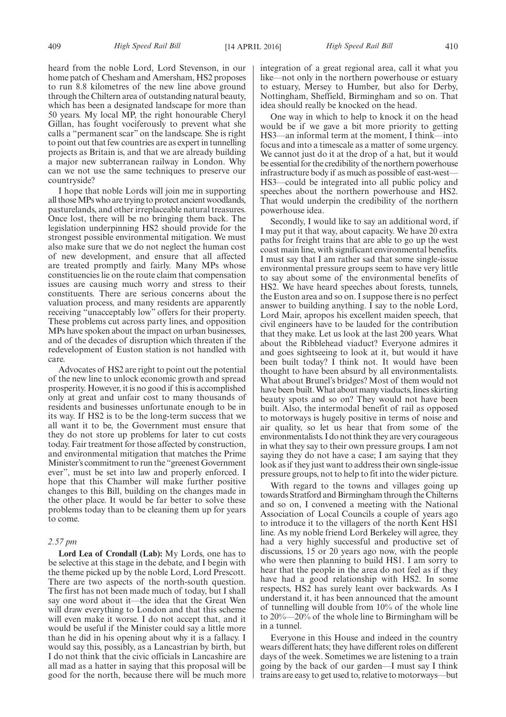heard from the noble Lord, Lord Stevenson, in our home patch of Chesham and Amersham, HS2 proposes to run 8.8 kilometres of the new line above ground through the Chiltern area of outstanding natural beauty, which has been a designated landscape for more than 50 years. My local MP, the right honourable Cheryl Gillan, has fought vociferously to prevent what she calls a "permanent scar" on the landscape. She is right to point out that few countries are as expert in tunnelling projects as Britain is, and that we are already building a major new subterranean railway in London. Why can we not use the same techniques to preserve our countryside?

I hope that noble Lords will join me in supporting all those MPs who are trying to protect ancient woodlands, pasturelands, and other irreplaceable natural treasures. Once lost, there will be no bringing them back. The legislation underpinning HS2 should provide for the strongest possible environmental mitigation. We must also make sure that we do not neglect the human cost of new development, and ensure that all affected are treated promptly and fairly. Many MPs whose constituencies lie on the route claim that compensation issues are causing much worry and stress to their constituents. There are serious concerns about the valuation process, and many residents are apparently receiving "unacceptably low" offers for their property. These problems cut across party lines, and opposition MPs have spoken about the impact on urban businesses, and of the decades of disruption which threaten if the redevelopment of Euston station is not handled with care.

Advocates of HS2 are right to point out the potential of the new line to unlock economic growth and spread prosperity. However, it is no good if this is accomplished only at great and unfair cost to many thousands of residents and businesses unfortunate enough to be in its way. If HS2 is to be the long-term success that we all want it to be, the Government must ensure that they do not store up problems for later to cut costs today. Fair treatment for those affected by construction, and environmental mitigation that matches the Prime Minister's commitment to run the "greenest Government ever", must be set into law and properly enforced. I hope that this Chamber will make further positive changes to this Bill, building on the changes made in the other place. It would be far better to solve these problems today than to be cleaning them up for years to come.

#### *2.57 pm*

**Lord Lea of Crondall (Lab):** My Lords, one has to be selective at this stage in the debate, and I begin with the theme picked up by the noble Lord, Lord Prescott. There are two aspects of the north-south question. The first has not been made much of today, but I shall say one word about it—the idea that the Great Wen will draw everything to London and that this scheme will even make it worse. I do not accept that, and it would be useful if the Minister could say a little more than he did in his opening about why it is a fallacy. I would say this, possibly, as a Lancastrian by birth, but I do not think that the civic officials in Lancashire are all mad as a hatter in saying that this proposal will be good for the north, because there will be much more integration of a great regional area, call it what you like—not only in the northern powerhouse or estuary to estuary, Mersey to Humber, but also for Derby, Nottingham, Sheffield, Birmingham and so on. That idea should really be knocked on the head.

One way in which to help to knock it on the head would be if we gave a bit more priority to getting HS3—an informal term at the moment, I think—into focus and into a timescale as a matter of some urgency. We cannot just do it at the drop of a hat, but it would be essential for the credibility of the northern powerhouse infrastructure body if as much as possible of east-west— HS3—could be integrated into all public policy and speeches about the northern powerhouse and HS2. That would underpin the credibility of the northern powerhouse idea.

Secondly, I would like to say an additional word, if I may put it that way, about capacity. We have 20 extra paths for freight trains that are able to go up the west coast main line, with significant environmental benefits. I must say that I am rather sad that some single-issue environmental pressure groups seem to have very little to say about some of the environmental benefits of HS2. We have heard speeches about forests, tunnels, the Euston area and so on. I suppose there is no perfect answer to building anything. I say to the noble Lord, Lord Mair, apropos his excellent maiden speech, that civil engineers have to be lauded for the contribution that they make. Let us look at the last 200 years. What about the Ribblehead viaduct? Everyone admires it and goes sightseeing to look at it, but would it have been built today? I think not. It would have been thought to have been absurd by all environmentalists. What about Brunel's bridges? Most of them would not have been built. What about many viaducts, lines skirting beauty spots and so on? They would not have been built. Also, the intermodal benefit of rail as opposed to motorways is hugely positive in terms of noise and air quality, so let us hear that from some of the environmentalists. I do not think they are very courageous in what they say to their own pressure groups. I am not saying they do not have a case; I am saying that they look as if they just want to address their own single-issue pressure groups, not to help to fit into the wider picture.

With regard to the towns and villages going up towards Stratford and Birmingham through the Chilterns and so on, I convened a meeting with the National Association of Local Councils a couple of years ago to introduce it to the villagers of the north Kent HS1 line. As my noble friend Lord Berkeley will agree, they had a very highly successful and productive set of discussions, 15 or 20 years ago now, with the people who were then planning to build HS1. I am sorry to hear that the people in the area do not feel as if they have had a good relationship with HS2. In some respects, HS2 has surely leant over backwards. As I understand it, it has been announced that the amount of tunnelling will double from 10% of the whole line to 20%—20% of the whole line to Birmingham will be in a tunnel.

Everyone in this House and indeed in the country wears different hats; they have different roles on different days of the week. Sometimes we are listening to a train going by the back of our garden—I must say I think trains are easy to get used to, relative to motorways—but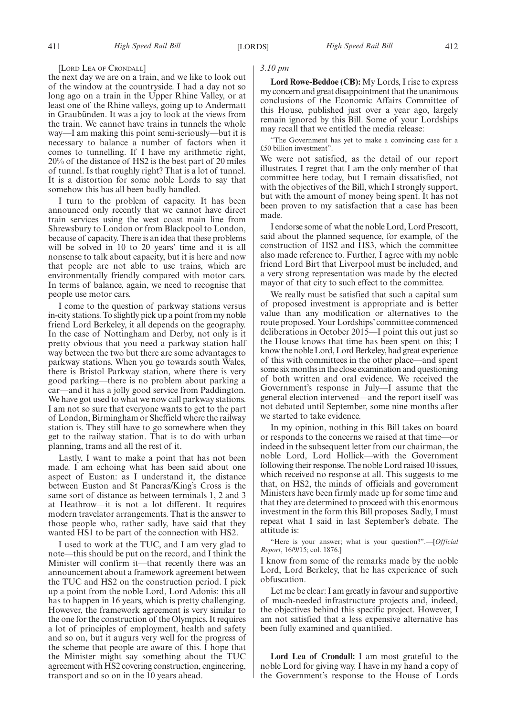#### [LORD LEA OF CRONDALL]

the next day we are on a train, and we like to look out of the window at the countryside. I had a day not so long ago on a train in the Upper Rhine Valley, or at least one of the Rhine valleys, going up to Andermatt in Graubünden. It was a joy to look at the views from the train. We cannot have trains in tunnels the whole way—I am making this point semi-seriously—but it is necessary to balance a number of factors when it comes to tunnelling. If I have my arithmetic right, 20% of the distance of HS2 is the best part of 20 miles of tunnel. Is that roughly right? That is a lot of tunnel. It is a distortion for some noble Lords to say that somehow this has all been badly handled.

I turn to the problem of capacity. It has been announced only recently that we cannot have direct train services using the west coast main line from Shrewsbury to London or from Blackpool to London, because of capacity. There is an idea that these problems will be solved in 10 to 20 years' time and it is all nonsense to talk about capacity, but it is here and now that people are not able to use trains, which are environmentally friendly compared with motor cars. In terms of balance, again, we need to recognise that people use motor cars.

I come to the question of parkway stations versus in-city stations. To slightly pick up a point from my noble friend Lord Berkeley, it all depends on the geography. In the case of Nottingham and Derby, not only is it pretty obvious that you need a parkway station half way between the two but there are some advantages to parkway stations. When you go towards south Wales, there is Bristol Parkway station, where there is very good parking—there is no problem about parking a car—and it has a jolly good service from Paddington. We have got used to what we now call parkway stations. I am not so sure that everyone wants to get to the part of London, Birmingham or Sheffield where the railway station is. They still have to go somewhere when they get to the railway station. That is to do with urban planning, trams and all the rest of it.

Lastly, I want to make a point that has not been made. I am echoing what has been said about one aspect of Euston: as I understand it, the distance between Euston and St Pancras/King's Cross is the same sort of distance as between terminals 1, 2 and 3 at Heathrow—it is not a lot different. It requires modern travelator arrangements. That is the answer to those people who, rather sadly, have said that they wanted HS1 to be part of the connection with HS2.

I used to work at the TUC, and I am very glad to note—this should be put on the record, and I think the Minister will confirm it—that recently there was an announcement about a framework agreement between the TUC and HS2 on the construction period. I pick up a point from the noble Lord, Lord Adonis: this all has to happen in 16 years, which is pretty challenging. However, the framework agreement is very similar to the one for the construction of the Olympics. It requires a lot of principles of employment, health and safety and so on, but it augurs very well for the progress of the scheme that people are aware of this. I hope that the Minister might say something about the TUC agreement with HS2 covering construction, engineering, transport and so on in the 10 years ahead.

#### *3.10 pm*

**Lord Rowe-Beddoe (CB):** My Lords, I rise to express my concern and great disappointment that the unanimous conclusions of the Economic Affairs Committee of this House, published just over a year ago, largely remain ignored by this Bill. Some of your Lordships may recall that we entitled the media release:

"The Government has yet to make a convincing case for a £50 billion investment".

We were not satisfied, as the detail of our report illustrates. I regret that I am the only member of that committee here today, but I remain dissatisfied, not with the objectives of the Bill, which I strongly support, but with the amount of money being spent. It has not been proven to my satisfaction that a case has been made.

I endorse some of what the noble Lord, Lord Prescott, said about the planned sequence, for example, of the construction of HS2 and HS3, which the committee also made reference to. Further, I agree with my noble friend Lord Birt that Liverpool must be included, and a very strong representation was made by the elected mayor of that city to such effect to the committee.

We really must be satisfied that such a capital sum of proposed investment is appropriate and is better value than any modification or alternatives to the route proposed. Your Lordships'committee commenced deliberations in October 2015—I point this out just so the House knows that time has been spent on this; I know the noble Lord, Lord Berkeley, had great experience of this with committees in the other place—and spent some six months in the close examination and questioning of both written and oral evidence. We received the Government's response in July—I assume that the general election intervened—and the report itself was not debated until September, some nine months after we started to take evidence.

In my opinion, nothing in this Bill takes on board or responds to the concerns we raised at that time—or indeed in the subsequent letter from our chairman, the noble Lord, Lord Hollick—with the Government following their response. The noble Lord raised 10 issues, which received no response at all. This suggests to me that, on HS2, the minds of officials and government Ministers have been firmly made up for some time and that they are determined to proceed with this enormous investment in the form this Bill proposes. Sadly, I must repeat what I said in last September's debate. The attitude is:

"Here is your answer; what is your question?".—[*Official Report*, 16/9/15; col. 1876.]

I know from some of the remarks made by the noble Lord, Lord Berkeley, that he has experience of such obfuscation.

Let me be clear: I am greatly in favour and supportive of much-needed infrastructure projects and, indeed, the objectives behind this specific project. However, I am not satisfied that a less expensive alternative has been fully examined and quantified.

**Lord Lea of Crondall:** I am most grateful to the noble Lord for giving way. I have in my hand a copy of the Government's response to the House of Lords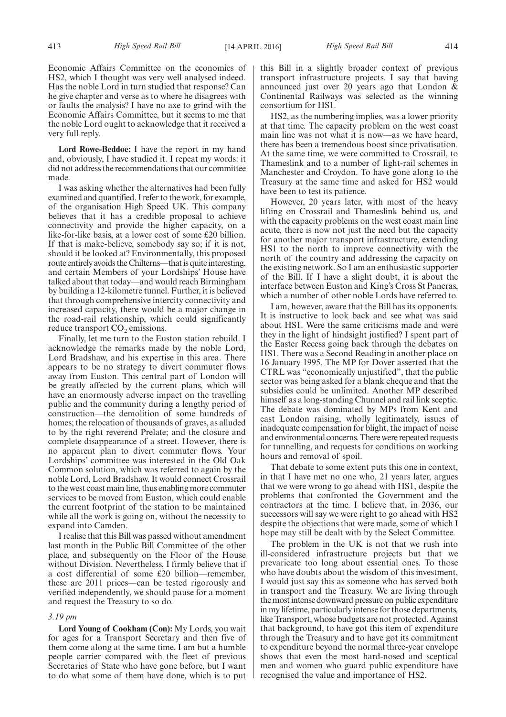Economic Affairs Committee on the economics of HS2, which I thought was very well analysed indeed. Has the noble Lord in turn studied that response? Can he give chapter and verse as to where he disagrees with or faults the analysis? I have no axe to grind with the Economic Affairs Committee, but it seems to me that the noble Lord ought to acknowledge that it received a very full reply.

**Lord Rowe-Beddoe:** I have the report in my hand and, obviously, I have studied it. I repeat my words: it did not address the recommendations that our committee made.

I was asking whether the alternatives had been fully examined and quantified. I refer to the work, for example, of the organisation High Speed UK. This company believes that it has a credible proposal to achieve connectivity and provide the higher capacity, on a like-for-like basis, at a lower cost of some £20 billion. If that is make-believe, somebody say so; if it is not, should it be looked at? Environmentally, this proposed route entirely avoids the Chilterns—that is quite interesting, and certain Members of your Lordships' House have talked about that today—and would reach Birmingham by building a 12-kilometre tunnel. Further, it is believed that through comprehensive intercity connectivity and increased capacity, there would be a major change in the road-rail relationship, which could significantly reduce transport  $CO<sub>2</sub>$  emissions.

Finally, let me turn to the Euston station rebuild. I acknowledge the remarks made by the noble Lord, Lord Bradshaw, and his expertise in this area. There appears to be no strategy to divert commuter flows away from Euston. This central part of London will be greatly affected by the current plans, which will have an enormously adverse impact on the travelling public and the community during a lengthy period of construction—the demolition of some hundreds of homes; the relocation of thousands of graves, as alluded to by the right reverend Prelate; and the closure and complete disappearance of a street. However, there is no apparent plan to divert commuter flows. Your Lordships' committee was interested in the Old Oak Common solution, which was referred to again by the noble Lord, Lord Bradshaw. It would connect Crossrail to the west coast main line, thus enabling more commuter services to be moved from Euston, which could enable the current footprint of the station to be maintained while all the work is going on, without the necessity to expand into Camden.

I realise that this Bill was passed without amendment last month in the Public Bill Committee of the other place, and subsequently on the Floor of the House without Division. Nevertheless, I firmly believe that if a cost differential of some £20 billion—remember, these are 2011 prices—can be tested rigorously and verified independently, we should pause for a moment and request the Treasury to so do.

#### *3.19 pm*

**Lord Young of Cookham (Con):** My Lords, you wait for ages for a Transport Secretary and then five of them come along at the same time. I am but a humble people carrier compared with the fleet of previous Secretaries of State who have gone before, but I want to do what some of them have done, which is to put this Bill in a slightly broader context of previous transport infrastructure projects. I say that having announced just over 20 years ago that London & Continental Railways was selected as the winning consortium for HS1.

HS2, as the numbering implies, was a lower priority at that time. The capacity problem on the west coast main line was not what it is now—as we have heard, there has been a tremendous boost since privatisation. At the same time, we were committed to Crossrail, to Thameslink and to a number of light-rail schemes in Manchester and Croydon. To have gone along to the Treasury at the same time and asked for HS2 would have been to test its patience.

However, 20 years later, with most of the heavy lifting on Crossrail and Thameslink behind us, and with the capacity problems on the west coast main line acute, there is now not just the need but the capacity for another major transport infrastructure, extending HS1 to the north to improve connectivity with the north of the country and addressing the capacity on the existing network. So I am an enthusiastic supporter of the Bill. If I have a slight doubt, it is about the interface between Euston and King's Cross St Pancras, which a number of other noble Lords have referred to.

I am, however, aware that the Bill has its opponents. It is instructive to look back and see what was said about HS1. Were the same criticisms made and were they in the light of hindsight justified? I spent part of the Easter Recess going back through the debates on HS1. There was a Second Reading in another place on 16 January 1995. The MP for Dover asserted that the CTRL was "economically unjustified", that the public sector was being asked for a blank cheque and that the subsidies could be unlimited. Another MP described himself as a long-standing Chunnel and rail link sceptic. The debate was dominated by MPs from Kent and east London raising, wholly legitimately, issues of inadequate compensation for blight, the impact of noise and environmental concerns. There were repeated requests for tunnelling, and requests for conditions on working hours and removal of spoil.

That debate to some extent puts this one in context, in that I have met no one who, 21 years later, argues that we were wrong to go ahead with HS1, despite the problems that confronted the Government and the contractors at the time. I believe that, in 2036, our successors will say we were right to go ahead with HS2 despite the objections that were made, some of which I hope may still be dealt with by the Select Committee.

The problem in the UK is not that we rush into ill-considered infrastructure projects but that we prevaricate too long about essential ones. To those who have doubts about the wisdom of this investment, I would just say this as someone who has served both in transport and the Treasury. We are living through the most intense downward pressure on public expenditure in my lifetime, particularly intense for those departments, like Transport, whose budgets are not protected. Against that background, to have got this item of expenditure through the Treasury and to have got its commitment to expenditure beyond the normal three-year envelope shows that even the most hard-nosed and sceptical men and women who guard public expenditure have recognised the value and importance of HS2.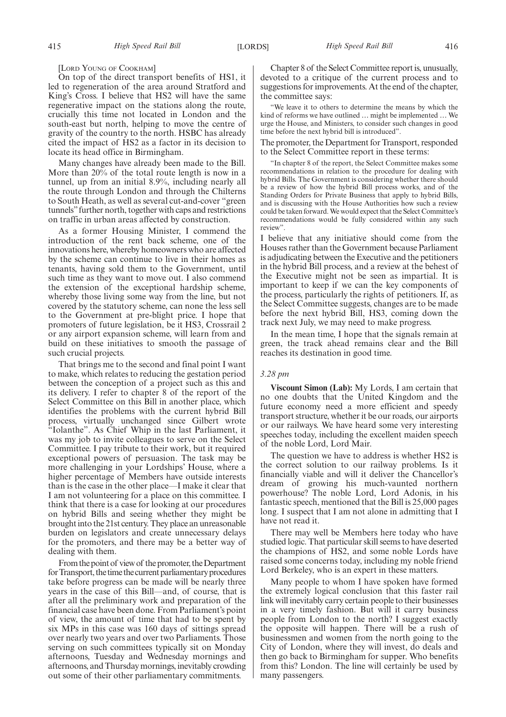[LORD YOUNG OF COOKHAM]

On top of the direct transport benefits of HS1, it led to regeneration of the area around Stratford and King's Cross. I believe that HS2 will have the same regenerative impact on the stations along the route, crucially this time not located in London and the south-east but north, helping to move the centre of gravity of the country to the north. HSBC has already cited the impact of HS2 as a factor in its decision to locate its head office in Birmingham.

Many changes have already been made to the Bill. More than 20% of the total route length is now in a tunnel, up from an initial 8.9%, including nearly all the route through London and through the Chilterns to South Heath, as well as several cut-and-cover "green tunnels"further north, together with caps and restrictions on traffic in urban areas affected by construction.

As a former Housing Minister, I commend the introduction of the rent back scheme, one of the innovations here, whereby homeowners who are affected by the scheme can continue to live in their homes as tenants, having sold them to the Government, until such time as they want to move out. I also commend the extension of the exceptional hardship scheme, whereby those living some way from the line, but not covered by the statutory scheme, can none the less sell to the Government at pre-blight price. I hope that promoters of future legislation, be it HS3, Crossrail 2 or any airport expansion scheme, will learn from and build on these initiatives to smooth the passage of such crucial projects.

That brings me to the second and final point I want to make, which relates to reducing the gestation period between the conception of a project such as this and its delivery. I refer to chapter 8 of the report of the Select Committee on this Bill in another place, which identifies the problems with the current hybrid Bill process, virtually unchanged since Gilbert wrote "Iolanthe". As Chief Whip in the last Parliament, it was my job to invite colleagues to serve on the Select Committee. I pay tribute to their work, but it required exceptional powers of persuasion. The task may be more challenging in your Lordships' House, where a higher percentage of Members have outside interests than is the case in the other place—I make it clear that I am not volunteering for a place on this committee. I think that there is a case for looking at our procedures on hybrid Bills and seeing whether they might be brought into the 21st century. They place an unreasonable burden on legislators and create unnecessary delays for the promoters, and there may be a better way of dealing with them.

From the point of view of the promoter, the Department for Transport, the time the current parliamentary procedures take before progress can be made will be nearly three years in the case of this Bill—and, of course, that is after all the preliminary work and preparation of the financial case have been done. From Parliament's point of view, the amount of time that had to be spent by six MPs in this case was 160 days of sittings spread over nearly two years and over two Parliaments. Those serving on such committees typically sit on Monday afternoons, Tuesday and Wednesday mornings and afternoons, and Thursday mornings, inevitably crowding out some of their other parliamentary commitments.

Chapter 8 of the Select Committee report is, unusually, devoted to a critique of the current process and to suggestions for improvements. At the end of the chapter, the committee says:

"We leave it to others to determine the means by which the kind of reforms we have outlined … might be implemented … We urge the House, and Ministers, to consider such changes in good time before the next hybrid bill is introduced".

The promoter, the Department for Transport, responded to the Select Committee report in these terms:

"In chapter 8 of the report, the Select Committee makes some recommendations in relation to the procedure for dealing with hybrid Bills. The Government is considering whether there should be a review of how the hybrid Bill process works, and of the Standing Orders for Private Business that apply to hybrid Bills, and is discussing with the House Authorities how such a review could be taken forward. We would expect that the Select Committee's recommendations would be fully considered within any such review".

I believe that any initiative should come from the Houses rather than the Government because Parliament is adjudicating between the Executive and the petitioners in the hybrid Bill process, and a review at the behest of the Executive might not be seen as impartial. It is important to keep if we can the key components of the process, particularly the rights of petitioners. If, as the Select Committee suggests, changes are to be made before the next hybrid Bill, HS3, coming down the track next July, we may need to make progress.

In the mean time, I hope that the signals remain at green, the track ahead remains clear and the Bill reaches its destination in good time.

#### *3.28 pm*

**Viscount Simon (Lab):** My Lords, I am certain that no one doubts that the United Kingdom and the future economy need a more efficient and speedy transport structure, whether it be our roads, our airports or our railways. We have heard some very interesting speeches today, including the excellent maiden speech of the noble Lord, Lord Mair.

The question we have to address is whether HS2 is the correct solution to our railway problems. Is it financially viable and will it deliver the Chancellor's dream of growing his much-vaunted northern powerhouse? The noble Lord, Lord Adonis, in his fantastic speech, mentioned that the Bill is 25,000 pages long. I suspect that I am not alone in admitting that I have not read it.

There may well be Members here today who have studied logic. That particular skill seems to have deserted the champions of HS2, and some noble Lords have raised some concerns today, including my noble friend Lord Berkeley, who is an expert in these matters.

Many people to whom I have spoken have formed the extremely logical conclusion that this faster rail link will inevitably carry certain people to their businesses in a very timely fashion. But will it carry business people from London to the north? I suggest exactly the opposite will happen. There will be a rush of businessmen and women from the north going to the City of London, where they will invest, do deals and then go back to Birmingham for supper. Who benefits from this? London. The line will certainly be used by many passengers.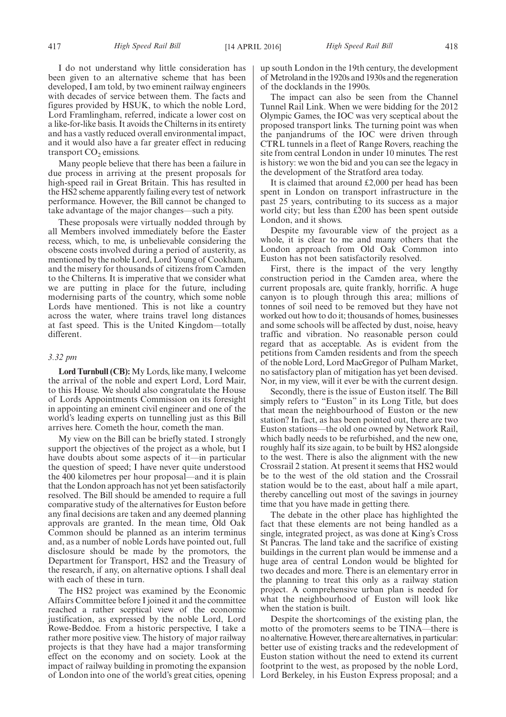I do not understand why little consideration has been given to an alternative scheme that has been developed, I am told, by two eminent railway engineers with decades of service between them. The facts and figures provided by HSUK, to which the noble Lord, Lord Framlingham, referred, indicate a lower cost on a like-for-like basis. It avoids the Chilterns in its entirety and has a vastly reduced overall environmental impact, and it would also have a far greater effect in reducing transport  $CO<sub>2</sub>$  emissions.

Many people believe that there has been a failure in due process in arriving at the present proposals for high-speed rail in Great Britain. This has resulted in the HS2 scheme apparently failing every test of network performance. However, the Bill cannot be changed to take advantage of the major changes—such a pity.

These proposals were virtually nodded through by all Members involved immediately before the Easter recess, which, to me, is unbelievable considering the obscene costs involved during a period of austerity, as mentioned by the noble Lord, Lord Young of Cookham, and the misery for thousands of citizens from Camden to the Chilterns. It is imperative that we consider what we are putting in place for the future, including modernising parts of the country, which some noble Lords have mentioned. This is not like a country across the water, where trains travel long distances at fast speed. This is the United Kingdom—totally different.

#### *3.32 pm*

**Lord Turnbull (CB):** My Lords, like many, I welcome the arrival of the noble and expert Lord, Lord Mair, to this House. We should also congratulate the House of Lords Appointments Commission on its foresight in appointing an eminent civil engineer and one of the world's leading experts on tunnelling just as this Bill arrives here. Cometh the hour, cometh the man.

My view on the Bill can be briefly stated. I strongly support the objectives of the project as a whole, but I have doubts about some aspects of it—in particular the question of speed; I have never quite understood the 400 kilometres per hour proposal—and it is plain that the London approach has not yet been satisfactorily resolved. The Bill should be amended to require a full comparative study of the alternatives for Euston before any final decisions are taken and any deemed planning approvals are granted. In the mean time, Old Oak Common should be planned as an interim terminus and, as a number of noble Lords have pointed out, full disclosure should be made by the promotors, the Department for Transport, HS2 and the Treasury of the research, if any, on alternative options. I shall deal with each of these in turn.

The HS2 project was examined by the Economic Affairs Committee before I joined it and the committee reached a rather sceptical view of the economic justification, as expressed by the noble Lord, Lord Rowe-Beddoe. From a historic perspective, I take a rather more positive view. The history of major railway projects is that they have had a major transforming effect on the economy and on society. Look at the impact of railway building in promoting the expansion of London into one of the world's great cities, opening up south London in the 19th century, the development of Metroland in the 1920s and 1930s and the regeneration of the docklands in the 1990s.

The impact can also be seen from the Channel Tunnel Rail Link. When we were bidding for the 2012 Olympic Games, the IOC was very sceptical about the proposed transport links. The turning point was when the panjandrums of the IOC were driven through CTRL tunnels in a fleet of Range Rovers, reaching the site from central London in under 10 minutes. The rest is history: we won the bid and you can see the legacy in the development of the Stratford area today.

It is claimed that around £2,000 per head has been spent in London on transport infrastructure in the past 25 years, contributing to its success as a major world city; but less than £200 has been spent outside London, and it shows.

Despite my favourable view of the project as a whole, it is clear to me and many others that the London approach from Old Oak Common into Euston has not been satisfactorily resolved.

First, there is the impact of the very lengthy construction period in the Camden area, where the current proposals are, quite frankly, horrific. A huge canyon is to plough through this area; millions of tonnes of soil need to be removed but they have not worked out how to do it; thousands of homes, businesses and some schools will be affected by dust, noise, heavy traffic and vibration. No reasonable person could regard that as acceptable. As is evident from the petitions from Camden residents and from the speech of the noble Lord, Lord MacGregor of Pulham Market, no satisfactory plan of mitigation has yet been devised. Nor, in my view, will it ever be with the current design.

Secondly, there is the issue of Euston itself. The Bill simply refers to "Euston" in its Long Title, but does that mean the neighbourhood of Euston or the new station? In fact, as has been pointed out, there are two Euston stations—the old one owned by Network Rail, which badly needs to be refurbished, and the new one, roughly half its size again, to be built by HS2 alongside to the west. There is also the alignment with the new Crossrail 2 station. At present it seems that HS2 would be to the west of the old station and the Crossrail station would be to the east, about half a mile apart, thereby cancelling out most of the savings in journey time that you have made in getting there.

The debate in the other place has highlighted the fact that these elements are not being handled as a single, integrated project, as was done at King's Cross St Pancras. The land take and the sacrifice of existing buildings in the current plan would be immense and a huge area of central London would be blighted for two decades and more. There is an elementary error in the planning to treat this only as a railway station project. A comprehensive urban plan is needed for what the neighbourhood of Euston will look like when the station is built.

Despite the shortcomings of the existing plan, the motto of the promoters seems to be TINA—there is no alternative. However, there are alternatives, in particular: better use of existing tracks and the redevelopment of Euston station without the need to extend its current footprint to the west, as proposed by the noble Lord, Lord Berkeley, in his Euston Express proposal; and a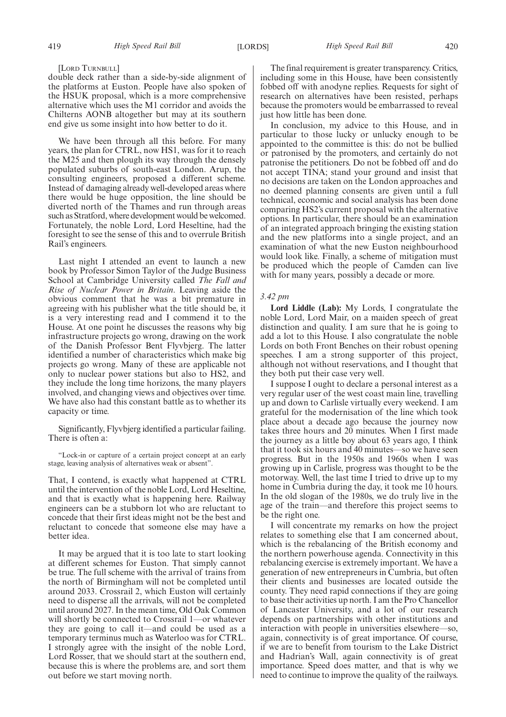#### [LORD TURNBULL]

double deck rather than a side-by-side alignment of the platforms at Euston. People have also spoken of the HSUK proposal, which is a more comprehensive alternative which uses the M1 corridor and avoids the Chilterns AONB altogether but may at its southern end give us some insight into how better to do it.

We have been through all this before. For many years, the plan for CTRL, now HS1, was for it to reach the M25 and then plough its way through the densely populated suburbs of south-east London. Arup, the consulting engineers, proposed a different scheme. Instead of damaging already well-developed areas where there would be huge opposition, the line should be diverted north of the Thames and run through areas such as Stratford, where development would be welcomed. Fortunately, the noble Lord, Lord Heseltine, had the foresight to see the sense of this and to overrule British Rail's engineers.

Last night I attended an event to launch a new book by Professor Simon Taylor of the Judge Business School at Cambridge University called *The Fall and Rise of Nuclear Power in Britain*. Leaving aside the obvious comment that he was a bit premature in agreeing with his publisher what the title should be, it is a very interesting read and I commend it to the House. At one point he discusses the reasons why big infrastructure projects go wrong, drawing on the work of the Danish Professor Bent Flyvbjerg. The latter identified a number of characteristics which make big projects go wrong. Many of these are applicable not only to nuclear power stations but also to HS2, and they include the long time horizons, the many players involved, and changing views and objectives over time. We have also had this constant battle as to whether its capacity or time.

Significantly, Flyvbjerg identified a particular failing. There is often a:

"Lock-in or capture of a certain project concept at an early stage, leaving analysis of alternatives weak or absent".

That, I contend, is exactly what happened at CTRL until the intervention of the noble Lord, Lord Heseltine, and that is exactly what is happening here. Railway engineers can be a stubborn lot who are reluctant to concede that their first ideas might not be the best and reluctant to concede that someone else may have a better idea.

It may be argued that it is too late to start looking at different schemes for Euston. That simply cannot be true. The full scheme with the arrival of trains from the north of Birmingham will not be completed until around 2033. Crossrail 2, which Euston will certainly need to disperse all the arrivals, will not be completed until around 2027. In the mean time, Old Oak Common will shortly be connected to Crossrail 1—or whatever they are going to call it—and could be used as a temporary terminus much as Waterloo was for CTRL. I strongly agree with the insight of the noble Lord, Lord Rosser, that we should start at the southern end, because this is where the problems are, and sort them out before we start moving north.

The final requirement is greater transparency. Critics, including some in this House, have been consistently fobbed off with anodyne replies. Requests for sight of research on alternatives have been resisted, perhaps because the promoters would be embarrassed to reveal just how little has been done.

In conclusion, my advice to this House, and in particular to those lucky or unlucky enough to be appointed to the committee is this: do not be bullied or patronised by the promoters, and certainly do not patronise the petitioners. Do not be fobbed off and do not accept TINA; stand your ground and insist that no decisions are taken on the London approaches and no deemed planning consents are given until a full technical, economic and social analysis has been done comparing HS2's current proposal with the alternative options. In particular, there should be an examination of an integrated approach bringing the existing station and the new platforms into a single project, and an examination of what the new Euston neighbourhood would look like. Finally, a scheme of mitigation must be produced which the people of Camden can live with for many years, possibly a decade or more.

#### *3.42 pm*

**Lord Liddle (Lab):** My Lords, I congratulate the noble Lord, Lord Mair, on a maiden speech of great distinction and quality. I am sure that he is going to add a lot to this House. I also congratulate the noble Lords on both Front Benches on their robust opening speeches. I am a strong supporter of this project, although not without reservations, and I thought that they both put their case very well.

I suppose I ought to declare a personal interest as a very regular user of the west coast main line, travelling up and down to Carlisle virtually every weekend. I am grateful for the modernisation of the line which took place about a decade ago because the journey now takes three hours and 20 minutes. When I first made the journey as a little boy about 63 years ago, I think that it took six hours and 40 minutes—so we have seen progress. But in the 1950s and 1960s when I was growing up in Carlisle, progress was thought to be the motorway. Well, the last time I tried to drive up to my home in Cumbria during the day, it took me 10 hours. In the old slogan of the 1980s, we do truly live in the age of the train—and therefore this project seems to be the right one.

I will concentrate my remarks on how the project relates to something else that I am concerned about, which is the rebalancing of the British economy and the northern powerhouse agenda. Connectivity in this rebalancing exercise is extremely important. We have a generation of new entrepreneurs in Cumbria, but often their clients and businesses are located outside the county. They need rapid connections if they are going to base their activities up north. I am the Pro Chancellor of Lancaster University, and a lot of our research depends on partnerships with other institutions and interaction with people in universities elsewhere—so, again, connectivity is of great importance. Of course, if we are to benefit from tourism to the Lake District and Hadrian's Wall, again connectivity is of great importance. Speed does matter, and that is why we need to continue to improve the quality of the railways.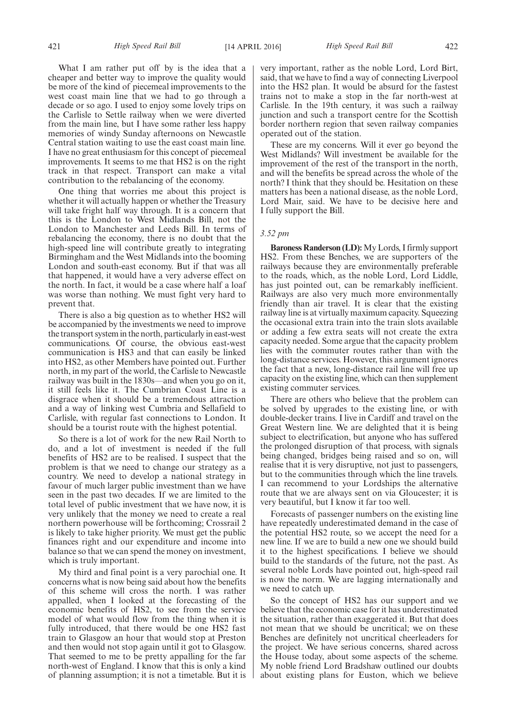What I am rather put off by is the idea that a cheaper and better way to improve the quality would be more of the kind of piecemeal improvements to the west coast main line that we had to go through a decade or so ago. I used to enjoy some lovely trips on the Carlisle to Settle railway when we were diverted from the main line, but I have some rather less happy memories of windy Sunday afternoons on Newcastle Central station waiting to use the east coast main line. I have no great enthusiasm for this concept of piecemeal improvements. It seems to me that HS2 is on the right track in that respect. Transport can make a vital contribution to the rebalancing of the economy.

One thing that worries me about this project is whether it will actually happen or whether the Treasury will take fright half way through. It is a concern that this is the London to West Midlands Bill, not the London to Manchester and Leeds Bill. In terms of rebalancing the economy, there is no doubt that the high-speed line will contribute greatly to integrating Birmingham and the West Midlands into the booming London and south-east economy. But if that was all that happened, it would have a very adverse effect on the north. In fact, it would be a case where half a loaf was worse than nothing. We must fight very hard to prevent that.

There is also a big question as to whether HS2 will be accompanied by the investments we need to improve the transport system in the north, particularly in east-west communications. Of course, the obvious east-west communication is HS3 and that can easily be linked into HS2, as other Members have pointed out. Further north, in my part of the world, the Carlisle to Newcastle railway was built in the 1830s—and when you go on it, it still feels like it. The Cumbrian Coast Line is a disgrace when it should be a tremendous attraction and a way of linking west Cumbria and Sellafield to Carlisle, with regular fast connections to London. It should be a tourist route with the highest potential.

So there is a lot of work for the new Rail North to do, and a lot of investment is needed if the full benefits of HS2 are to be realised. I suspect that the problem is that we need to change our strategy as a country. We need to develop a national strategy in favour of much larger public investment than we have seen in the past two decades. If we are limited to the total level of public investment that we have now, it is very unlikely that the money we need to create a real northern powerhouse will be forthcoming; Crossrail 2 is likely to take higher priority. We must get the public finances right and our expenditure and income into balance so that we can spend the money on investment, which is truly important.

My third and final point is a very parochial one. It concerns what is now being said about how the benefits of this scheme will cross the north. I was rather appalled, when I looked at the forecasting of the economic benefits of HS2, to see from the service model of what would flow from the thing when it is fully introduced, that there would be one HS2 fast train to Glasgow an hour that would stop at Preston and then would not stop again until it got to Glasgow. That seemed to me to be pretty appalling for the far north-west of England. I know that this is only a kind of planning assumption; it is not a timetable. But it is very important, rather as the noble Lord, Lord Birt, said, that we have to find a way of connecting Liverpool into the HS2 plan. It would be absurd for the fastest trains not to make a stop in the far north-west at Carlisle. In the 19th century, it was such a railway junction and such a transport centre for the Scottish border northern region that seven railway companies operated out of the station.

These are my concerns. Will it ever go beyond the West Midlands? Will investment be available for the improvement of the rest of the transport in the north, and will the benefits be spread across the whole of the north? I think that they should be. Hesitation on these matters has been a national disease, as the noble Lord, Lord Mair, said. We have to be decisive here and I fully support the Bill.

#### *3.52 pm*

**Baroness Randerson (LD):**My Lords, I firmly support HS2. From these Benches, we are supporters of the railways because they are environmentally preferable to the roads, which, as the noble Lord, Lord Liddle, has just pointed out, can be remarkably inefficient. Railways are also very much more environmentally friendly than air travel. It is clear that the existing railway line is at virtually maximum capacity. Squeezing the occasional extra train into the train slots available or adding a few extra seats will not create the extra capacity needed. Some argue that the capacity problem lies with the commuter routes rather than with the long-distance services. However, this argument ignores the fact that a new, long-distance rail line will free up capacity on the existing line, which can then supplement existing commuter services.

There are others who believe that the problem can be solved by upgrades to the existing line, or with double-decker trains. I live in Cardiff and travel on the Great Western line. We are delighted that it is being subject to electrification, but anyone who has suffered the prolonged disruption of that process, with signals being changed, bridges being raised and so on, will realise that it is very disruptive, not just to passengers, but to the communities through which the line travels. I can recommend to your Lordships the alternative route that we are always sent on via Gloucester; it is very beautiful, but I know it far too well.

Forecasts of passenger numbers on the existing line have repeatedly underestimated demand in the case of the potential HS2 route, so we accept the need for a new line. If we are to build a new one we should build it to the highest specifications. I believe we should build to the standards of the future, not the past. As several noble Lords have pointed out, high-speed rail is now the norm. We are lagging internationally and we need to catch up.

So the concept of HS2 has our support and we believe that the economic case for it has underestimated the situation, rather than exaggerated it. But that does not mean that we should be uncritical; we on these Benches are definitely not uncritical cheerleaders for the project. We have serious concerns, shared across the House today, about some aspects of the scheme. My noble friend Lord Bradshaw outlined our doubts about existing plans for Euston, which we believe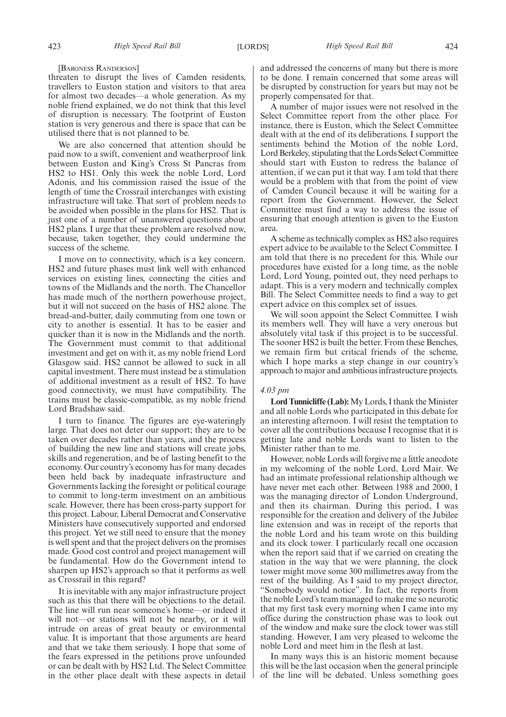[BARONESS RANDERSON]

threaten to disrupt the lives of Camden residents, travellers to Euston station and visitors to that area for almost two decades—a whole generation. As my noble friend explained, we do not think that this level of disruption is necessary. The footprint of Euston station is very generous and there is space that can be utilised there that is not planned to be.

We are also concerned that attention should be paid now to a swift, convenient and weatherproof link between Euston and King's Cross St Pancras from HS2 to HS1. Only this week the noble Lord, Lord Adonis, and his commission raised the issue of the length of time the Crossrail interchanges with existing infrastructure will take. That sort of problem needs to be avoided when possible in the plans for HS2. That is just one of a number of unanswered questions about HS2 plans. I urge that these problem are resolved now, because, taken together, they could undermine the success of the scheme.

I move on to connectivity, which is a key concern. HS2 and future phases must link well with enhanced services on existing lines, connecting the cities and towns of the Midlands and the north. The Chancellor has made much of the northern powerhouse project, but it will not succeed on the basis of HS2 alone. The bread-and-butter, daily commuting from one town or city to another is essential. It has to be easier and quicker than it is now in the Midlands and the north. The Government must commit to that additional investment and get on with it, as my noble friend Lord Glasgow said. HS2 cannot be allowed to suck in all capital investment. There must instead be a stimulation of additional investment as a result of HS2. To have good connectivity, we must have compatibility. The trains must be classic-compatible, as my noble friend Lord Bradshaw said.

I turn to finance. The figures are eye-wateringly large. That does not deter our support; they are to be taken over decades rather than years, and the process of building the new line and stations will create jobs, skills and regeneration, and be of lasting benefit to the economy. Our country's economy has for many decades been held back by inadequate infrastructure and Governments lacking the foresight or political courage to commit to long-term investment on an ambitious scale. However, there has been cross-party support for this project. Labour, Liberal Democrat and Conservative Ministers have consecutively supported and endorsed this project. Yet we still need to ensure that the money is well spent and that the project delivers on the promises made. Good cost control and project management will be fundamental. How do the Government intend to sharpen up HS2's approach so that it performs as well as Crossrail in this regard?

It is inevitable with any major infrastructure project such as this that there will be objections to the detail. The line will run near someone's home—or indeed it will not—or stations will not be nearby, or it will intrude on areas of great beauty or environmental value. It is important that those arguments are heard and that we take them seriously. I hope that some of the fears expressed in the petitions prove unfounded or can be dealt with by HS2 Ltd. The Select Committee in the other place dealt with these aspects in detail and addressed the concerns of many but there is more to be done. I remain concerned that some areas will be disrupted by construction for years but may not be properly compensated for that.

A number of major issues were not resolved in the Select Committee report from the other place. For instance, there is Euston, which the Select Committee dealt with at the end of its deliberations. I support the sentiments behind the Motion of the noble Lord, Lord Berkeley, stipulating that the Lords Select Committee should start with Euston to redress the balance of attention, if we can put it that way. I am told that there would be a problem with that from the point of view of Camden Council because it will be waiting for a report from the Government. However, the Select Committee must find a way to address the issue of ensuring that enough attention is given to the Euston area.

A scheme as technically complex as HS2 also requires expert advice to be available to the Select Committee. I am told that there is no precedent for this. While our procedures have existed for a long time, as the noble Lord, Lord Young, pointed out, they need perhaps to adapt. This is a very modern and technically complex Bill. The Select Committee needs to find a way to get expert advice on this complex set of issues.

We will soon appoint the Select Committee. I wish its members well. They will have a very onerous but absolutely vital task if this project is to be successful. The sooner HS2 is built the better. From these Benches, we remain firm but critical friends of the scheme, which I hope marks a step change in our country's approach to major and ambitious infrastructure projects.

#### *4.03 pm*

**Lord Tunnicliffe (Lab):**My Lords, I thank the Minister and all noble Lords who participated in this debate for an interesting afternoon. I will resist the temptation to cover all the contributions because I recognise that it is getting late and noble Lords want to listen to the Minister rather than to me.

However, noble Lords will forgive me a little anecdote in my welcoming of the noble Lord, Lord Mair. We had an intimate professional relationship although we have never met each other. Between 1988 and 2000, I was the managing director of London Underground, and then its chairman. During this period, I was responsible for the creation and delivery of the Jubilee line extension and was in receipt of the reports that the noble Lord and his team wrote on this building and its clock tower. I particularly recall one occasion when the report said that if we carried on creating the station in the way that we were planning, the clock tower might move some 300 millimetres away from the rest of the building. As I said to my project director, "Somebody would notice". In fact, the reports from the noble Lord's team managed to make me so neurotic that my first task every morning when I came into my office during the construction phase was to look out of the window and make sure the clock tower was still standing. However, I am very pleased to welcome the noble Lord and meet him in the flesh at last.

In many ways this is an historic moment because this will be the last occasion when the general principle of the line will be debated. Unless something goes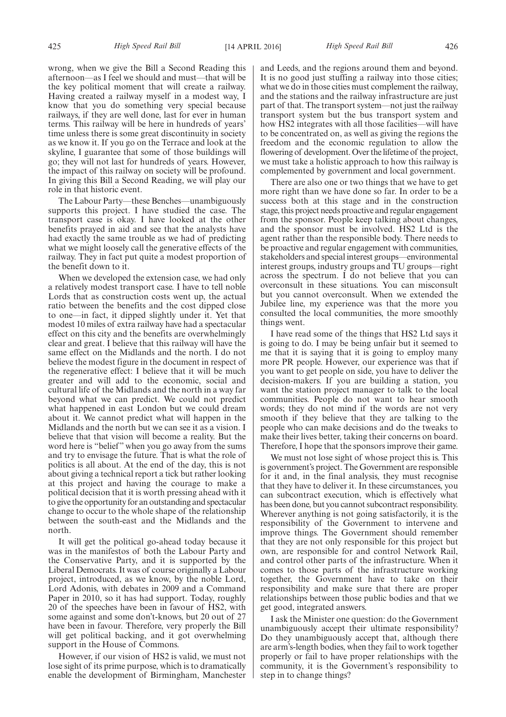wrong, when we give the Bill a Second Reading this afternoon—as I feel we should and must—that will be the key political moment that will create a railway. Having created a railway myself in a modest way, I know that you do something very special because railways, if they are well done, last for ever in human terms. This railway will be here in hundreds of years' time unless there is some great discontinuity in society as we know it. If you go on the Terrace and look at the skyline, I guarantee that some of those buildings will go; they will not last for hundreds of years. However, the impact of this railway on society will be profound. In giving this Bill a Second Reading, we will play our role in that historic event.

The Labour Party—these Benches—unambiguously supports this project. I have studied the case. The transport case is okay. I have looked at the other benefits prayed in aid and see that the analysts have had exactly the same trouble as we had of predicting what we might loosely call the generative effects of the railway. They in fact put quite a modest proportion of the benefit down to it.

When we developed the extension case, we had only a relatively modest transport case. I have to tell noble Lords that as construction costs went up, the actual ratio between the benefits and the cost dipped close to one—in fact, it dipped slightly under it. Yet that modest 10 miles of extra railway have had a spectacular effect on this city and the benefits are overwhelmingly clear and great. I believe that this railway will have the same effect on the Midlands and the north. I do not believe the modest figure in the document in respect of the regenerative effect: I believe that it will be much greater and will add to the economic, social and cultural life of the Midlands and the north in a way far beyond what we can predict. We could not predict what happened in east London but we could dream about it. We cannot predict what will happen in the Midlands and the north but we can see it as a vision. I believe that that vision will become a reality. But the word here is "belief" when you go away from the sums and try to envisage the future. That is what the role of politics is all about. At the end of the day, this is not about giving a technical report a tick but rather looking at this project and having the courage to make a political decision that it is worth pressing ahead with it to give the opportunity for an outstanding and spectacular change to occur to the whole shape of the relationship between the south-east and the Midlands and the north.

It will get the political go-ahead today because it was in the manifestos of both the Labour Party and the Conservative Party, and it is supported by the Liberal Democrats. It was of course originally a Labour project, introduced, as we know, by the noble Lord, Lord Adonis, with debates in 2009 and a Command Paper in 2010, so it has had support. Today, roughly 20 of the speeches have been in favour of HS2, with some against and some don't-knows, but 20 out of 27 have been in favour. Therefore, very properly the Bill will get political backing, and it got overwhelming support in the House of Commons.

However, if our vision of HS2 is valid, we must not lose sight of its prime purpose, which is to dramatically enable the development of Birmingham, Manchester and Leeds, and the regions around them and beyond. It is no good just stuffing a railway into those cities; what we do in those cities must complement the railway, and the stations and the railway infrastructure are just part of that. The transport system—not just the railway transport system but the bus transport system and how HS2 integrates with all those facilities—will have to be concentrated on, as well as giving the regions the freedom and the economic regulation to allow the flowering of development. Over the lifetime of the project, we must take a holistic approach to how this railway is complemented by government and local government.

There are also one or two things that we have to get more right than we have done so far. In order to be a success both at this stage and in the construction stage, this project needs proactive and regular engagement from the sponsor. People keep talking about changes, and the sponsor must be involved. HS2 Ltd is the agent rather than the responsible body. There needs to be proactive and regular engagement with communities, stakeholders and special interest groups—environmental interest groups, industry groups and TU groups—right across the spectrum. I do not believe that you can overconsult in these situations. You can misconsult but you cannot overconsult. When we extended the Jubilee line, my experience was that the more you consulted the local communities, the more smoothly things went.

I have read some of the things that HS2 Ltd says it is going to do. I may be being unfair but it seemed to me that it is saying that it is going to employ many more PR people. However, our experience was that if you want to get people on side, you have to deliver the decision-makers. If you are building a station, you want the station project manager to talk to the local communities. People do not want to hear smooth words; they do not mind if the words are not very smooth if they believe that they are talking to the people who can make decisions and do the tweaks to make their lives better, taking their concerns on board. Therefore, I hope that the sponsors improve their game.

We must not lose sight of whose project this is. This is government's project. The Government are responsible for it and, in the final analysis, they must recognise that they have to deliver it. In these circumstances, you can subcontract execution, which is effectively what has been done, but you cannot subcontract responsibility. Wherever anything is not going satisfactorily, it is the responsibility of the Government to intervene and improve things. The Government should remember that they are not only responsible for this project but own, are responsible for and control Network Rail, and control other parts of the infrastructure. When it comes to those parts of the infrastructure working together, the Government have to take on their responsibility and make sure that there are proper relationships between those public bodies and that we get good, integrated answers.

I ask the Minister one question: do the Government unambiguously accept their ultimate responsibility? Do they unambiguously accept that, although there are arm's-length bodies, when they fail to work together properly or fail to have proper relationships with the community, it is the Government's responsibility to step in to change things?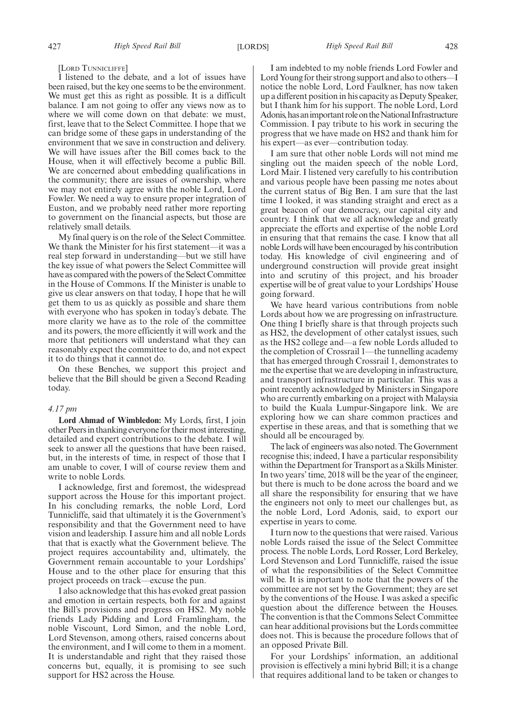[LORD TUNNICLIFFE]

I listened to the debate, and a lot of issues have been raised, but the key one seems to be the environment. We must get this as right as possible. It is a difficult balance. I am not going to offer any views now as to where we will come down on that debate: we must, first, leave that to the Select Committee. I hope that we can bridge some of these gaps in understanding of the environment that we save in construction and delivery. We will have issues after the Bill comes back to the House, when it will effectively become a public Bill. We are concerned about embedding qualifications in the community; there are issues of ownership, where we may not entirely agree with the noble Lord, Lord Fowler. We need a way to ensure proper integration of Euston, and we probably need rather more reporting to government on the financial aspects, but those are relatively small details.

My final query is on the role of the Select Committee. We thank the Minister for his first statement—it was a real step forward in understanding—but we still have the key issue of what powers the Select Committee will have as compared with the powers of the Select Committee in the House of Commons. If the Minister is unable to give us clear answers on that today, I hope that he will get them to us as quickly as possible and share them with everyone who has spoken in today's debate. The more clarity we have as to the role of the committee and its powers, the more efficiently it will work and the more that petitioners will understand what they can reasonably expect the committee to do, and not expect it to do things that it cannot do.

On these Benches, we support this project and believe that the Bill should be given a Second Reading today.

#### *4.17 pm*

**Lord Ahmad of Wimbledon:** My Lords, first, I join other Peers in thanking everyone for their most interesting, detailed and expert contributions to the debate. I will seek to answer all the questions that have been raised, but, in the interests of time, in respect of those that I am unable to cover, I will of course review them and write to noble Lords.

I acknowledge, first and foremost, the widespread support across the House for this important project. In his concluding remarks, the noble Lord, Lord Tunnicliffe, said that ultimately it is the Government's responsibility and that the Government need to have vision and leadership. I assure him and all noble Lords that that is exactly what the Government believe. The project requires accountability and, ultimately, the Government remain accountable to your Lordships' House and to the other place for ensuring that this project proceeds on track—excuse the pun.

I also acknowledge that this has evoked great passion and emotion in certain respects, both for and against the Bill's provisions and progress on HS2. My noble friends Lady Pidding and Lord Framlingham, the noble Viscount, Lord Simon, and the noble Lord, Lord Stevenson, among others, raised concerns about the environment, and I will come to them in a moment. It is understandable and right that they raised those concerns but, equally, it is promising to see such support for HS2 across the House.

I am indebted to my noble friends Lord Fowler and Lord Young for their strong support and also to others—I notice the noble Lord, Lord Faulkner, has now taken up a different position in his capacity as Deputy Speaker, but I thank him for his support. The noble Lord, Lord Adonis, has an important role on the National Infrastructure Commission. I pay tribute to his work in securing the progress that we have made on HS2 and thank him for his expert—as ever—contribution today.

I am sure that other noble Lords will not mind me singling out the maiden speech of the noble Lord, Lord Mair. I listened very carefully to his contribution and various people have been passing me notes about the current status of Big Ben. I am sure that the last time I looked, it was standing straight and erect as a great beacon of our democracy, our capital city and country. I think that we all acknowledge and greatly appreciate the efforts and expertise of the noble Lord in ensuring that that remains the case. I know that all noble Lords will have been encouraged by his contribution today. His knowledge of civil engineering and of underground construction will provide great insight into and scrutiny of this project, and his broader expertise will be of great value to your Lordships' House going forward.

We have heard various contributions from noble Lords about how we are progressing on infrastructure. One thing I briefly share is that through projects such as HS2, the development of other catalyst issues, such as the HS2 college and—a few noble Lords alluded to the completion of Crossrail 1—the tunnelling academy that has emerged through Crossrail 1, demonstrates to me the expertise that we are developing in infrastructure, and transport infrastructure in particular. This was a point recently acknowledged by Ministers in Singapore who are currently embarking on a project with Malaysia to build the Kuala Lumpur-Singapore link. We are exploring how we can share common practices and expertise in these areas, and that is something that we should all be encouraged by.

The lack of engineers was also noted. The Government recognise this; indeed, I have a particular responsibility within the Department for Transport as a Skills Minister. In two years' time, 2018 will be the year of the engineer, but there is much to be done across the board and we all share the responsibility for ensuring that we have the engineers not only to meet our challenges but, as the noble Lord, Lord Adonis, said, to export our expertise in years to come.

I turn now to the questions that were raised. Various noble Lords raised the issue of the Select Committee process. The noble Lords, Lord Rosser, Lord Berkeley, Lord Stevenson and Lord Tunnicliffe, raised the issue of what the responsibilities of the Select Committee will be. It is important to note that the powers of the committee are not set by the Government; they are set by the conventions of the House. I was asked a specific question about the difference between the Houses. The convention is that the Commons Select Committee can hear additional provisions but the Lords committee does not. This is because the procedure follows that of an opposed Private Bill.

For your Lordships' information, an additional provision is effectively a mini hybrid Bill; it is a change that requires additional land to be taken or changes to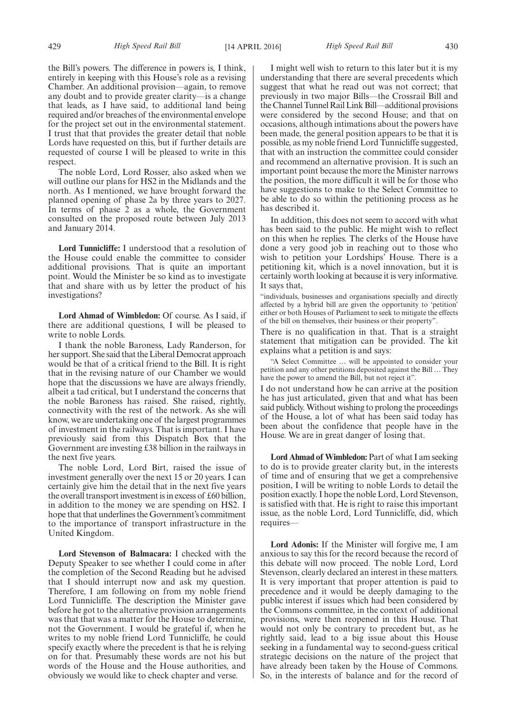the Bill's powers. The difference in powers is, I think, entirely in keeping with this House's role as a revising Chamber. An additional provision—again, to remove any doubt and to provide greater clarity—is a change that leads, as I have said, to additional land being required and/or breaches of the environmental envelope for the project set out in the environmental statement. I trust that that provides the greater detail that noble Lords have requested on this, but if further details are requested of course I will be pleased to write in this respect.

The noble Lord, Lord Rosser, also asked when we will outline our plans for HS2 in the Midlands and the north. As I mentioned, we have brought forward the planned opening of phase 2a by three years to 2027. In terms of phase 2 as a whole, the Government consulted on the proposed route between July 2013 and January 2014.

**Lord Tunnicliffe:** I understood that a resolution of the House could enable the committee to consider additional provisions. That is quite an important point. Would the Minister be so kind as to investigate that and share with us by letter the product of his investigations?

**Lord Ahmad of Wimbledon:** Of course. As I said, if there are additional questions, I will be pleased to write to noble Lords.

I thank the noble Baroness, Lady Randerson, for her support. She said that the Liberal Democrat approach would be that of a critical friend to the Bill. It is right that in the revising nature of our Chamber we would hope that the discussions we have are always friendly, albeit a tad critical, but I understand the concerns that the noble Baroness has raised. She raised, rightly, connectivity with the rest of the network. As she will know, we are undertaking one of the largest programmes of investment in the railways. That is important. I have previously said from this Dispatch Box that the Government are investing £38 billion in the railways in the next five years.

The noble Lord, Lord Birt, raised the issue of investment generally over the next 15 or 20 years. I can certainly give him the detail that in the next five years the overall transport investment is in excess of £60 billion, in addition to the money we are spending on HS2. I hope that that underlines the Government's commitment to the importance of transport infrastructure in the United Kingdom.

**Lord Stevenson of Balmacara:** I checked with the Deputy Speaker to see whether I could come in after the completion of the Second Reading but he advised that I should interrupt now and ask my question. Therefore, I am following on from my noble friend Lord Tunnicliffe. The description the Minister gave before he got to the alternative provision arrangements was that that was a matter for the House to determine, not the Government. I would be grateful if, when he writes to my noble friend Lord Tunnicliffe, he could specify exactly where the precedent is that he is relying on for that. Presumably these words are not his but words of the House and the House authorities, and obviously we would like to check chapter and verse.

I might well wish to return to this later but it is my understanding that there are several precedents which suggest that what he read out was not correct; that previously in two major Bills—the Crossrail Bill and the Channel Tunnel Rail Link Bill—additional provisions were considered by the second House; and that on occasions, although intimations about the powers have been made, the general position appears to be that it is possible, as my noble friend Lord Tunnicliffe suggested, that with an instruction the committee could consider and recommend an alternative provision. It is such an important point because the more the Minister narrows the position, the more difficult it will be for those who have suggestions to make to the Select Committee to be able to do so within the petitioning process as he has described it.

In addition, this does not seem to accord with what has been said to the public. He might wish to reflect on this when he replies. The clerks of the House have done a very good job in reaching out to those who wish to petition your Lordships' House. There is a petitioning kit, which is a novel innovation, but it is certainly worth looking at because it is very informative. It says that,

"individuals, businesses and organisations specially and directly affected by a hybrid bill are given the opportunity to 'petition' either or both Houses of Parliament to seek to mitigate the effects of the bill on themselves, their business or their property".

There is no qualification in that. That is a straight statement that mitigation can be provided. The kit explains what a petition is and says:

"A Select Committee … will be appointed to consider your petition and any other petitions deposited against the Bill … They have the power to amend the Bill, but not reject it".

I do not understand how he can arrive at the position he has just articulated, given that and what has been said publicly. Without wishing to prolong the proceedings of the House, a lot of what has been said today has been about the confidence that people have in the House. We are in great danger of losing that.

**Lord Ahmad of Wimbledon:** Part of what I am seeking to do is to provide greater clarity but, in the interests of time and of ensuring that we get a comprehensive position, I will be writing to noble Lords to detail the position exactly. I hope the noble Lord, Lord Stevenson, is satisfied with that. He is right to raise this important issue, as the noble Lord, Lord Tunnicliffe, did, which requires—

**Lord Adonis:** If the Minister will forgive me, I am anxious to say this for the record because the record of this debate will now proceed. The noble Lord, Lord Stevenson, clearly declared an interest in these matters. It is very important that proper attention is paid to precedence and it would be deeply damaging to the public interest if issues which had been considered by the Commons committee, in the context of additional provisions, were then reopened in this House. That would not only be contrary to precedent but, as he rightly said, lead to a big issue about this House seeking in a fundamental way to second-guess critical strategic decisions on the nature of the project that have already been taken by the House of Commons. So, in the interests of balance and for the record of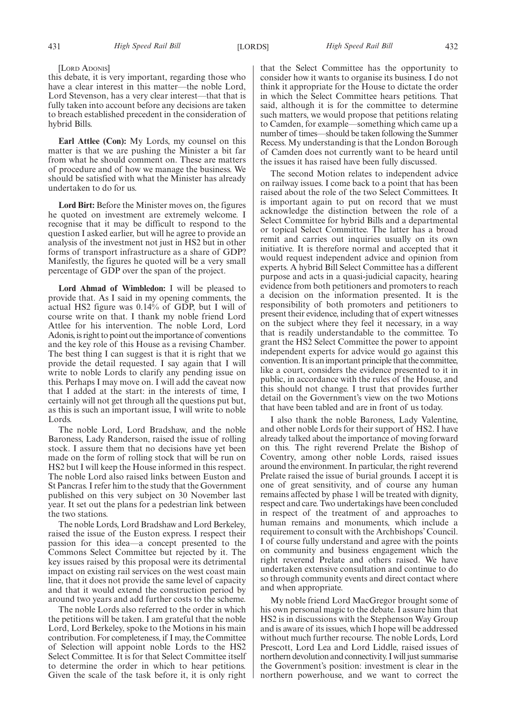#### [LORD ADONIS]

this debate, it is very important, regarding those who have a clear interest in this matter—the noble Lord, Lord Stevenson, has a very clear interest—that that is fully taken into account before any decisions are taken to breach established precedent in the consideration of hybrid Bills.

**Earl Attlee (Con):** My Lords, my counsel on this matter is that we are pushing the Minister a bit far from what he should comment on. These are matters of procedure and of how we manage the business. We should be satisfied with what the Minister has already undertaken to do for us.

**Lord Birt:** Before the Minister moves on, the figures he quoted on investment are extremely welcome. I recognise that it may be difficult to respond to the question I asked earlier, but will he agree to provide an analysis of the investment not just in HS2 but in other forms of transport infrastructure as a share of GDP? Manifestly, the figures he quoted will be a very small percentage of GDP over the span of the project.

**Lord Ahmad of Wimbledon:** I will be pleased to provide that. As I said in my opening comments, the actual HS2 figure was 0.14% of GDP, but I will of course write on that. I thank my noble friend Lord Attlee for his intervention. The noble Lord, Lord Adonis, is right to point out the importance of conventions and the key role of this House as a revising Chamber. The best thing I can suggest is that it is right that we provide the detail requested. I say again that I will write to noble Lords to clarify any pending issue on this. Perhaps I may move on. I will add the caveat now that I added at the start: in the interests of time, I certainly will not get through all the questions put but, as this is such an important issue, I will write to noble Lords.

The noble Lord, Lord Bradshaw, and the noble Baroness, Lady Randerson, raised the issue of rolling stock. I assure them that no decisions have yet been made on the form of rolling stock that will be run on HS2 but I will keep the House informed in this respect. The noble Lord also raised links between Euston and St Pancras. I refer him to the study that the Government published on this very subject on 30 November last year. It set out the plans for a pedestrian link between the two stations.

The noble Lords, Lord Bradshaw and Lord Berkeley, raised the issue of the Euston express. I respect their passion for this idea—a concept presented to the Commons Select Committee but rejected by it. The key issues raised by this proposal were its detrimental impact on existing rail services on the west coast main line, that it does not provide the same level of capacity and that it would extend the construction period by around two years and add further costs to the scheme.

The noble Lords also referred to the order in which the petitions will be taken. I am grateful that the noble Lord, Lord Berkeley, spoke to the Motions in his main contribution. For completeness, if I may, the Committee of Selection will appoint noble Lords to the HS2 Select Committee. It is for that Select Committee itself to determine the order in which to hear petitions. Given the scale of the task before it, it is only right that the Select Committee has the opportunity to consider how it wants to organise its business. I do not think it appropriate for the House to dictate the order in which the Select Committee hears petitions. That said, although it is for the committee to determine such matters, we would propose that petitions relating to Camden, for example—something which came up a number of times—should be taken following the Summer Recess. My understanding is that the London Borough of Camden does not currently want to be heard until the issues it has raised have been fully discussed.

The second Motion relates to independent advice on railway issues. I come back to a point that has been raised about the role of the two Select Committees. It is important again to put on record that we must acknowledge the distinction between the role of a Select Committee for hybrid Bills and a departmental or topical Select Committee. The latter has a broad remit and carries out inquiries usually on its own initiative. It is therefore normal and accepted that it would request independent advice and opinion from experts. A hybrid Bill Select Committee has a different purpose and acts in a quasi-judicial capacity, hearing evidence from both petitioners and promoters to reach a decision on the information presented. It is the responsibility of both promoters and petitioners to present their evidence, including that of expert witnesses on the subject where they feel it necessary, in a way that is readily understandable to the committee. To grant the HS2 Select Committee the power to appoint independent experts for advice would go against this convention. It is an important principle that the committee, like a court, considers the evidence presented to it in public, in accordance with the rules of the House, and this should not change. I trust that provides further detail on the Government's view on the two Motions that have been tabled and are in front of us today.

I also thank the noble Baroness, Lady Valentine, and other noble Lords for their support of HS2. I have already talked about the importance of moving forward on this. The right reverend Prelate the Bishop of Coventry, among other noble Lords, raised issues around the environment. In particular, the right reverend Prelate raised the issue of burial grounds. I accept it is one of great sensitivity, and of course any human remains affected by phase 1 will be treated with dignity, respect and care. Two undertakings have been concluded in respect of the treatment of and approaches to human remains and monuments, which include a requirement to consult with the Archbishops' Council. I of course fully understand and agree with the points on community and business engagement which the right reverend Prelate and others raised. We have undertaken extensive consultation and continue to do so through community events and direct contact where and when appropriate.

My noble friend Lord MacGregor brought some of his own personal magic to the debate. I assure him that HS2 is in discussions with the Stephenson Way Group and is aware of its issues, which I hope will be addressed without much further recourse. The noble Lords, Lord Prescott, Lord Lea and Lord Liddle, raised issues of northern devolution and connectivity. I will just summarise the Government's position: investment is clear in the northern powerhouse, and we want to correct the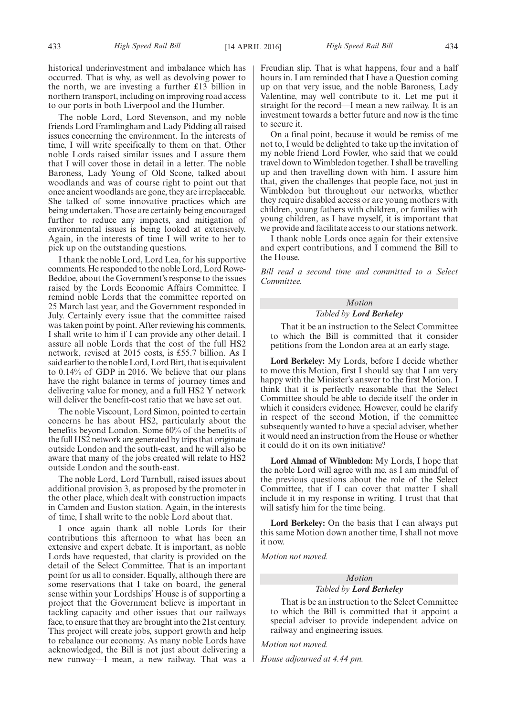historical underinvestment and imbalance which has occurred. That is why, as well as devolving power to the north, we are investing a further £13 billion in northern transport, including on improving road access to our ports in both Liverpool and the Humber.

The noble Lord, Lord Stevenson, and my noble friends Lord Framlingham and Lady Pidding all raised issues concerning the environment. In the interests of time, I will write specifically to them on that. Other noble Lords raised similar issues and I assure them that I will cover those in detail in a letter. The noble Baroness, Lady Young of Old Scone, talked about woodlands and was of course right to point out that once ancient woodlands are gone, they are irreplaceable. She talked of some innovative practices which are being undertaken. Those are certainly being encouraged further to reduce any impacts, and mitigation of environmental issues is being looked at extensively. Again, in the interests of time I will write to her to pick up on the outstanding questions.

I thank the noble Lord, Lord Lea, for his supportive comments. He responded to the noble Lord, Lord Rowe-Beddoe, about the Government's response to the issues raised by the Lords Economic Affairs Committee. I remind noble Lords that the committee reported on 25 March last year, and the Government responded in July. Certainly every issue that the committee raised was taken point by point. After reviewing his comments, I shall write to him if I can provide any other detail. I assure all noble Lords that the cost of the full HS2 network, revised at 2015 costs, is £55.7 billion. As I said earlier to the noble Lord, Lord Birt, that is equivalent to 0.14% of GDP in 2016. We believe that our plans have the right balance in terms of journey times and delivering value for money, and a full HS2 Y network will deliver the benefit-cost ratio that we have set out.

The noble Viscount, Lord Simon, pointed to certain concerns he has about HS2, particularly about the benefits beyond London. Some 60% of the benefits of the full HS2 network are generated by trips that originate outside London and the south-east, and he will also be aware that many of the jobs created will relate to HS2 outside London and the south-east.

The noble Lord, Lord Turnbull, raised issues about additional provision 3, as proposed by the promoter in the other place, which dealt with construction impacts in Camden and Euston station. Again, in the interests of time, I shall write to the noble Lord about that.

I once again thank all noble Lords for their contributions this afternoon to what has been an extensive and expert debate. It is important, as noble Lords have requested, that clarity is provided on the detail of the Select Committee. That is an important point for us all to consider. Equally, although there are some reservations that I take on board, the general sense within your Lordships' House is of supporting a project that the Government believe is important in tackling capacity and other issues that our railways face, to ensure that they are brought into the 21st century. This project will create jobs, support growth and help to rebalance our economy. As many noble Lords have acknowledged, the Bill is not just about delivering a new runway—I mean, a new railway. That was a Freudian slip. That is what happens, four and a half hours in. I am reminded that I have a Question coming up on that very issue, and the noble Baroness, Lady Valentine, may well contribute to it. Let me put it straight for the record—I mean a new railway. It is an investment towards a better future and now is the time to secure it.

On a final point, because it would be remiss of me not to, I would be delighted to take up the invitation of my noble friend Lord Fowler, who said that we could travel down to Wimbledon together. I shall be travelling up and then travelling down with him. I assure him that, given the challenges that people face, not just in Wimbledon but throughout our networks, whether they require disabled access or are young mothers with children, young fathers with children, or families with young children, as I have myself, it is important that we provide and facilitate access to our stations network.

I thank noble Lords once again for their extensive and expert contributions, and I commend the Bill to the House.

*Bill read a second time and committed to a Select Committee.*

# *Motion*

*Tabled by Lord Berkeley*

That it be an instruction to the Select Committee to which the Bill is committed that it consider petitions from the London area at an early stage.

**Lord Berkeley:** My Lords, before I decide whether to move this Motion, first I should say that I am very happy with the Minister's answer to the first Motion. I think that it is perfectly reasonable that the Select Committee should be able to decide itself the order in which it considers evidence. However, could he clarify in respect of the second Motion, if the committee subsequently wanted to have a special adviser, whether it would need an instruction from the House or whether it could do it on its own initiative?

**Lord Ahmad of Wimbledon:** My Lords, I hope that the noble Lord will agree with me, as I am mindful of the previous questions about the role of the Select Committee, that if I can cover that matter I shall include it in my response in writing. I trust that that will satisfy him for the time being.

**Lord Berkeley:** On the basis that I can always put this same Motion down another time, I shall not move it now.

*Motion not moved.*

#### *Motion Tabled by Lord Berkeley*

That is be an instruction to the Select Committee to which the Bill is committed that it appoint a special adviser to provide independent advice on railway and engineering issues.

*Motion not moved.*

*House adjourned at 4.44 pm.*